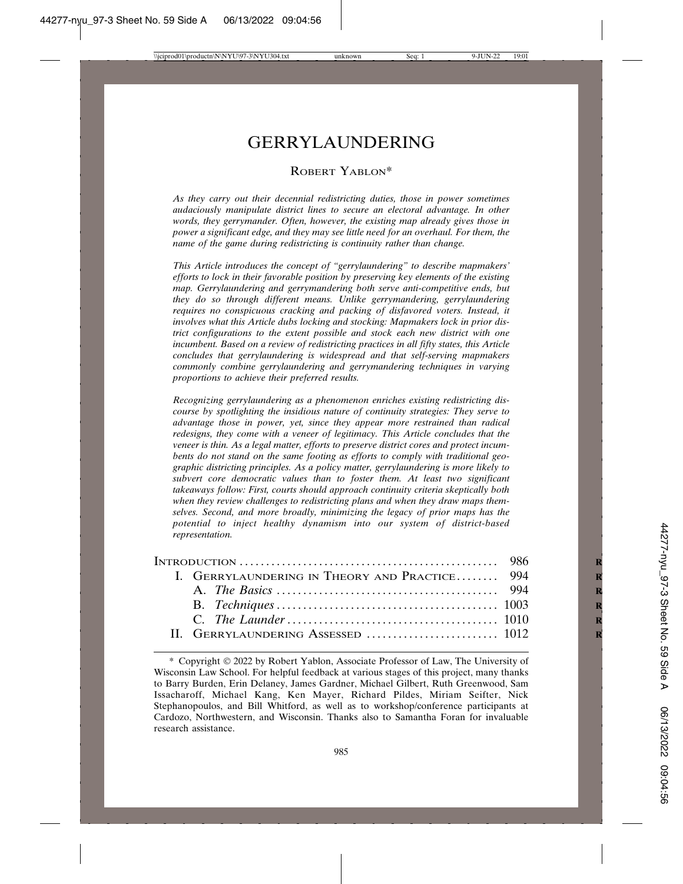# GERRYLAUNDERING

## ROBERT YABLON\*

*As they carry out their decennial redistricting duties, those in power sometimes audaciously manipulate district lines to secure an electoral advantage. In other words, they gerrymander. Often, however, the existing map already gives those in power a significant edge, and they may see little need for an overhaul. For them, the name of the game during redistricting is continuity rather than change.*

*This Article introduces the concept of "gerrylaundering" to describe mapmakers' efforts to lock in their favorable position by preserving key elements of the existing map. Gerrylaundering and gerrymandering both serve anti-competitive ends, but they do so through different means. Unlike gerrymandering, gerrylaundering requires no conspicuous cracking and packing of disfavored voters. Instead, it involves what this Article dubs locking and stocking: Mapmakers lock in prior district configurations to the extent possible and stock each new district with one incumbent. Based on a review of redistricting practices in all fifty states, this Article concludes that gerrylaundering is widespread and that self-serving mapmakers commonly combine gerrylaundering and gerrymandering techniques in varying proportions to achieve their preferred results.*

*Recognizing gerrylaundering as a phenomenon enriches existing redistricting discourse by spotlighting the insidious nature of continuity strategies: They serve to advantage those in power, yet, since they appear more restrained than radical redesigns, they come with a veneer of legitimacy. This Article concludes that the veneer is thin. As a legal matter, efforts to preserve district cores and protect incumbents do not stand on the same footing as efforts to comply with traditional geographic districting principles. As a policy matter, gerrylaundering is more likely to subvert core democratic values than to foster them. At least two significant takeaways follow: First, courts should approach continuity criteria skeptically both when they review challenges to redistricting plans and when they draw maps themselves. Second, and more broadly, minimizing the legacy of prior maps has the potential to inject healthy dynamism into our system of district-based representation.*

| I. GERRYLAUNDERING IN THEORY AND PRACTICE 994             |  |
|-----------------------------------------------------------|--|
|                                                           |  |
|                                                           |  |
| C. The Launder $\ldots$ $\ldots$ $\ldots$ $\ldots$ $1010$ |  |
|                                                           |  |
|                                                           |  |

<sup>\*</sup> Copyright 2022 by Robert Yablon, Associate Professor of Law, The University of Wisconsin Law School. For helpful feedback at various stages of this project, many thanks to Barry Burden, Erin Delaney, James Gardner, Michael Gilbert, Ruth Greenwood, Sam Issacharoff, Michael Kang, Ken Mayer, Richard Pildes, Miriam Seifter, Nick Stephanopoulos, and Bill Whitford, as well as to workshop/conference participants at Cardozo, Northwestern, and Wisconsin. Thanks also to Samantha Foran for invaluable research assistance.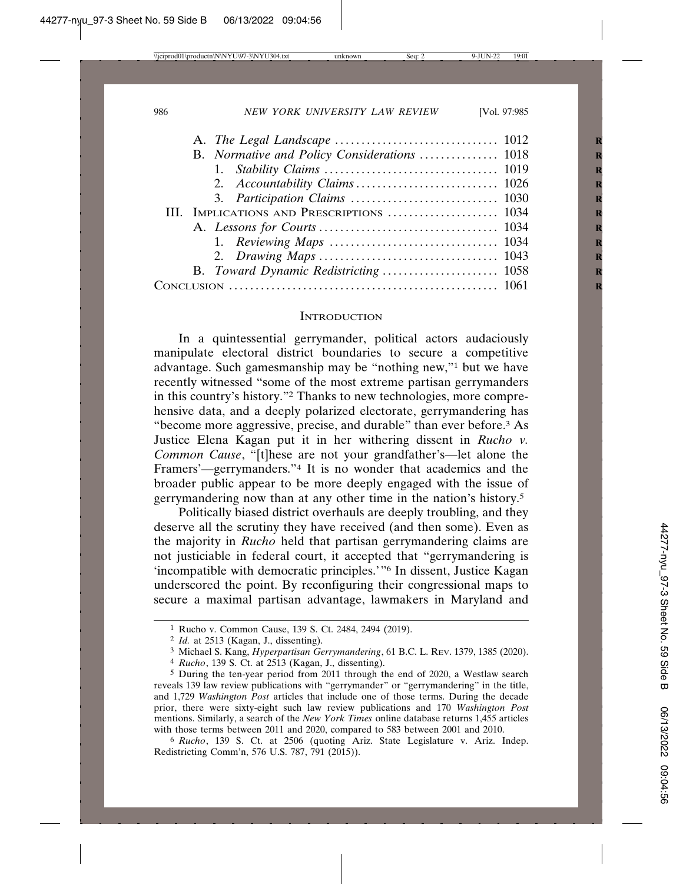| 3. Participation Claims  1030             |  |
|-------------------------------------------|--|
| III. IMPLICATIONS AND PRESCRIPTIONS  1034 |  |
|                                           |  |
|                                           |  |
|                                           |  |
|                                           |  |
|                                           |  |

#### **INTRODUCTION**

In a quintessential gerrymander, political actors audaciously manipulate electoral district boundaries to secure a competitive advantage. Such gamesmanship may be "nothing new,"1 but we have recently witnessed "some of the most extreme partisan gerrymanders in this country's history."2 Thanks to new technologies, more comprehensive data, and a deeply polarized electorate, gerrymandering has "become more aggressive, precise, and durable" than ever before.3 As Justice Elena Kagan put it in her withering dissent in *Rucho v. Common Cause*, "[t]hese are not your grandfather's—let alone the Framers'—gerrymanders."4 It is no wonder that academics and the broader public appear to be more deeply engaged with the issue of gerrymandering now than at any other time in the nation's history.5

Politically biased district overhauls are deeply troubling, and they deserve all the scrutiny they have received (and then some). Even as the majority in *Rucho* held that partisan gerrymandering claims are not justiciable in federal court, it accepted that "gerrymandering is 'incompatible with democratic principles.'"6 In dissent, Justice Kagan underscored the point. By reconfiguring their congressional maps to secure a maximal partisan advantage, lawmakers in Maryland and

<sup>1</sup> Rucho v. Common Cause, 139 S. Ct. 2484, 2494 (2019).

<sup>2</sup> *Id.* at 2513 (Kagan, J., dissenting).

<sup>3</sup> Michael S. Kang, *Hyperpartisan Gerrymandering*, 61 B.C. L. REV. 1379, 1385 (2020).

<sup>4</sup> *Rucho*, 139 S. Ct. at 2513 (Kagan, J., dissenting).

<sup>&</sup>lt;sup>5</sup> During the ten-year period from 2011 through the end of 2020, a Westlaw search reveals 139 law review publications with "gerrymander" or "gerrymandering" in the title, and 1,729 *Washington Post* articles that include one of those terms. During the decade prior, there were sixty-eight such law review publications and 170 *Washington Post* mentions. Similarly, a search of the *New York Times* online database returns 1,455 articles with those terms between 2011 and 2020, compared to 583 between 2001 and 2010.

<sup>6</sup> *Rucho*, 139 S. Ct. at 2506 (quoting Ariz. State Legislature v. Ariz. Indep. Redistricting Comm'n, 576 U.S. 787, 791 (2015)).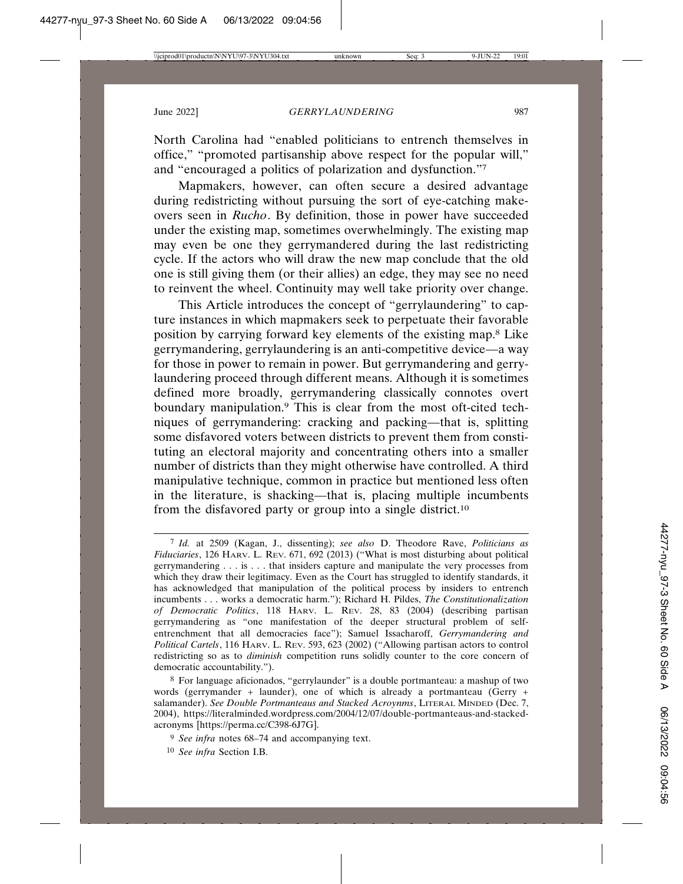North Carolina had "enabled politicians to entrench themselves in office," "promoted partisanship above respect for the popular will," and "encouraged a politics of polarization and dysfunction."7

Mapmakers, however, can often secure a desired advantage during redistricting without pursuing the sort of eye-catching makeovers seen in *Rucho*. By definition, those in power have succeeded under the existing map, sometimes overwhelmingly. The existing map may even be one they gerrymandered during the last redistricting cycle. If the actors who will draw the new map conclude that the old one is still giving them (or their allies) an edge, they may see no need to reinvent the wheel. Continuity may well take priority over change.

This Article introduces the concept of "gerrylaundering" to capture instances in which mapmakers seek to perpetuate their favorable position by carrying forward key elements of the existing map.8 Like gerrymandering, gerrylaundering is an anti-competitive device—a way for those in power to remain in power. But gerrymandering and gerrylaundering proceed through different means. Although it is sometimes defined more broadly, gerrymandering classically connotes overt boundary manipulation.9 This is clear from the most oft-cited techniques of gerrymandering: cracking and packing—that is, splitting some disfavored voters between districts to prevent them from constituting an electoral majority and concentrating others into a smaller number of districts than they might otherwise have controlled. A third manipulative technique, common in practice but mentioned less often in the literature, is shacking—that is, placing multiple incumbents from the disfavored party or group into a single district.10

<sup>7</sup> *Id.* at 2509 (Kagan, J., dissenting); *see also* D. Theodore Rave, *Politicians as Fiduciaries*, 126 HARV. L. REV. 671, 692 (2013) ("What is most disturbing about political gerrymandering . . . is . . . that insiders capture and manipulate the very processes from which they draw their legitimacy. Even as the Court has struggled to identify standards, it has acknowledged that manipulation of the political process by insiders to entrench incumbents . . . works a democratic harm."); Richard H. Pildes, *The Constitutionalization of Democratic Politics*, 118 HARV. L. REV. 28, 83 (2004) (describing partisan gerrymandering as "one manifestation of the deeper structural problem of selfentrenchment that all democracies face"); Samuel Issacharoff, *Gerrymandering and Political Cartels*, 116 HARV. L. REV. 593, 623 (2002) ("Allowing partisan actors to control redistricting so as to *diminish* competition runs solidly counter to the core concern of democratic accountability.").

<sup>8</sup> For language aficionados, "gerrylaunder" is a double portmanteau: a mashup of two words (gerrymander + launder), one of which is already a portmanteau (Gerry + salamander). *See Double Portmanteaus and Stacked Acroynms*, LITERAL MINDED (Dec. 7, 2004), https://literalminded.wordpress.com/2004/12/07/double-portmanteaus-and-stackedacronyms [https://perma.cc/C398-6J7G].

<sup>9</sup> *See infra* notes 68–74 and accompanying text.

<sup>10</sup> *See infra* Section I.B.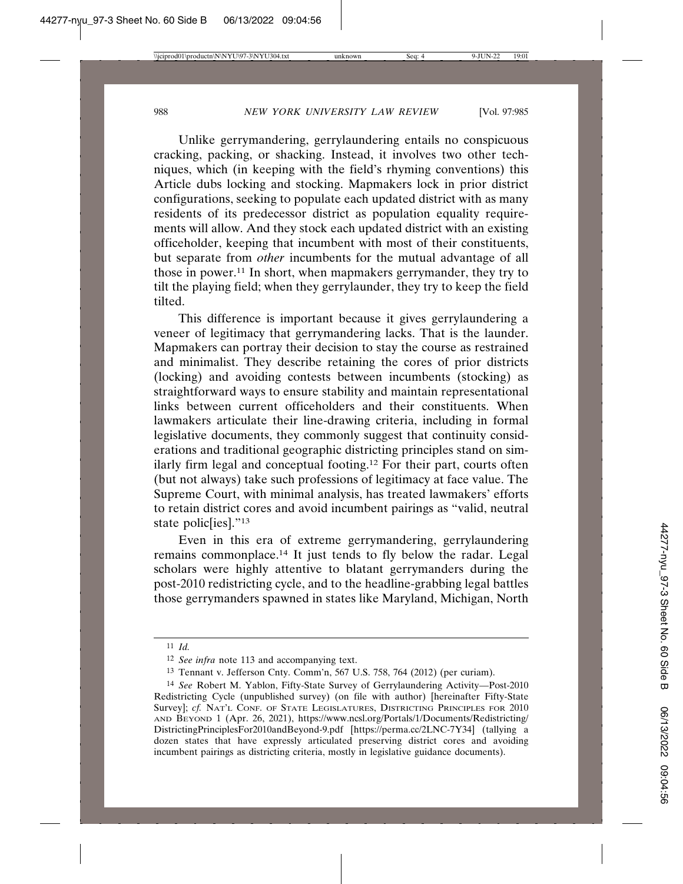Unlike gerrymandering, gerrylaundering entails no conspicuous cracking, packing, or shacking. Instead, it involves two other techniques, which (in keeping with the field's rhyming conventions) this Article dubs locking and stocking. Mapmakers lock in prior district configurations, seeking to populate each updated district with as many residents of its predecessor district as population equality requirements will allow. And they stock each updated district with an existing officeholder, keeping that incumbent with most of their constituents, but separate from *other* incumbents for the mutual advantage of all those in power.11 In short, when mapmakers gerrymander, they try to tilt the playing field; when they gerrylaunder, they try to keep the field tilted.

This difference is important because it gives gerrylaundering a veneer of legitimacy that gerrymandering lacks. That is the launder. Mapmakers can portray their decision to stay the course as restrained and minimalist. They describe retaining the cores of prior districts (locking) and avoiding contests between incumbents (stocking) as straightforward ways to ensure stability and maintain representational links between current officeholders and their constituents. When lawmakers articulate their line-drawing criteria, including in formal legislative documents, they commonly suggest that continuity considerations and traditional geographic districting principles stand on similarly firm legal and conceptual footing.12 For their part, courts often (but not always) take such professions of legitimacy at face value. The Supreme Court, with minimal analysis, has treated lawmakers' efforts to retain district cores and avoid incumbent pairings as "valid, neutral state polic[ies]."13

Even in this era of extreme gerrymandering, gerrylaundering remains commonplace.14 It just tends to fly below the radar. Legal scholars were highly attentive to blatant gerrymanders during the post-2010 redistricting cycle, and to the headline-grabbing legal battles those gerrymanders spawned in states like Maryland, Michigan, North

<sup>11</sup> *Id.*

<sup>12</sup> *See infra* note 113 and accompanying text.

<sup>13</sup> Tennant v. Jefferson Cnty. Comm'n, 567 U.S. 758, 764 (2012) (per curiam).

<sup>14</sup> *See* Robert M. Yablon, Fifty-State Survey of Gerrylaundering Activity—Post-2010 Redistricting Cycle (unpublished survey) (on file with author) [hereinafter Fifty-State Survey]; *cf.* NAT'L CONF. OF STATE LEGISLATURES, DISTRICTING PRINCIPLES FOR 2010 AND BEYOND 1 (Apr. 26, 2021), https://www.ncsl.org/Portals/1/Documents/Redistricting/ DistrictingPrinciplesFor2010andBeyond-9.pdf [https://perma.cc/2LNC-7Y34] (tallying a dozen states that have expressly articulated preserving district cores and avoiding incumbent pairings as districting criteria, mostly in legislative guidance documents).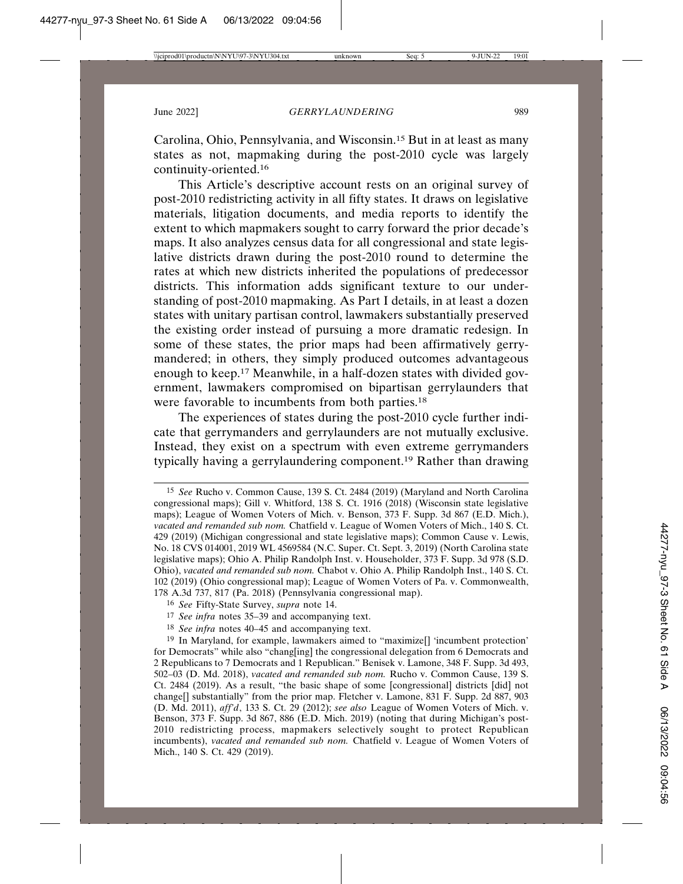Carolina, Ohio, Pennsylvania, and Wisconsin.15 But in at least as many states as not, mapmaking during the post-2010 cycle was largely continuity-oriented.16

This Article's descriptive account rests on an original survey of post-2010 redistricting activity in all fifty states. It draws on legislative materials, litigation documents, and media reports to identify the extent to which mapmakers sought to carry forward the prior decade's maps. It also analyzes census data for all congressional and state legislative districts drawn during the post-2010 round to determine the rates at which new districts inherited the populations of predecessor districts. This information adds significant texture to our understanding of post-2010 mapmaking. As Part I details, in at least a dozen states with unitary partisan control, lawmakers substantially preserved the existing order instead of pursuing a more dramatic redesign. In some of these states, the prior maps had been affirmatively gerrymandered; in others, they simply produced outcomes advantageous enough to keep.17 Meanwhile, in a half-dozen states with divided government, lawmakers compromised on bipartisan gerrylaunders that were favorable to incumbents from both parties.18

The experiences of states during the post-2010 cycle further indicate that gerrymanders and gerrylaunders are not mutually exclusive. Instead, they exist on a spectrum with even extreme gerrymanders typically having a gerrylaundering component.19 Rather than drawing

<sup>15</sup> *See* Rucho v. Common Cause, 139 S. Ct. 2484 (2019) (Maryland and North Carolina congressional maps); Gill v. Whitford, 138 S. Ct. 1916 (2018) (Wisconsin state legislative maps); League of Women Voters of Mich. v. Benson, 373 F. Supp. 3d 867 (E.D. Mich.), *vacated and remanded sub nom.* Chatfield v. League of Women Voters of Mich., 140 S. Ct. 429 (2019) (Michigan congressional and state legislative maps); Common Cause v. Lewis, No. 18 CVS 014001, 2019 WL 4569584 (N.C. Super. Ct. Sept. 3, 2019) (North Carolina state legislative maps); Ohio A. Philip Randolph Inst. v. Householder, 373 F. Supp. 3d 978 (S.D. Ohio), *vacated and remanded sub nom.* Chabot v. Ohio A. Philip Randolph Inst., 140 S. Ct. 102 (2019) (Ohio congressional map); League of Women Voters of Pa. v. Commonwealth, 178 A.3d 737, 817 (Pa. 2018) (Pennsylvania congressional map).

<sup>16</sup> *See* Fifty-State Survey, *supra* note 14.

<sup>17</sup> *See infra* notes 35–39 and accompanying text.

<sup>18</sup> *See infra* notes 40–45 and accompanying text.

<sup>19</sup> In Maryland, for example, lawmakers aimed to "maximize[] 'incumbent protection' for Democrats" while also "chang[ing] the congressional delegation from 6 Democrats and 2 Republicans to 7 Democrats and 1 Republican." Benisek v. Lamone, 348 F. Supp. 3d 493, 502–03 (D. Md. 2018), *vacated and remanded sub nom.* Rucho v. Common Cause, 139 S. Ct. 2484 (2019). As a result, "the basic shape of some [congressional] districts [did] not change[] substantially" from the prior map. Fletcher v. Lamone, 831 F. Supp. 2d 887, 903 (D. Md. 2011), *aff'd*, 133 S. Ct. 29 (2012); *see also* League of Women Voters of Mich. v. Benson, 373 F. Supp. 3d 867, 886 (E.D. Mich. 2019) (noting that during Michigan's post-2010 redistricting process, mapmakers selectively sought to protect Republican incumbents), *vacated and remanded sub nom.* Chatfield v. League of Women Voters of Mich., 140 S. Ct. 429 (2019).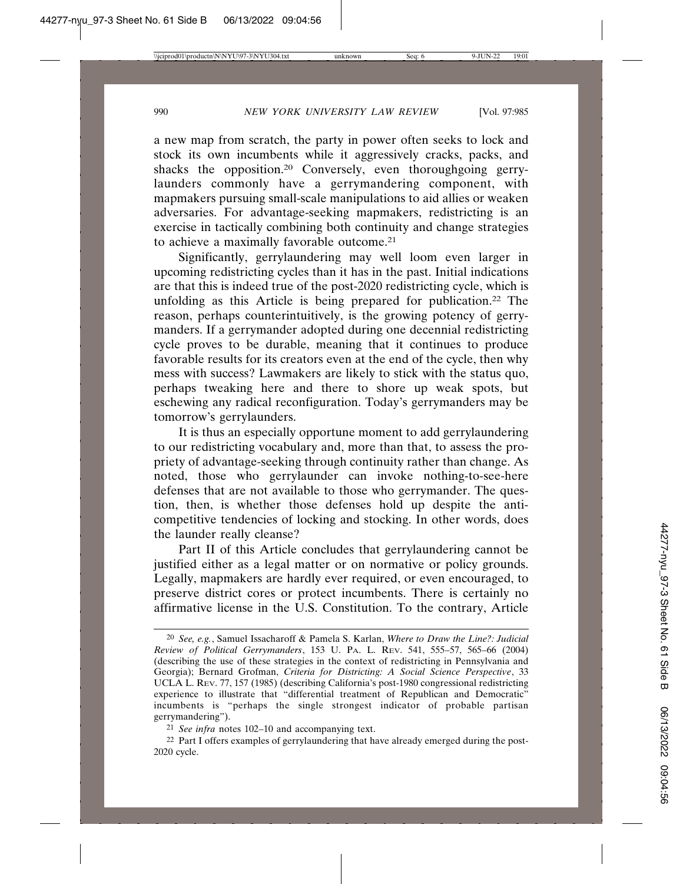a new map from scratch, the party in power often seeks to lock and stock its own incumbents while it aggressively cracks, packs, and shacks the opposition.<sup>20</sup> Conversely, even thoroughgoing gerrylaunders commonly have a gerrymandering component, with mapmakers pursuing small-scale manipulations to aid allies or weaken adversaries. For advantage-seeking mapmakers, redistricting is an exercise in tactically combining both continuity and change strategies to achieve a maximally favorable outcome.21

Significantly, gerrylaundering may well loom even larger in upcoming redistricting cycles than it has in the past. Initial indications are that this is indeed true of the post-2020 redistricting cycle, which is unfolding as this Article is being prepared for publication.22 The reason, perhaps counterintuitively, is the growing potency of gerrymanders. If a gerrymander adopted during one decennial redistricting cycle proves to be durable, meaning that it continues to produce favorable results for its creators even at the end of the cycle, then why mess with success? Lawmakers are likely to stick with the status quo, perhaps tweaking here and there to shore up weak spots, but eschewing any radical reconfiguration. Today's gerrymanders may be tomorrow's gerrylaunders.

It is thus an especially opportune moment to add gerrylaundering to our redistricting vocabulary and, more than that, to assess the propriety of advantage-seeking through continuity rather than change. As noted, those who gerrylaunder can invoke nothing-to-see-here defenses that are not available to those who gerrymander. The question, then, is whether those defenses hold up despite the anticompetitive tendencies of locking and stocking. In other words, does the launder really cleanse?

Part II of this Article concludes that gerrylaundering cannot be justified either as a legal matter or on normative or policy grounds. Legally, mapmakers are hardly ever required, or even encouraged, to preserve district cores or protect incumbents. There is certainly no affirmative license in the U.S. Constitution. To the contrary, Article

<sup>20</sup> *See, e.g.*, Samuel Issacharoff & Pamela S. Karlan, *Where to Draw the Line?: Judicial Review of Political Gerrymanders*, 153 U. PA. L. REV. 541, 555–57, 565–66 (2004) (describing the use of these strategies in the context of redistricting in Pennsylvania and Georgia); Bernard Grofman, *Criteria for Districting: A Social Science Perspective*, 33 UCLA L. REV. 77, 157 (1985) (describing California's post-1980 congressional redistricting experience to illustrate that "differential treatment of Republican and Democratic" incumbents is "perhaps the single strongest indicator of probable partisan gerrymandering").

<sup>21</sup> *See infra* notes 102–10 and accompanying text.

 $22$  Part I offers examples of gerrylaundering that have already emerged during the post-2020 cycle.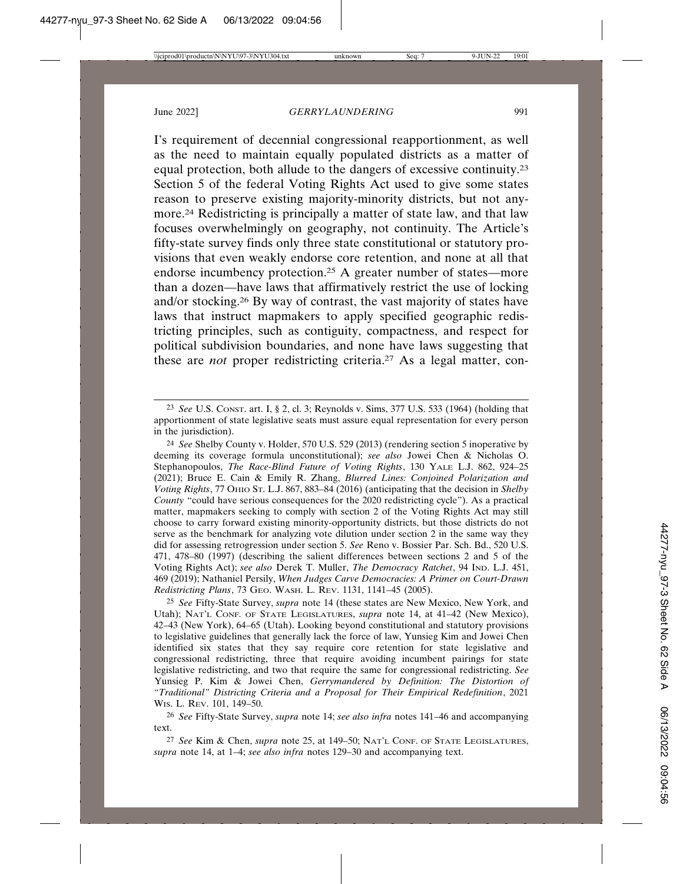I's requirement of decennial congressional reapportionment, as well as the need to maintain equally populated districts as a matter of equal protection, both allude to the dangers of excessive continuity.23 Section 5 of the federal Voting Rights Act used to give some states reason to preserve existing majority-minority districts, but not anymore.24 Redistricting is principally a matter of state law, and that law focuses overwhelmingly on geography, not continuity. The Article's fifty-state survey finds only three state constitutional or statutory provisions that even weakly endorse core retention, and none at all that endorse incumbency protection.25 A greater number of states—more than a dozen—have laws that affirmatively restrict the use of locking and/or stocking.26 By way of contrast, the vast majority of states have laws that instruct mapmakers to apply specified geographic redistricting principles, such as contiguity, compactness, and respect for political subdivision boundaries, and none have laws suggesting that these are *not* proper redistricting criteria.27 As a legal matter, con-

24 *See* Shelby County v. Holder, 570 U.S. 529 (2013) (rendering section 5 inoperative by deeming its coverage formula unconstitutional); *see also* Jowei Chen & Nicholas O. Stephanopoulos, *The Race-Blind Future of Voting Rights*, 130 YALE L.J. 862, 924–25 (2021); Bruce E. Cain & Emily R. Zhang, *Blurred Lines: Conjoined Polarization and Voting Rights*, 77 OHIO ST. L.J. 867, 883–84 (2016) (anticipating that the decision in *Shelby County* "could have serious consequences for the 2020 redistricting cycle"). As a practical matter, mapmakers seeking to comply with section 2 of the Voting Rights Act may still choose to carry forward existing minority-opportunity districts, but those districts do not serve as the benchmark for analyzing vote dilution under section 2 in the same way they did for assessing retrogression under section 5. *See* Reno v. Bossier Par. Sch. Bd., 520 U.S. 471, 478–80 (1997) (describing the salient differences between sections 2 and 5 of the Voting Rights Act); *see also* Derek T. Muller, *The Democracy Ratchet*, 94 IND. L.J. 451, 469 (2019); Nathaniel Persily, *When Judges Carve Democracies: A Primer on Court-Drawn Redistricting Plans*, 73 GEO. WASH. L. REV. 1131, 1141–45 (2005).

25 *See* Fifty-State Survey, *supra* note 14 (these states are New Mexico, New York, and Utah); NAT'L CONF. OF STATE LEGISLATURES, *supra* note 14, at 41–42 (New Mexico), 42–43 (New York), 64–65 (Utah). Looking beyond constitutional and statutory provisions to legislative guidelines that generally lack the force of law, Yunsieg Kim and Jowei Chen identified six states that they say require core retention for state legislative and congressional redistricting, three that require avoiding incumbent pairings for state legislative redistricting, and two that require the same for congressional redistricting. *See* Yunsieg P. Kim & Jowei Chen, *Gerrymandered by Definition: The Distortion of "Traditional" Districting Criteria and a Proposal for Their Empirical Redefinition*, 2021 WIS. L. REV. 101, 149–50.

26 *See* Fifty-State Survey, *supra* note 14; *see also infra* notes 141–46 and accompanying text.

27 *See* Kim & Chen, *supra* note 25, at 149–50; NAT'L CONF. OF STATE LEGISLATURES, *supra* note 14, at 1–4; *see also infra* notes 129–30 and accompanying text.

<sup>23</sup> *See* U.S. CONST. art. I, § 2, cl. 3; Reynolds v. Sims, 377 U.S. 533 (1964) (holding that apportionment of state legislative seats must assure equal representation for every person in the jurisdiction).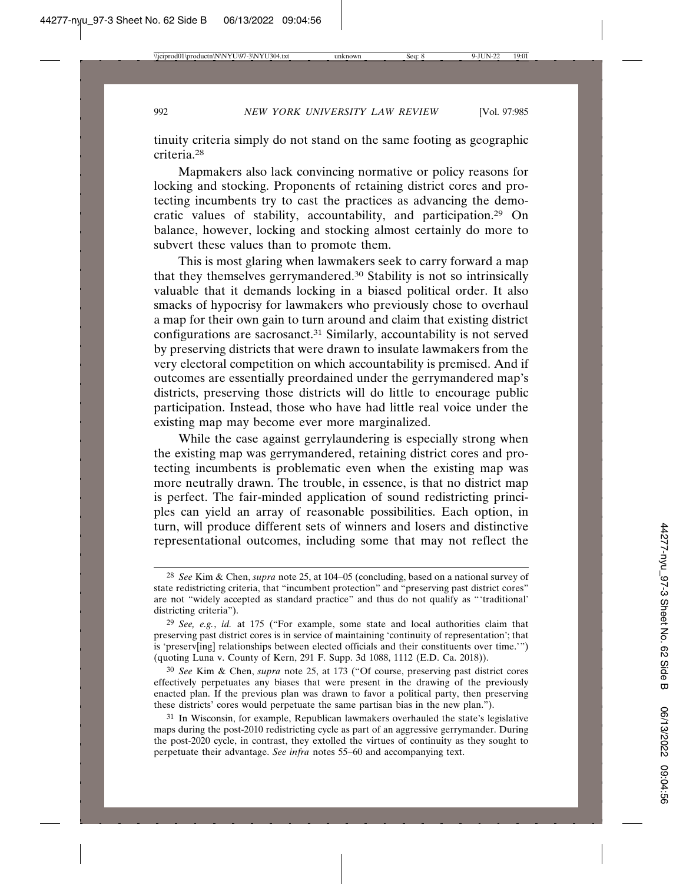tinuity criteria simply do not stand on the same footing as geographic criteria.28

Mapmakers also lack convincing normative or policy reasons for locking and stocking. Proponents of retaining district cores and protecting incumbents try to cast the practices as advancing the democratic values of stability, accountability, and participation.29 On balance, however, locking and stocking almost certainly do more to subvert these values than to promote them.

This is most glaring when lawmakers seek to carry forward a map that they themselves gerrymandered.30 Stability is not so intrinsically valuable that it demands locking in a biased political order. It also smacks of hypocrisy for lawmakers who previously chose to overhaul a map for their own gain to turn around and claim that existing district configurations are sacrosanct.<sup>31</sup> Similarly, accountability is not served by preserving districts that were drawn to insulate lawmakers from the very electoral competition on which accountability is premised. And if outcomes are essentially preordained under the gerrymandered map's districts, preserving those districts will do little to encourage public participation. Instead, those who have had little real voice under the existing map may become ever more marginalized.

While the case against gerrylaundering is especially strong when the existing map was gerrymandered, retaining district cores and protecting incumbents is problematic even when the existing map was more neutrally drawn. The trouble, in essence, is that no district map is perfect. The fair-minded application of sound redistricting principles can yield an array of reasonable possibilities. Each option, in turn, will produce different sets of winners and losers and distinctive representational outcomes, including some that may not reflect the

<sup>28</sup> *See* Kim & Chen, *supra* note 25, at 104–05 (concluding, based on a national survey of state redistricting criteria, that "incumbent protection" and "preserving past district cores" are not "widely accepted as standard practice" and thus do not qualify as "'traditional' districting criteria").

<sup>29</sup> *See, e.g.*, *id.* at 175 ("For example, some state and local authorities claim that preserving past district cores is in service of maintaining 'continuity of representation'; that is 'preserv[ing] relationships between elected officials and their constituents over time.'") (quoting Luna v. County of Kern, 291 F. Supp. 3d 1088, 1112 (E.D. Ca. 2018)).

<sup>30</sup> *See* Kim & Chen, *supra* note 25, at 173 ("Of course, preserving past district cores effectively perpetuates any biases that were present in the drawing of the previously enacted plan. If the previous plan was drawn to favor a political party, then preserving these districts' cores would perpetuate the same partisan bias in the new plan.").

<sup>31</sup> In Wisconsin, for example, Republican lawmakers overhauled the state's legislative maps during the post-2010 redistricting cycle as part of an aggressive gerrymander. During the post-2020 cycle, in contrast, they extolled the virtues of continuity as they sought to perpetuate their advantage. *See infra* notes 55–60 and accompanying text.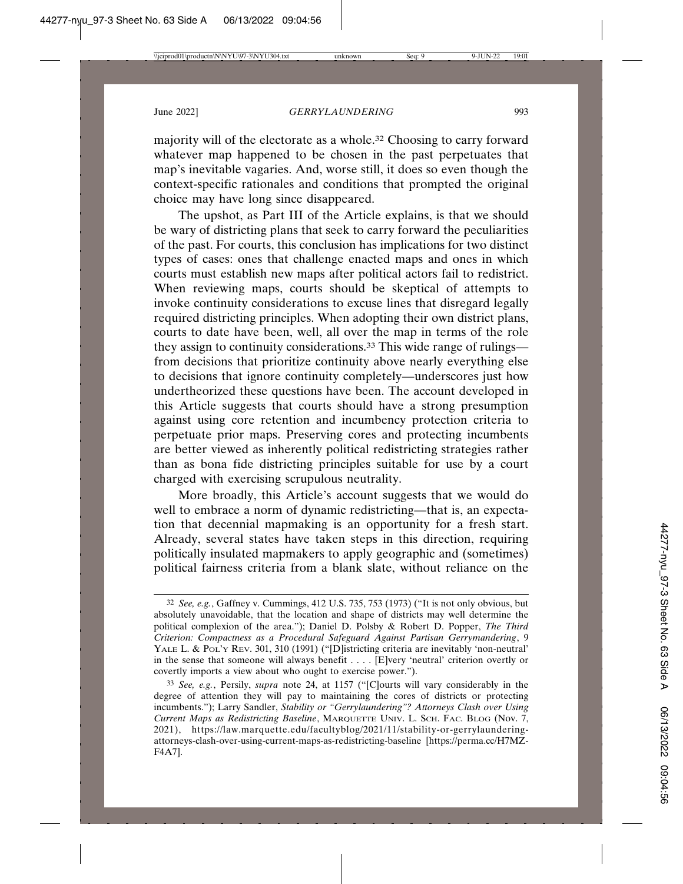majority will of the electorate as a whole.32 Choosing to carry forward whatever map happened to be chosen in the past perpetuates that map's inevitable vagaries. And, worse still, it does so even though the context-specific rationales and conditions that prompted the original choice may have long since disappeared.

The upshot, as Part III of the Article explains, is that we should be wary of districting plans that seek to carry forward the peculiarities of the past. For courts, this conclusion has implications for two distinct types of cases: ones that challenge enacted maps and ones in which courts must establish new maps after political actors fail to redistrict. When reviewing maps, courts should be skeptical of attempts to invoke continuity considerations to excuse lines that disregard legally required districting principles. When adopting their own district plans, courts to date have been, well, all over the map in terms of the role they assign to continuity considerations.33 This wide range of rulings from decisions that prioritize continuity above nearly everything else to decisions that ignore continuity completely—underscores just how undertheorized these questions have been. The account developed in this Article suggests that courts should have a strong presumption against using core retention and incumbency protection criteria to perpetuate prior maps. Preserving cores and protecting incumbents are better viewed as inherently political redistricting strategies rather than as bona fide districting principles suitable for use by a court charged with exercising scrupulous neutrality.

More broadly, this Article's account suggests that we would do well to embrace a norm of dynamic redistricting—that is, an expectation that decennial mapmaking is an opportunity for a fresh start. Already, several states have taken steps in this direction, requiring politically insulated mapmakers to apply geographic and (sometimes) political fairness criteria from a blank slate, without reliance on the

<sup>32</sup> *See, e.g.*, Gaffney v. Cummings, 412 U.S. 735, 753 (1973) ("It is not only obvious, but absolutely unavoidable, that the location and shape of districts may well determine the political complexion of the area."); Daniel D. Polsby & Robert D. Popper, *The Third Criterion: Compactness as a Procedural Safeguard Against Partisan Gerrymandering*, 9 YALE L. & POL'Y REV. 301, 310 (1991) ("[D]istricting criteria are inevitably 'non-neutral' in the sense that someone will always benefit . . . . [E]very 'neutral' criterion overtly or covertly imports a view about who ought to exercise power.").

<sup>33</sup> *See, e.g.*, Persily, *supra* note 24, at 1157 ("[C]ourts will vary considerably in the degree of attention they will pay to maintaining the cores of districts or protecting incumbents."); Larry Sandler, *Stability or "Gerrylaundering"? Attorneys Clash over Using Current Maps as Redistricting Baseline*, MARQUETTE UNIV. L. SCH. FAC. BLOG (Nov. 7, 2021), https://law.marquette.edu/facultyblog/2021/11/stability-or-gerrylaunderingattorneys-clash-over-using-current-maps-as-redistricting-baseline [https://perma.cc/H7MZ-F4A7].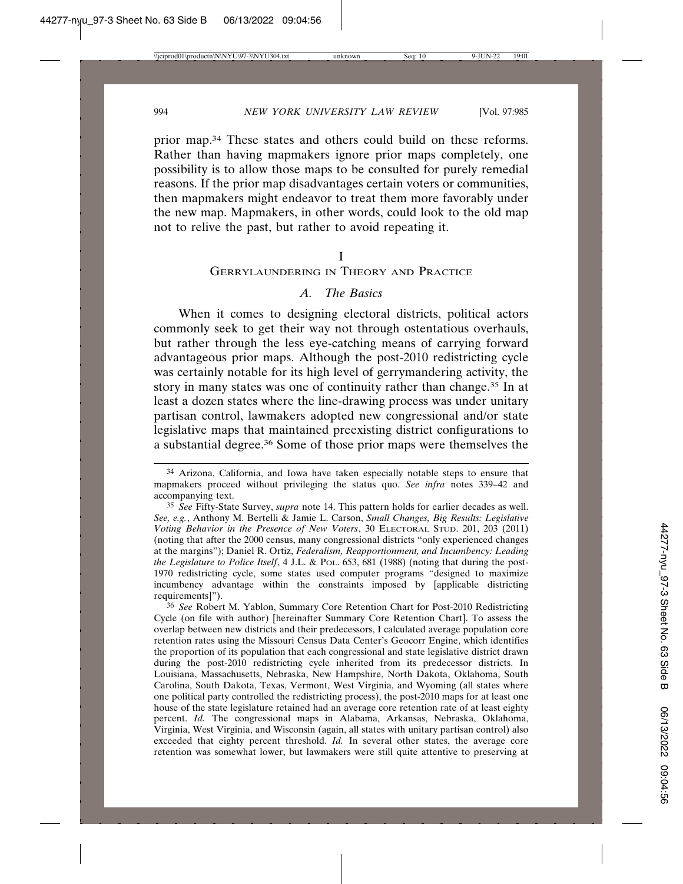prior map.34 These states and others could build on these reforms. Rather than having mapmakers ignore prior maps completely, one possibility is to allow those maps to be consulted for purely remedial reasons. If the prior map disadvantages certain voters or communities, then mapmakers might endeavor to treat them more favorably under the new map. Mapmakers, in other words, could look to the old map not to relive the past, but rather to avoid repeating it.

I

## GERRYLAUNDERING IN THEORY AND PRACTICE

## *A. The Basics*

When it comes to designing electoral districts, political actors commonly seek to get their way not through ostentatious overhauls, but rather through the less eye-catching means of carrying forward advantageous prior maps. Although the post-2010 redistricting cycle was certainly notable for its high level of gerrymandering activity, the story in many states was one of continuity rather than change.35 In at least a dozen states where the line-drawing process was under unitary partisan control, lawmakers adopted new congressional and/or state legislative maps that maintained preexisting district configurations to a substantial degree.36 Some of those prior maps were themselves the

<sup>34</sup> Arizona, California, and Iowa have taken especially notable steps to ensure that mapmakers proceed without privileging the status quo. *See infra* notes 339–42 and accompanying text.

<sup>35</sup> *See* Fifty-State Survey, *supra* note 14. This pattern holds for earlier decades as well. *See, e.g.*, Anthony M. Bertelli & Jamie L. Carson, *Small Changes, Big Results: Legislative Voting Behavior in the Presence of New Voters*, 30 ELECTORAL STUD. 201, 203 (2011) (noting that after the 2000 census, many congressional districts "only experienced changes at the margins"); Daniel R. Ortiz, *Federalism, Reapportionment, and Incumbency: Leading the Legislature to Police Itself*, 4 J.L. & POL. 653, 681 (1988) (noting that during the post-1970 redistricting cycle, some states used computer programs "designed to maximize incumbency advantage within the constraints imposed by [applicable districting requirements]").

<sup>36</sup> *See* Robert M. Yablon, Summary Core Retention Chart for Post-2010 Redistricting Cycle (on file with author) [hereinafter Summary Core Retention Chart]. To assess the overlap between new districts and their predecessors, I calculated average population core retention rates using the Missouri Census Data Center's Geocorr Engine, which identifies the proportion of its population that each congressional and state legislative district drawn during the post-2010 redistricting cycle inherited from its predecessor districts. In Louisiana, Massachusetts, Nebraska, New Hampshire, North Dakota, Oklahoma, South Carolina, South Dakota, Texas, Vermont, West Virginia, and Wyoming (all states where one political party controlled the redistricting process), the post-2010 maps for at least one house of the state legislature retained had an average core retention rate of at least eighty percent. *Id.* The congressional maps in Alabama, Arkansas, Nebraska, Oklahoma, Virginia, West Virginia, and Wisconsin (again, all states with unitary partisan control) also exceeded that eighty percent threshold. *Id.* In several other states, the average core retention was somewhat lower, but lawmakers were still quite attentive to preserving at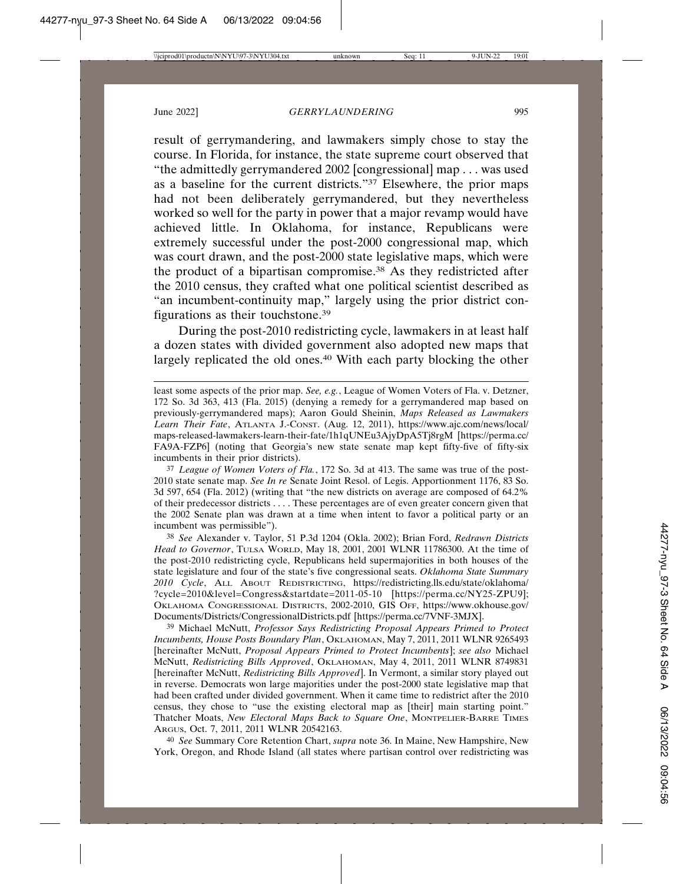result of gerrymandering, and lawmakers simply chose to stay the course. In Florida, for instance, the state supreme court observed that "the admittedly gerrymandered 2002 [congressional] map . . . was used as a baseline for the current districts."37 Elsewhere, the prior maps had not been deliberately gerrymandered, but they nevertheless worked so well for the party in power that a major revamp would have achieved little. In Oklahoma, for instance, Republicans were extremely successful under the post-2000 congressional map, which was court drawn, and the post-2000 state legislative maps, which were the product of a bipartisan compromise.38 As they redistricted after the 2010 census, they crafted what one political scientist described as "an incumbent-continuity map," largely using the prior district configurations as their touchstone.39

During the post-2010 redistricting cycle, lawmakers in at least half a dozen states with divided government also adopted new maps that largely replicated the old ones.<sup>40</sup> With each party blocking the other

37 *League of Women Voters of Fla.*, 172 So. 3d at 413. The same was true of the post-2010 state senate map. *See In re* Senate Joint Resol. of Legis. Apportionment 1176, 83 So. 3d 597, 654 (Fla. 2012) (writing that "the new districts on average are composed of 64.2% of their predecessor districts . . . . These percentages are of even greater concern given that the 2002 Senate plan was drawn at a time when intent to favor a political party or an incumbent was permissible").

38 *See* Alexander v. Taylor, 51 P.3d 1204 (Okla. 2002); Brian Ford, *Redrawn Districts Head to Governor*, TULSA WORLD, May 18, 2001, 2001 WLNR 11786300. At the time of the post-2010 redistricting cycle, Republicans held supermajorities in both houses of the state legislature and four of the state's five congressional seats. *Oklahoma State Summary 2010 Cycle*, ALL ABOUT REDISTRICTING, https://redistricting.lls.edu/state/oklahoma/ ?cycle=2010&level=Congress&startdate=2011-05-10 [https://perma.cc/NY25-ZPU9]; OKLAHOMA CONGRESSIONAL DISTRICTS, 2002-2010, GIS OFF, https://www.okhouse.gov/ Documents/Districts/CongressionalDistricts.pdf [https://perma.cc/7VNF-3MJX].

39 Michael McNutt, *Professor Says Redistricting Proposal Appears Primed to Protect Incumbents, House Posts Boundary Plan*, OKLAHOMAN, May 7, 2011, 2011 WLNR 9265493 [hereinafter McNutt, *Proposal Appears Primed to Protect Incumbents*]; *see also* Michael McNutt, *Redistricting Bills Approved*, OKLAHOMAN, May 4, 2011, 2011 WLNR 8749831 [hereinafter McNutt, *Redistricting Bills Approved*]. In Vermont, a similar story played out in reverse. Democrats won large majorities under the post-2000 state legislative map that had been crafted under divided government. When it came time to redistrict after the 2010 census, they chose to "use the existing electoral map as [their] main starting point." Thatcher Moats, *New Electoral Maps Back to Square One*, MONTPELIER-BARRE TIMES ARGUS, Oct. 7, 2011, 2011 WLNR 20542163.

40 *See* Summary Core Retention Chart, *supra* note 36. In Maine, New Hampshire, New York, Oregon, and Rhode Island (all states where partisan control over redistricting was

least some aspects of the prior map. *See, e.g.*, League of Women Voters of Fla. v. Detzner, 172 So. 3d 363, 413 (Fla. 2015) (denying a remedy for a gerrymandered map based on previously-gerrymandered maps); Aaron Gould Sheinin, *Maps Released as Lawmakers Learn Their Fate*, ATLANTA J.-CONST. (Aug. 12, 2011), https://www.ajc.com/news/local/ maps-released-lawmakers-learn-their-fate/1h1qUNEu3AjyDpA5Tj8rgM [https://perma.cc/ FA9A-FZP6] (noting that Georgia's new state senate map kept fifty-five of fifty-six incumbents in their prior districts).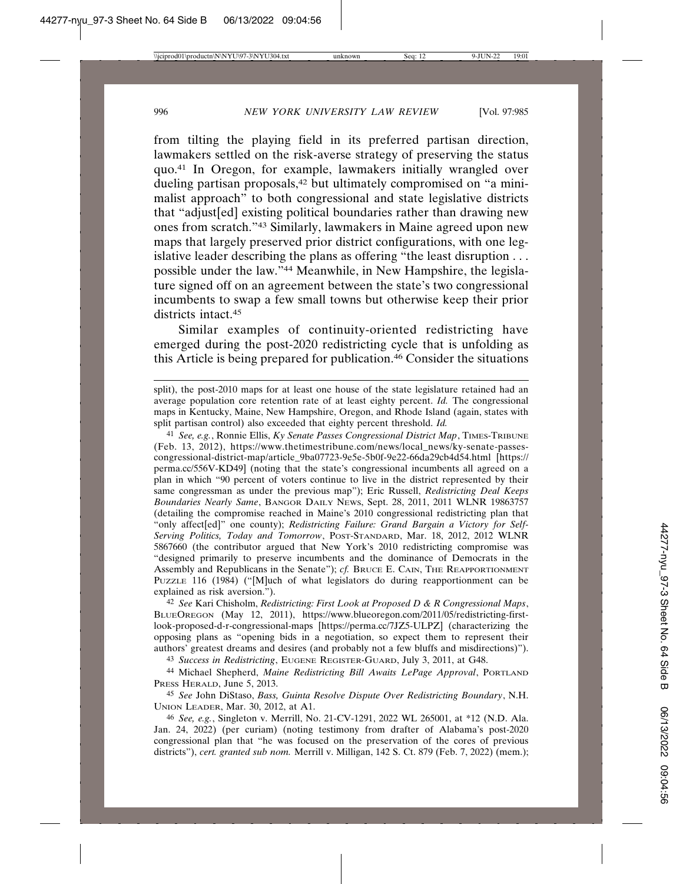from tilting the playing field in its preferred partisan direction, lawmakers settled on the risk-averse strategy of preserving the status quo.41 In Oregon, for example, lawmakers initially wrangled over dueling partisan proposals,<sup>42</sup> but ultimately compromised on "a minimalist approach" to both congressional and state legislative districts that "adjust[ed] existing political boundaries rather than drawing new ones from scratch."43 Similarly, lawmakers in Maine agreed upon new maps that largely preserved prior district configurations, with one legislative leader describing the plans as offering "the least disruption . . . possible under the law."44 Meanwhile, in New Hampshire, the legislature signed off on an agreement between the state's two congressional incumbents to swap a few small towns but otherwise keep their prior districts intact.<sup>45</sup>

Similar examples of continuity-oriented redistricting have emerged during the post-2020 redistricting cycle that is unfolding as this Article is being prepared for publication.46 Consider the situations

41 *See, e.g.*, Ronnie Ellis, *Ky Senate Passes Congressional District Map*, TIMES-TRIBUNE (Feb. 13, 2012), https://www.thetimestribune.com/news/local\_news/ky-senate-passescongressional-district-map/article\_9ba07723-9e5e-5b0f-9e22-66da29cb4d54.html [https:// perma.cc/556V-KD49] (noting that the state's congressional incumbents all agreed on a plan in which "90 percent of voters continue to live in the district represented by their same congressman as under the previous map"); Eric Russell, *Redistricting Deal Keeps Boundaries Nearly Same*, BANGOR DAILY NEWS, Sept. 28, 2011, 2011 WLNR 19863757 (detailing the compromise reached in Maine's 2010 congressional redistricting plan that "only affect[ed]" one county); *Redistricting Failure: Grand Bargain a Victory for Self-Serving Politics, Today and Tomorrow*, POST-STANDARD, Mar. 18, 2012, 2012 WLNR 5867660 (the contributor argued that New York's 2010 redistricting compromise was "designed primarily to preserve incumbents and the dominance of Democrats in the Assembly and Republicans in the Senate"); *cf.* BRUCE E. CAIN, THE REAPPORTIONMENT PUZZLE 116 (1984) ("[M]uch of what legislators do during reapportionment can be explained as risk aversion.").

42 *See* Kari Chisholm, *Redistricting: First Look at Proposed D & R Congressional Maps*, BLUEOREGON (May 12, 2011), https://www.blueoregon.com/2011/05/redistricting-firstlook-proposed-d-r-congressional-maps [https://perma.cc/7JZ5-ULPZ] (characterizing the opposing plans as "opening bids in a negotiation, so expect them to represent their authors' greatest dreams and desires (and probably not a few bluffs and misdirections)").

43 *Success in Redistricting*, EUGENE REGISTER-GUARD, July 3, 2011, at G48.

44 Michael Shepherd, *Maine Redistricting Bill Awaits LePage Approval*, PORTLAND PRESS HERALD, June 5, 2013.

45 *See* John DiStaso, *Bass, Guinta Resolve Dispute Over Redistricting Boundary*, N.H. UNION LEADER, Mar. 30, 2012, at A1.

46 *See, e.g.*, Singleton v. Merrill, No. 21-CV-1291, 2022 WL 265001, at \*12 (N.D. Ala. Jan. 24, 2022) (per curiam) (noting testimony from drafter of Alabama's post-2020 congressional plan that "he was focused on the preservation of the cores of previous districts"), *cert. granted sub nom.* Merrill v. Milligan, 142 S. Ct. 879 (Feb. 7, 2022) (mem.);

split), the post-2010 maps for at least one house of the state legislature retained had an average population core retention rate of at least eighty percent. *Id.* The congressional maps in Kentucky, Maine, New Hampshire, Oregon, and Rhode Island (again, states with split partisan control) also exceeded that eighty percent threshold. *Id.*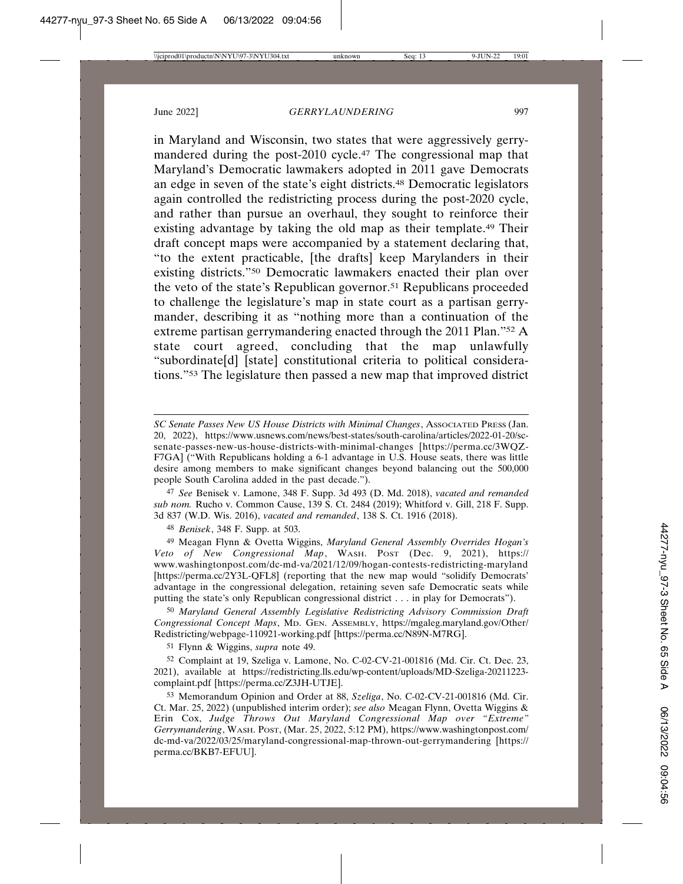in Maryland and Wisconsin, two states that were aggressively gerrymandered during the post-2010 cycle.47 The congressional map that Maryland's Democratic lawmakers adopted in 2011 gave Democrats an edge in seven of the state's eight districts.48 Democratic legislators again controlled the redistricting process during the post-2020 cycle, and rather than pursue an overhaul, they sought to reinforce their existing advantage by taking the old map as their template.49 Their draft concept maps were accompanied by a statement declaring that, "to the extent practicable, [the drafts] keep Marylanders in their existing districts."50 Democratic lawmakers enacted their plan over the veto of the state's Republican governor.51 Republicans proceeded to challenge the legislature's map in state court as a partisan gerrymander, describing it as "nothing more than a continuation of the extreme partisan gerrymandering enacted through the 2011 Plan."52 A state court agreed, concluding that the map unlawfully "subordinate[d] [state] constitutional criteria to political considerations."53 The legislature then passed a new map that improved district

47 *See* Benisek v. Lamone, 348 F. Supp. 3d 493 (D. Md. 2018), *vacated and remanded sub nom.* Rucho v. Common Cause, 139 S. Ct. 2484 (2019); Whitford v. Gill, 218 F. Supp. 3d 837 (W.D. Wis. 2016), *vacated and remanded*, 138 S. Ct. 1916 (2018).

48 *Benisek*, 348 F. Supp. at 503.

49 Meagan Flynn & Ovetta Wiggins, *Maryland General Assembly Overrides Hogan's Veto of New Congressional Map*, WASH. POST (Dec. 9, 2021), https:// www.washingtonpost.com/dc-md-va/2021/12/09/hogan-contests-redistricting-maryland [https://perma.cc/2Y3L-QFL8] (reporting that the new map would "solidify Democrats' advantage in the congressional delegation, retaining seven safe Democratic seats while putting the state's only Republican congressional district . . . in play for Democrats").

50 *Maryland General Assembly Legislative Redistricting Advisory Commission Draft Congressional Concept Maps*, MD. GEN. ASSEMBLY, https://mgaleg.maryland.gov/Other/ Redistricting/webpage-110921-working.pdf [https://perma.cc/N89N-M7RG].

51 Flynn & Wiggins, *supra* note 49.

52 Complaint at 19, Szeliga v. Lamone, No. C-02-CV-21-001816 (Md. Cir. Ct. Dec. 23, 2021), available at https://redistricting.lls.edu/wp-content/uploads/MD-Szeliga-20211223 complaint.pdf [https://perma.cc/Z3JH-UTJE].

53 Memorandum Opinion and Order at 88, *Szeliga*, No. C-02-CV-21-001816 (Md. Cir. Ct. Mar. 25, 2022) (unpublished interim order); *see also* Meagan Flynn, Ovetta Wiggins & Erin Cox, *Judge Throws Out Maryland Congressional Map over "Extreme" Gerrymandering*, WASH. POST, (Mar. 25, 2022, 5:12 PM), https://www.washingtonpost.com/ dc-md-va/2022/03/25/maryland-congressional-map-thrown-out-gerrymandering [https:// perma.cc/BKB7-EFUU].

*SC Senate Passes New US House Districts with Minimal Changes*, ASSOCIATED PRESS (Jan. 20, 2022), https://www.usnews.com/news/best-states/south-carolina/articles/2022-01-20/scsenate-passes-new-us-house-districts-with-minimal-changes [https://perma.cc/3WQZ-F7GA] ("With Republicans holding a 6-1 advantage in U.S. House seats, there was little desire among members to make significant changes beyond balancing out the 500,000 people South Carolina added in the past decade.").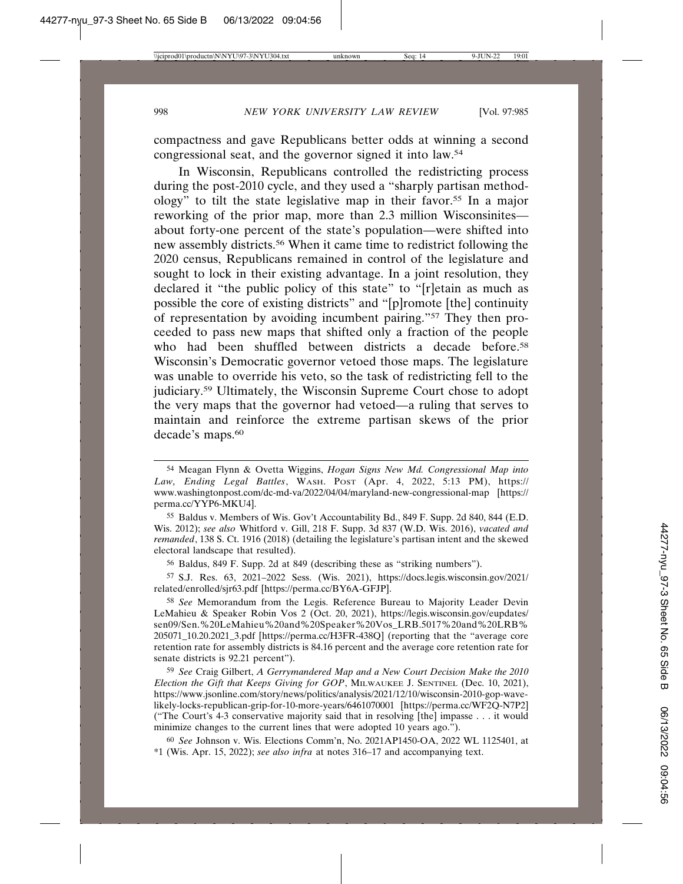compactness and gave Republicans better odds at winning a second congressional seat, and the governor signed it into law.54

In Wisconsin, Republicans controlled the redistricting process during the post-2010 cycle, and they used a "sharply partisan methodology" to tilt the state legislative map in their favor.55 In a major reworking of the prior map, more than 2.3 million Wisconsinites about forty-one percent of the state's population—were shifted into new assembly districts.56 When it came time to redistrict following the 2020 census, Republicans remained in control of the legislature and sought to lock in their existing advantage. In a joint resolution, they declared it "the public policy of this state" to "[r]etain as much as possible the core of existing districts" and "[p]romote [the] continuity of representation by avoiding incumbent pairing."57 They then proceeded to pass new maps that shifted only a fraction of the people who had been shuffled between districts a decade before.<sup>58</sup> Wisconsin's Democratic governor vetoed those maps. The legislature was unable to override his veto, so the task of redistricting fell to the judiciary.59 Ultimately, the Wisconsin Supreme Court chose to adopt the very maps that the governor had vetoed—a ruling that serves to maintain and reinforce the extreme partisan skews of the prior decade's maps.<sup>60</sup>

55 Baldus v. Members of Wis. Gov't Accountability Bd., 849 F. Supp. 2d 840, 844 (E.D. Wis. 2012); *see also* Whitford v. Gill, 218 F. Supp. 3d 837 (W.D. Wis. 2016), *vacated and remanded*, 138 S. Ct. 1916 (2018) (detailing the legislature's partisan intent and the skewed electoral landscape that resulted).

56 Baldus, 849 F. Supp. 2d at 849 (describing these as "striking numbers").

57 S.J. Res. 63, 2021–2022 Sess. (Wis. 2021), https://docs.legis.wisconsin.gov/2021/ related/enrolled/sjr63.pdf [https://perma.cc/BY6A-GFJP].

58 *See* Memorandum from the Legis. Reference Bureau to Majority Leader Devin LeMahieu & Speaker Robin Vos 2 (Oct. 20, 2021), https://legis.wisconsin.gov/eupdates/ sen09/Sen.%20LeMahieu%20and%20Speaker%20Vos\_LRB.5017%20and%20LRB% 205071\_10.20.2021\_3.pdf [https://perma.cc/H3FR-438Q] (reporting that the "average core retention rate for assembly districts is 84.16 percent and the average core retention rate for senate districts is 92.21 percent").

59 *See* Craig Gilbert, *A Gerrymandered Map and a New Court Decision Make the 2010 Election the Gift that Keeps Giving for GOP*, MILWAUKEE J. SENTINEL (Dec. 10, 2021), https://www.jsonline.com/story/news/politics/analysis/2021/12/10/wisconsin-2010-gop-wavelikely-locks-republican-grip-for-10-more-years/6461070001 [https://perma.cc/WF2Q-N7P2] ("The Court's 4-3 conservative majority said that in resolving [the] impasse . . . it would minimize changes to the current lines that were adopted 10 years ago.").

60 *See* Johnson v. Wis. Elections Comm'n, No. 2021AP1450-OA, 2022 WL 1125401, at \*1 (Wis. Apr. 15, 2022); *see also infra* at notes 316–17 and accompanying text.

<sup>54</sup> Meagan Flynn & Ovetta Wiggins, *Hogan Signs New Md. Congressional Map into Law, Ending Legal Battles*, WASH. POST (Apr. 4, 2022, 5:13 PM), https:// www.washingtonpost.com/dc-md-va/2022/04/04/maryland-new-congressional-map [https:// perma.cc/YYP6-MKU4].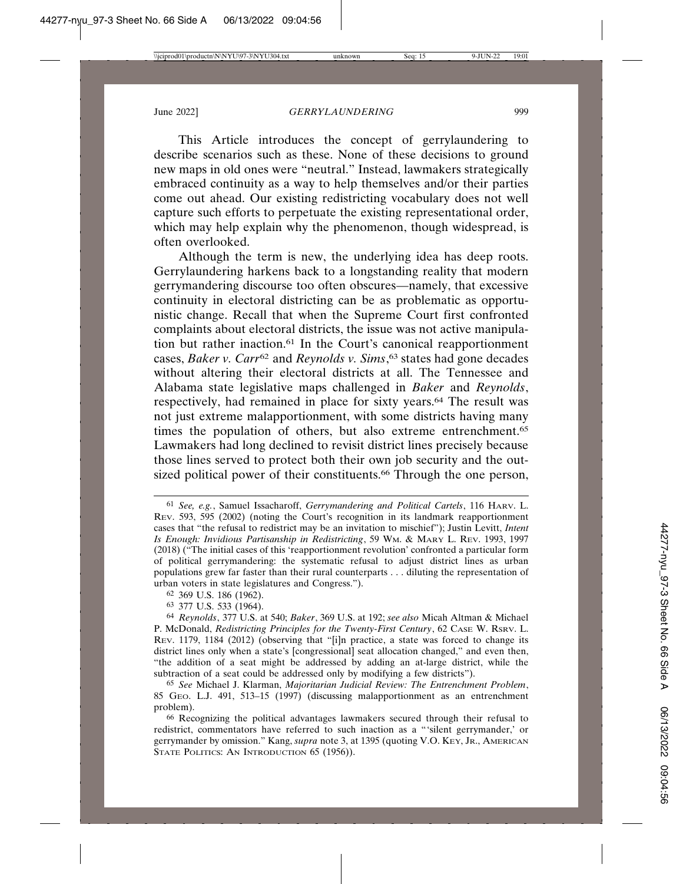This Article introduces the concept of gerrylaundering to describe scenarios such as these. None of these decisions to ground new maps in old ones were "neutral." Instead, lawmakers strategically embraced continuity as a way to help themselves and/or their parties come out ahead. Our existing redistricting vocabulary does not well capture such efforts to perpetuate the existing representational order, which may help explain why the phenomenon, though widespread, is often overlooked.

Although the term is new, the underlying idea has deep roots. Gerrylaundering harkens back to a longstanding reality that modern gerrymandering discourse too often obscures—namely, that excessive continuity in electoral districting can be as problematic as opportunistic change. Recall that when the Supreme Court first confronted complaints about electoral districts, the issue was not active manipulation but rather inaction.61 In the Court's canonical reapportionment cases, *Baker v. Carr*<sup>62</sup> and *Reynolds v. Sims*, 63 states had gone decades without altering their electoral districts at all. The Tennessee and Alabama state legislative maps challenged in *Baker* and *Reynolds*, respectively, had remained in place for sixty years.64 The result was not just extreme malapportionment, with some districts having many times the population of others, but also extreme entrenchment.<sup>65</sup> Lawmakers had long declined to revisit district lines precisely because those lines served to protect both their own job security and the outsized political power of their constituents.<sup>66</sup> Through the one person,

<sup>61</sup> *See, e.g.*, Samuel Issacharoff, *Gerrymandering and Political Cartels*, 116 HARV. L. REV. 593, 595 (2002) (noting the Court's recognition in its landmark reapportionment cases that "the refusal to redistrict may be an invitation to mischief"); Justin Levitt, *Intent Is Enough: Invidious Partisanship in Redistricting*, 59 WM. & MARY L. REV. 1993, 1997 (2018) ("The initial cases of this 'reapportionment revolution' confronted a particular form of political gerrymandering: the systematic refusal to adjust district lines as urban populations grew far faster than their rural counterparts . . . diluting the representation of urban voters in state legislatures and Congress.").

<sup>62</sup> 369 U.S. 186 (1962).

<sup>63</sup> 377 U.S. 533 (1964).

<sup>64</sup> *Reynolds*, 377 U.S. at 540; *Baker*, 369 U.S. at 192; *see also* Micah Altman & Michael P. McDonald, *Redistricting Principles for the Twenty-First Century*, 62 CASE W. RSRV. L. REV. 1179, 1184 (2012) (observing that "[i]n practice, a state was forced to change its district lines only when a state's [congressional] seat allocation changed," and even then, "the addition of a seat might be addressed by adding an at-large district, while the subtraction of a seat could be addressed only by modifying a few districts").

<sup>65</sup> *See* Michael J. Klarman, *Majoritarian Judicial Review: The Entrenchment Problem*, 85 GEO. L.J. 491, 513–15 (1997) (discussing malapportionment as an entrenchment problem).

<sup>66</sup> Recognizing the political advantages lawmakers secured through their refusal to redistrict, commentators have referred to such inaction as a "'silent gerrymander,' or gerrymander by omission." Kang, *supra* note 3, at 1395 (quoting V.O. KEY, JR., AMERICAN STATE POLITICS: AN INTRODUCTION 65 (1956)).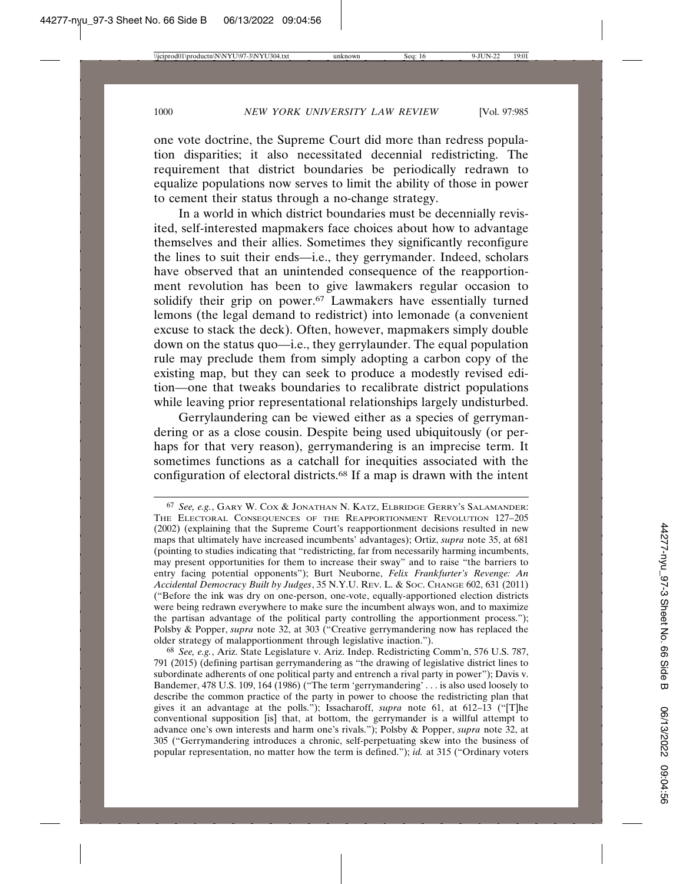one vote doctrine, the Supreme Court did more than redress population disparities; it also necessitated decennial redistricting. The requirement that district boundaries be periodically redrawn to equalize populations now serves to limit the ability of those in power to cement their status through a no-change strategy.

In a world in which district boundaries must be decennially revisited, self-interested mapmakers face choices about how to advantage themselves and their allies. Sometimes they significantly reconfigure the lines to suit their ends—i.e., they gerrymander. Indeed, scholars have observed that an unintended consequence of the reapportionment revolution has been to give lawmakers regular occasion to solidify their grip on power.<sup>67</sup> Lawmakers have essentially turned lemons (the legal demand to redistrict) into lemonade (a convenient excuse to stack the deck). Often, however, mapmakers simply double down on the status quo—i.e., they gerrylaunder. The equal population rule may preclude them from simply adopting a carbon copy of the existing map, but they can seek to produce a modestly revised edition—one that tweaks boundaries to recalibrate district populations while leaving prior representational relationships largely undisturbed.

Gerrylaundering can be viewed either as a species of gerrymandering or as a close cousin. Despite being used ubiquitously (or perhaps for that very reason), gerrymandering is an imprecise term. It sometimes functions as a catchall for inequities associated with the configuration of electoral districts.68 If a map is drawn with the intent

<sup>67</sup> *See, e.g.*, GARY W. COX & JONATHAN N. KATZ, ELBRIDGE GERRY'S SALAMANDER: THE ELECTORAL CONSEQUENCES OF THE REAPPORTIONMENT REVOLUTION 127–205 (2002) (explaining that the Supreme Court's reapportionment decisions resulted in new maps that ultimately have increased incumbents' advantages); Ortiz, *supra* note 35, at 681 (pointing to studies indicating that "redistricting, far from necessarily harming incumbents, may present opportunities for them to increase their sway" and to raise "the barriers to entry facing potential opponents"); Burt Neuborne, *Felix Frankfurter's Revenge: An Accidental Democracy Built by Judges*, 35 N.Y.U. REV. L. & SOC. CHANGE 602, 631 (2011) ("Before the ink was dry on one-person, one-vote, equally-apportioned election districts were being redrawn everywhere to make sure the incumbent always won, and to maximize the partisan advantage of the political party controlling the apportionment process."); Polsby & Popper, *supra* note 32, at 303 ("Creative gerrymandering now has replaced the older strategy of malapportionment through legislative inaction.").

<sup>68</sup> *See, e.g.*, Ariz. State Legislature v. Ariz. Indep. Redistricting Comm'n, 576 U.S. 787, 791 (2015) (defining partisan gerrymandering as "the drawing of legislative district lines to subordinate adherents of one political party and entrench a rival party in power"); Davis v. Bandemer, 478 U.S. 109, 164 (1986) ("The term 'gerrymandering' . . . is also used loosely to describe the common practice of the party in power to choose the redistricting plan that gives it an advantage at the polls."); Issacharoff, *supra* note 61, at 612–13 ("[T]he conventional supposition [is] that, at bottom, the gerrymander is a willful attempt to advance one's own interests and harm one's rivals."); Polsby & Popper, *supra* note 32, at 305 ("Gerrymandering introduces a chronic, self-perpetuating skew into the business of popular representation, no matter how the term is defined."); *id.* at 315 ("Ordinary voters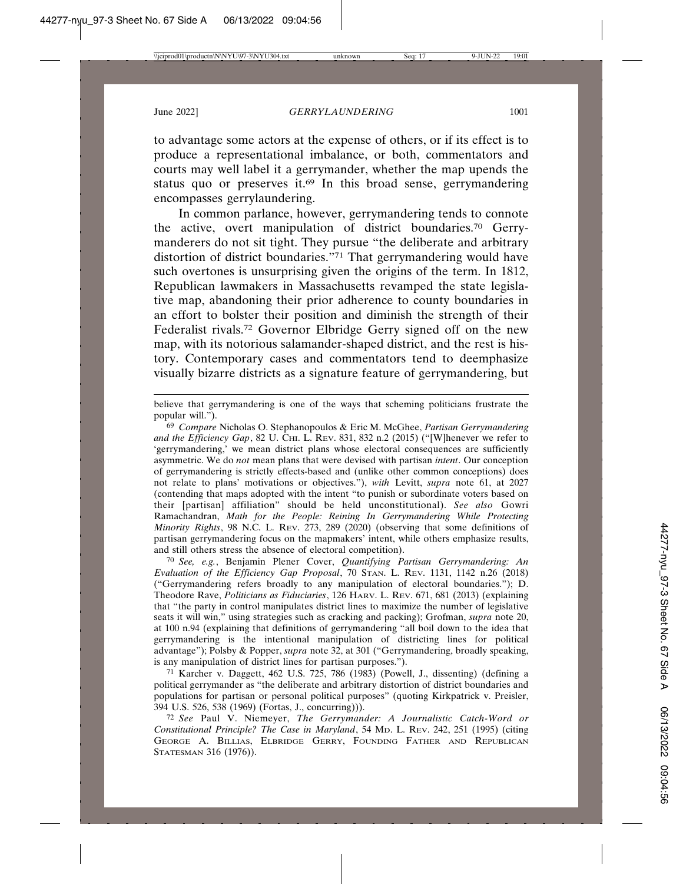to advantage some actors at the expense of others, or if its effect is to produce a representational imbalance, or both, commentators and courts may well label it a gerrymander, whether the map upends the status quo or preserves it.69 In this broad sense, gerrymandering encompasses gerrylaundering.

In common parlance, however, gerrymandering tends to connote the active, overt manipulation of district boundaries.70 Gerrymanderers do not sit tight. They pursue "the deliberate and arbitrary distortion of district boundaries."71 That gerrymandering would have such overtones is unsurprising given the origins of the term. In 1812, Republican lawmakers in Massachusetts revamped the state legislative map, abandoning their prior adherence to county boundaries in an effort to bolster their position and diminish the strength of their Federalist rivals.72 Governor Elbridge Gerry signed off on the new map, with its notorious salamander-shaped district, and the rest is history. Contemporary cases and commentators tend to deemphasize visually bizarre districts as a signature feature of gerrymandering, but

70 *See, e.g.*, Benjamin Plener Cover, *Quantifying Partisan Gerrymandering: An Evaluation of the Efficiency Gap Proposal*, 70 STAN. L. REV. 1131, 1142 n.26 (2018) ("Gerrymandering refers broadly to any manipulation of electoral boundaries."); D. Theodore Rave, *Politicians as Fiduciaries*, 126 HARV. L. REV. 671, 681 (2013) (explaining that "the party in control manipulates district lines to maximize the number of legislative seats it will win," using strategies such as cracking and packing); Grofman, *supra* note 20, at 100 n.94 (explaining that definitions of gerrymandering "all boil down to the idea that gerrymandering is the intentional manipulation of districting lines for political advantage"); Polsby & Popper, *supra* note 32, at 301 ("Gerrymandering, broadly speaking, is any manipulation of district lines for partisan purposes.").

71 Karcher v. Daggett, 462 U.S. 725, 786 (1983) (Powell, J., dissenting) (defining a political gerrymander as "the deliberate and arbitrary distortion of district boundaries and populations for partisan or personal political purposes" (quoting Kirkpatrick v. Preisler, 394 U.S. 526, 538 (1969) (Fortas, J., concurring))).

72 *See* Paul V. Niemeyer, *The Gerrymander: A Journalistic Catch-Word or Constitutional Principle? The Case in Maryland*, 54 MD. L. REV. 242, 251 (1995) (citing GEORGE A. BILLIAS, ELBRIDGE GERRY, FOUNDING FATHER AND REPUBLICAN STATESMAN 316 (1976)).

believe that gerrymandering is one of the ways that scheming politicians frustrate the popular will.").

<sup>69</sup> *Compare* Nicholas O. Stephanopoulos & Eric M. McGhee, *Partisan Gerrymandering and the Efficiency Gap*, 82 U. CHI. L. REV. 831, 832 n.2 (2015) ("[W]henever we refer to 'gerrymandering,' we mean district plans whose electoral consequences are sufficiently asymmetric. We do *not* mean plans that were devised with partisan *intent*. Our conception of gerrymandering is strictly effects-based and (unlike other common conceptions) does not relate to plans' motivations or objectives."), *with* Levitt, *supra* note 61, at 2027 (contending that maps adopted with the intent "to punish or subordinate voters based on their [partisan] affiliation" should be held unconstitutional). *See also* Gowri Ramachandran, *Math for the People: Reining In Gerrymandering While Protecting Minority Rights*, 98 N.C. L. REV. 273, 289 (2020) (observing that some definitions of partisan gerrymandering focus on the mapmakers' intent, while others emphasize results, and still others stress the absence of electoral competition).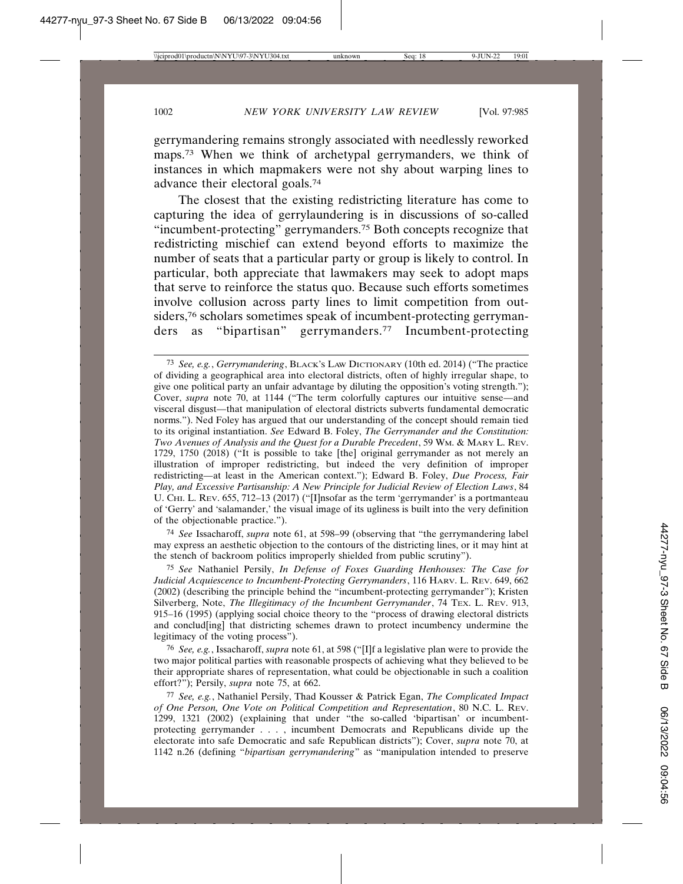gerrymandering remains strongly associated with needlessly reworked maps.<sup>73</sup> When we think of archetypal gerrymanders, we think of instances in which mapmakers were not shy about warping lines to advance their electoral goals.74

The closest that the existing redistricting literature has come to capturing the idea of gerrylaundering is in discussions of so-called "incumbent-protecting" gerrymanders.75 Both concepts recognize that redistricting mischief can extend beyond efforts to maximize the number of seats that a particular party or group is likely to control. In particular, both appreciate that lawmakers may seek to adopt maps that serve to reinforce the status quo. Because such efforts sometimes involve collusion across party lines to limit competition from outsiders,<sup>76</sup> scholars sometimes speak of incumbent-protecting gerrymanders as "bipartisan" gerrymanders.77 Incumbent-protecting

74 *See* Issacharoff, *supra* note 61, at 598–99 (observing that "the gerrymandering label may express an aesthetic objection to the contours of the districting lines, or it may hint at the stench of backroom politics improperly shielded from public scrutiny").

75 *See* Nathaniel Persily, *In Defense of Foxes Guarding Henhouses: The Case for Judicial Acquiescence to Incumbent-Protecting Gerrymanders*, 116 HARV. L. REV. 649, 662 (2002) (describing the principle behind the "incumbent-protecting gerrymander"); Kristen Silverberg, Note, *The Illegitimacy of the Incumbent Gerrymander*, 74 TEX. L. REV. 913, 915–16 (1995) (applying social choice theory to the "process of drawing electoral districts and conclud[ing] that districting schemes drawn to protect incumbency undermine the legitimacy of the voting process").

76 *See, e.g.*, Issacharoff, *supra* note 61, at 598 ("[I]f a legislative plan were to provide the two major political parties with reasonable prospects of achieving what they believed to be their appropriate shares of representation, what could be objectionable in such a coalition effort?"); Persily, *supra* note 75, at 662.

77 *See, e.g.*, Nathaniel Persily, Thad Kousser & Patrick Egan, *The Complicated Impact of One Person, One Vote on Political Competition and Representation*, 80 N.C. L. REV. 1299, 1321 (2002) (explaining that under "the so-called 'bipartisan' or incumbentprotecting gerrymander . . . , incumbent Democrats and Republicans divide up the electorate into safe Democratic and safe Republican districts"); Cover, *supra* note 70, at 1142 n.26 (defining "*bipartisan gerrymandering*" as "manipulation intended to preserve

<sup>73</sup> *See, e.g.*, *Gerrymandering*, BLACK'S LAW DICTIONARY (10th ed. 2014) ("The practice of dividing a geographical area into electoral districts, often of highly irregular shape, to give one political party an unfair advantage by diluting the opposition's voting strength."); Cover, *supra* note 70, at 1144 ("The term colorfully captures our intuitive sense—and visceral disgust—that manipulation of electoral districts subverts fundamental democratic norms."). Ned Foley has argued that our understanding of the concept should remain tied to its original instantiation. *See* Edward B. Foley, *The Gerrymander and the Constitution: Two Avenues of Analysis and the Quest for a Durable Precedent*, 59 WM. & MARY L. REV. 1729, 1750 (2018) ("It is possible to take [the] original gerrymander as not merely an illustration of improper redistricting, but indeed the very definition of improper redistricting—at least in the American context."); Edward B. Foley, *Due Process, Fair Play, and Excessive Partisanship: A New Principle for Judicial Review of Election Laws*, 84 U. CHI. L. REV. 655, 712-13 (2017) ("[I]nsofar as the term 'gerrymander' is a portmanteau of 'Gerry' and 'salamander,' the visual image of its ugliness is built into the very definition of the objectionable practice.").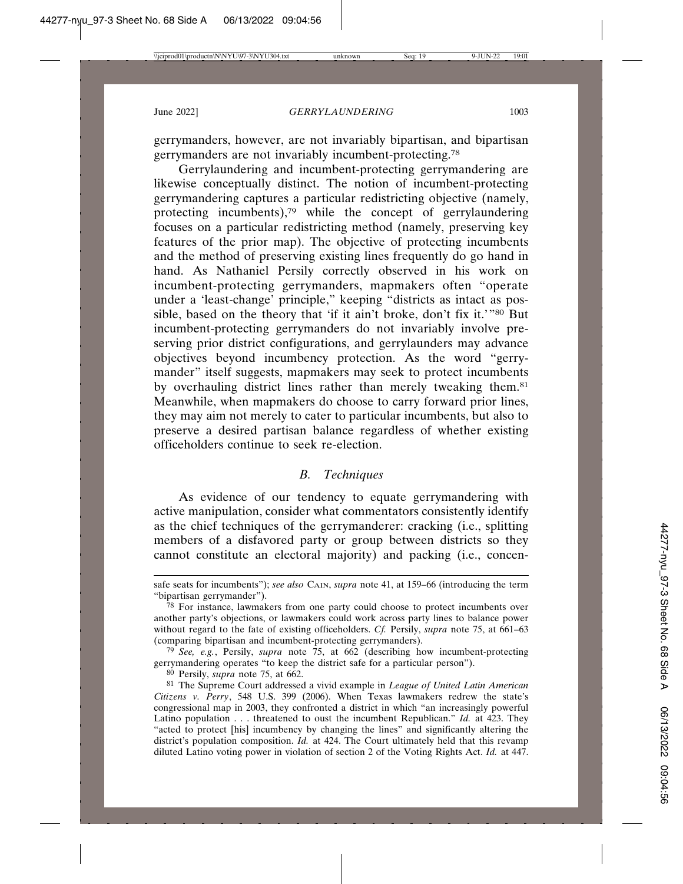gerrymanders, however, are not invariably bipartisan, and bipartisan gerrymanders are not invariably incumbent-protecting.<sup>78</sup>

Gerrylaundering and incumbent-protecting gerrymandering are likewise conceptually distinct. The notion of incumbent-protecting gerrymandering captures a particular redistricting objective (namely, protecting incumbents),<sup>79</sup> while the concept of gerrylaundering focuses on a particular redistricting method (namely, preserving key features of the prior map). The objective of protecting incumbents and the method of preserving existing lines frequently do go hand in hand. As Nathaniel Persily correctly observed in his work on incumbent-protecting gerrymanders, mapmakers often "operate under a 'least-change' principle," keeping "districts as intact as possible, based on the theory that 'if it ain't broke, don't fix it.'"80 But incumbent-protecting gerrymanders do not invariably involve preserving prior district configurations, and gerrylaunders may advance objectives beyond incumbency protection. As the word "gerrymander" itself suggests, mapmakers may seek to protect incumbents by overhauling district lines rather than merely tweaking them.<sup>81</sup> Meanwhile, when mapmakers do choose to carry forward prior lines, they may aim not merely to cater to particular incumbents, but also to preserve a desired partisan balance regardless of whether existing officeholders continue to seek re-election.

## *B. Techniques*

As evidence of our tendency to equate gerrymandering with active manipulation, consider what commentators consistently identify as the chief techniques of the gerrymanderer: cracking (i.e., splitting members of a disfavored party or group between districts so they cannot constitute an electoral majority) and packing (i.e., concen-

79 *See, e.g.*, Persily, *supra* note 75, at 662 (describing how incumbent-protecting gerrymandering operates "to keep the district safe for a particular person").

80 Persily, *supra* note 75, at 662.

safe seats for incumbents"); *see also* CAIN, *supra* note 41, at 159–66 (introducing the term "bipartisan gerrymander").

 $78$  For instance, lawmakers from one party could choose to protect incumbents over another party's objections, or lawmakers could work across party lines to balance power without regard to the fate of existing officeholders. *Cf.* Persily, *supra* note 75, at 661–63 (comparing bipartisan and incumbent-protecting gerrymanders).

<sup>81</sup> The Supreme Court addressed a vivid example in *League of United Latin American Citizens v. Perry*, 548 U.S. 399 (2006). When Texas lawmakers redrew the state's congressional map in 2003, they confronted a district in which "an increasingly powerful Latino population . . . threatened to oust the incumbent Republican." *Id.* at 423. They "acted to protect [his] incumbency by changing the lines" and significantly altering the district's population composition. *Id.* at 424. The Court ultimately held that this revamp diluted Latino voting power in violation of section 2 of the Voting Rights Act. *Id.* at 447.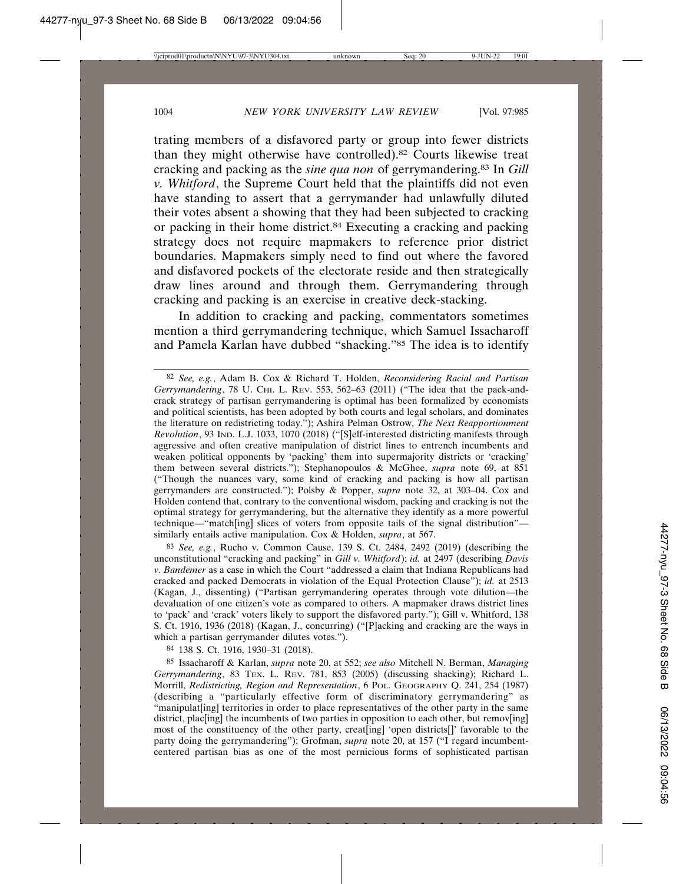trating members of a disfavored party or group into fewer districts than they might otherwise have controlled).82 Courts likewise treat cracking and packing as the *sine qua non* of gerrymandering.83 In *Gill v. Whitford*, the Supreme Court held that the plaintiffs did not even have standing to assert that a gerrymander had unlawfully diluted their votes absent a showing that they had been subjected to cracking or packing in their home district.84 Executing a cracking and packing strategy does not require mapmakers to reference prior district boundaries. Mapmakers simply need to find out where the favored and disfavored pockets of the electorate reside and then strategically draw lines around and through them. Gerrymandering through cracking and packing is an exercise in creative deck-stacking.

In addition to cracking and packing, commentators sometimes mention a third gerrymandering technique, which Samuel Issacharoff and Pamela Karlan have dubbed "shacking."85 The idea is to identify

83 *See, e.g.*, Rucho v. Common Cause, 139 S. Ct. 2484, 2492 (2019) (describing the unconstitutional "cracking and packing" in *Gill v. Whitford*); *id.* at 2497 (describing *Davis v. Bandemer* as a case in which the Court "addressed a claim that Indiana Republicans had cracked and packed Democrats in violation of the Equal Protection Clause"); *id.* at 2513 (Kagan, J., dissenting) ("Partisan gerrymandering operates through vote dilution—the devaluation of one citizen's vote as compared to others. A mapmaker draws district lines to 'pack' and 'crack' voters likely to support the disfavored party."); Gill v. Whitford, 138 S. Ct. 1916, 1936 (2018) (Kagan, J., concurring) ("[P]acking and cracking are the ways in which a partisan gerrymander dilutes votes.").

84 138 S. Ct. 1916, 1930–31 (2018).

85 Issacharoff & Karlan, *supra* note 20, at 552; *see also* Mitchell N. Berman, *Managing Gerrymandering*, 83 TEX. L. REV. 781, 853 (2005) (discussing shacking); Richard L. Morrill, *Redistricting, Region and Representation*, 6 POL. GEOGRAPHY Q. 241, 254 (1987) (describing a "particularly effective form of discriminatory gerrymandering" as "manipulat[ing] territories in order to place representatives of the other party in the same district, placence incumbents of two parties in opposition to each other, but remover  $\left[\frac{1}{10}\right]$ most of the constituency of the other party, creat[ing] 'open districts[]' favorable to the party doing the gerrymandering"); Grofman, *supra* note 20, at 157 ("I regard incumbentcentered partisan bias as one of the most pernicious forms of sophisticated partisan

<sup>82</sup> *See, e.g.*, Adam B. Cox & Richard T. Holden, *Reconsidering Racial and Partisan Gerrymandering*, 78 U. CHI. L. REV. 553, 562-63 (2011) ("The idea that the pack-andcrack strategy of partisan gerrymandering is optimal has been formalized by economists and political scientists, has been adopted by both courts and legal scholars, and dominates the literature on redistricting today."); Ashira Pelman Ostrow, *The Next Reapportionment Revolution*, 93 IND. L.J. 1033, 1070 (2018) ("[S]elf-interested districting manifests through aggressive and often creative manipulation of district lines to entrench incumbents and weaken political opponents by 'packing' them into supermajority districts or 'cracking' them between several districts."); Stephanopoulos & McGhee, *supra* note 69, at 851 ("Though the nuances vary, some kind of cracking and packing is how all partisan gerrymanders are constructed."); Polsby & Popper, *supra* note 32, at 303–04. Cox and Holden contend that, contrary to the conventional wisdom, packing and cracking is not the optimal strategy for gerrymandering, but the alternative they identify as a more powerful technique—"match[ing] slices of voters from opposite tails of the signal distribution" similarly entails active manipulation. Cox & Holden, *supra*, at 567.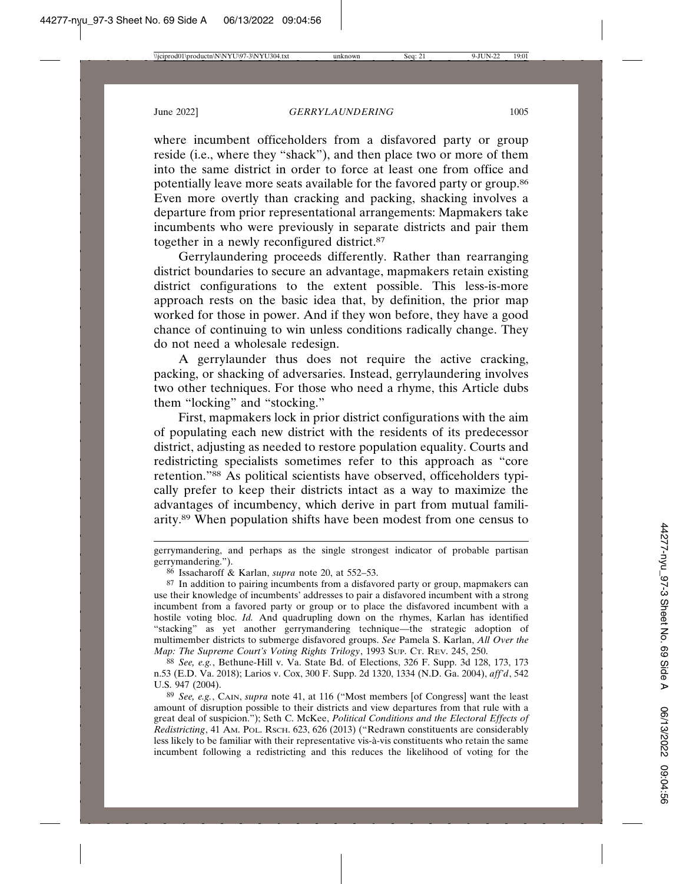where incumbent officeholders from a disfavored party or group reside (i.e., where they "shack"), and then place two or more of them into the same district in order to force at least one from office and potentially leave more seats available for the favored party or group.86 Even more overtly than cracking and packing, shacking involves a departure from prior representational arrangements: Mapmakers take incumbents who were previously in separate districts and pair them together in a newly reconfigured district.87

Gerrylaundering proceeds differently. Rather than rearranging district boundaries to secure an advantage, mapmakers retain existing district configurations to the extent possible. This less-is-more approach rests on the basic idea that, by definition, the prior map worked for those in power. And if they won before, they have a good chance of continuing to win unless conditions radically change. They do not need a wholesale redesign.

A gerrylaunder thus does not require the active cracking, packing, or shacking of adversaries. Instead, gerrylaundering involves two other techniques. For those who need a rhyme, this Article dubs them "locking" and "stocking."

First, mapmakers lock in prior district configurations with the aim of populating each new district with the residents of its predecessor district, adjusting as needed to restore population equality. Courts and redistricting specialists sometimes refer to this approach as "core retention."88 As political scientists have observed, officeholders typically prefer to keep their districts intact as a way to maximize the advantages of incumbency, which derive in part from mutual familiarity.89 When population shifts have been modest from one census to

gerrymandering, and perhaps as the single strongest indicator of probable partisan gerrymandering.").

<sup>86</sup> Issacharoff & Karlan, *supra* note 20, at 552–53.

<sup>87</sup> In addition to pairing incumbents from a disfavored party or group, mapmakers can use their knowledge of incumbents' addresses to pair a disfavored incumbent with a strong incumbent from a favored party or group or to place the disfavored incumbent with a hostile voting bloc. *Id.* And quadrupling down on the rhymes, Karlan has identified "stacking" as yet another gerrymandering technique—the strategic adoption of multimember districts to submerge disfavored groups. *See* Pamela S. Karlan, *All Over the Map: The Supreme Court's Voting Rights Trilogy*, 1993 SUP. CT. REV. 245, 250.

<sup>88</sup> *See, e.g.*, Bethune-Hill v. Va. State Bd. of Elections, 326 F. Supp. 3d 128, 173, 173 n.53 (E.D. Va. 2018); Larios v. Cox, 300 F. Supp. 2d 1320, 1334 (N.D. Ga. 2004), *aff'd*, 542 U.S. 947 (2004).

<sup>89</sup> *See, e.g.*, CAIN, *supra* note 41, at 116 ("Most members [of Congress] want the least amount of disruption possible to their districts and view departures from that rule with a great deal of suspicion."); Seth C. McKee, *Political Conditions and the Electoral Effects of Redistricting*, 41 AM. POL. RSCH. 623, 626 (2013) ("Redrawn constituents are considerably less likely to be familiar with their representative vis-à-vis constituents who retain the same incumbent following a redistricting and this reduces the likelihood of voting for the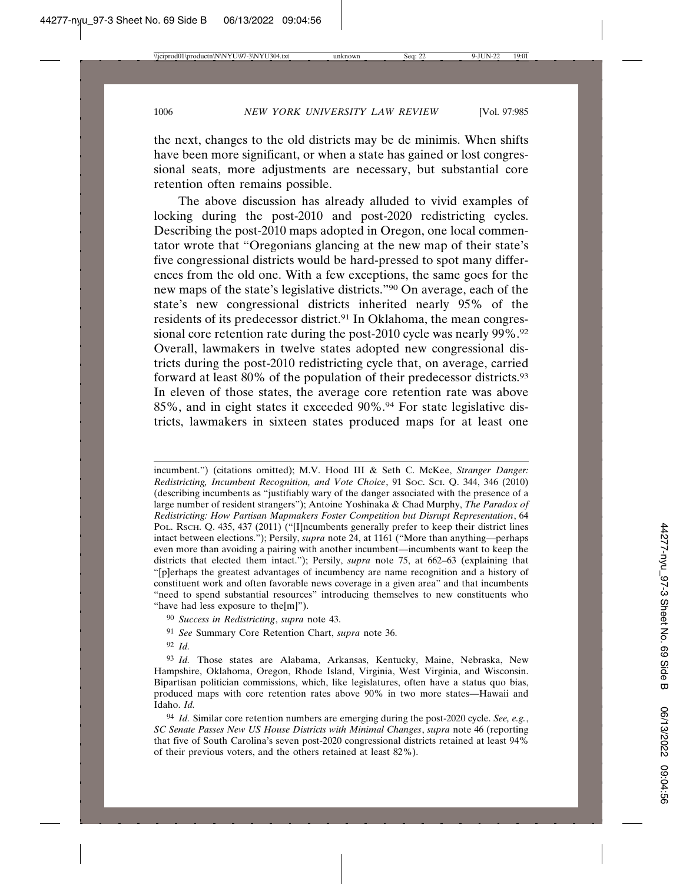the next, changes to the old districts may be de minimis. When shifts have been more significant, or when a state has gained or lost congressional seats, more adjustments are necessary, but substantial core retention often remains possible.

The above discussion has already alluded to vivid examples of locking during the post-2010 and post-2020 redistricting cycles. Describing the post-2010 maps adopted in Oregon, one local commentator wrote that "Oregonians glancing at the new map of their state's five congressional districts would be hard-pressed to spot many differences from the old one. With a few exceptions, the same goes for the new maps of the state's legislative districts."90 On average, each of the state's new congressional districts inherited nearly 95% of the residents of its predecessor district.<sup>91</sup> In Oklahoma, the mean congressional core retention rate during the post-2010 cycle was nearly 99%.<sup>92</sup> Overall, lawmakers in twelve states adopted new congressional districts during the post-2010 redistricting cycle that, on average, carried forward at least 80% of the population of their predecessor districts.93 In eleven of those states, the average core retention rate was above 85%, and in eight states it exceeded 90%.94 For state legislative districts, lawmakers in sixteen states produced maps for at least one

- 90 *Success in Redistricting*, *supra* note 43.
- 91 *See* Summary Core Retention Chart, *supra* note 36.
- 92 *Id.*

incumbent.") (citations omitted); M.V. Hood III & Seth C. McKee, *Stranger Danger: Redistricting, Incumbent Recognition, and Vote Choice*, 91 SOC. SCI. Q. 344, 346 (2010) (describing incumbents as "justifiably wary of the danger associated with the presence of a large number of resident strangers"); Antoine Yoshinaka & Chad Murphy, *The Paradox of Redistricting: How Partisan Mapmakers Foster Competition but Disrupt Representation*, 64 POL. Rsch. Q. 435, 437 (2011) ("[I]ncumbents generally prefer to keep their district lines intact between elections."); Persily, *supra* note 24, at 1161 ("More than anything—perhaps even more than avoiding a pairing with another incumbent—incumbents want to keep the districts that elected them intact."); Persily, *supra* note 75, at 662–63 (explaining that "[p]erhaps the greatest advantages of incumbency are name recognition and a history of constituent work and often favorable news coverage in a given area" and that incumbents "need to spend substantial resources" introducing themselves to new constituents who "have had less exposure to the[m]").

<sup>93</sup> *Id.* Those states are Alabama, Arkansas, Kentucky, Maine, Nebraska, New Hampshire, Oklahoma, Oregon, Rhode Island, Virginia, West Virginia, and Wisconsin. Bipartisan politician commissions, which, like legislatures, often have a status quo bias, produced maps with core retention rates above 90% in two more states—Hawaii and Idaho. *Id.*

<sup>94</sup> *Id.* Similar core retention numbers are emerging during the post-2020 cycle. *See, e.g.*, *SC Senate Passes New US House Districts with Minimal Changes*, *supra* note 46 (reporting that five of South Carolina's seven post-2020 congressional districts retained at least 94% of their previous voters, and the others retained at least 82%).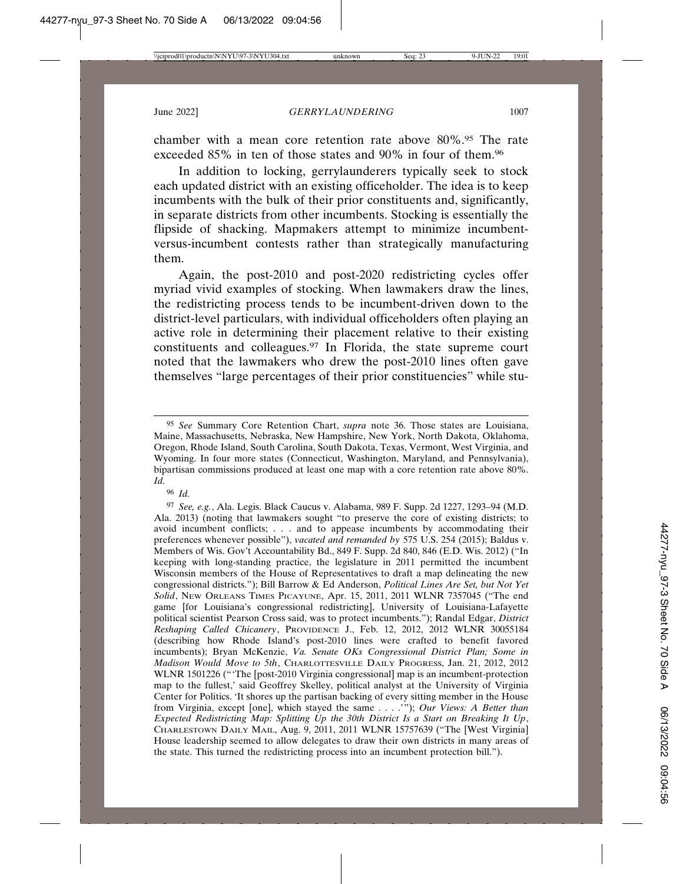chamber with a mean core retention rate above 80%.95 The rate exceeded 85% in ten of those states and 90% in four of them.96

In addition to locking, gerrylaunderers typically seek to stock each updated district with an existing officeholder. The idea is to keep incumbents with the bulk of their prior constituents and, significantly, in separate districts from other incumbents. Stocking is essentially the flipside of shacking. Mapmakers attempt to minimize incumbentversus-incumbent contests rather than strategically manufacturing them.

Again, the post-2010 and post-2020 redistricting cycles offer myriad vivid examples of stocking. When lawmakers draw the lines, the redistricting process tends to be incumbent-driven down to the district-level particulars, with individual officeholders often playing an active role in determining their placement relative to their existing constituents and colleagues.97 In Florida, the state supreme court noted that the lawmakers who drew the post-2010 lines often gave themselves "large percentages of their prior constituencies" while stu-

96 *Id.*

<sup>95</sup> *See* Summary Core Retention Chart, *supra* note 36. Those states are Louisiana, Maine, Massachusetts, Nebraska, New Hampshire, New York, North Dakota, Oklahoma, Oregon, Rhode Island, South Carolina, South Dakota, Texas, Vermont, West Virginia, and Wyoming. In four more states (Connecticut, Washington, Maryland, and Pennsylvania), bipartisan commissions produced at least one map with a core retention rate above 80%. *Id.*

<sup>97</sup> *See, e.g.*, Ala. Legis. Black Caucus v. Alabama, 989 F. Supp. 2d 1227, 1293–94 (M.D. Ala. 2013) (noting that lawmakers sought "to preserve the core of existing districts; to avoid incumbent conflicts; . . . and to appease incumbents by accommodating their preferences whenever possible"), *vacated and remanded by* 575 U.S. 254 (2015); Baldus v. Members of Wis. Gov't Accountability Bd., 849 F. Supp. 2d 840, 846 (E.D. Wis. 2012) ("In keeping with long-standing practice, the legislature in 2011 permitted the incumbent Wisconsin members of the House of Representatives to draft a map delineating the new congressional districts."); Bill Barrow & Ed Anderson, *Political Lines Are Set, but Not Yet Solid*, NEW ORLEANS TIMES PICAYUNE, Apr. 15, 2011, 2011 WLNR 7357045 ("The end game [for Louisiana's congressional redistricting], University of Louisiana-Lafayette political scientist Pearson Cross said, was to protect incumbents."); Randal Edgar, *District Reshaping Called Chicanery*, PROVIDENCE J., Feb. 12, 2012, 2012 WLNR 30055184 (describing how Rhode Island's post-2010 lines were crafted to benefit favored incumbents); Bryan McKenzie, *Va. Senate OKs Congressional District Plan; Some in Madison Would Move to 5th*, CHARLOTTESVILLE DAILY PROGRESS, Jan. 21, 2012, 2012 WLNR 1501226 ("The [post-2010 Virginia congressional] map is an incumbent-protection map to the fullest,' said Geoffrey Skelley, political analyst at the University of Virginia Center for Politics. 'It shores up the partisan backing of every sitting member in the House from Virginia, except [one], which stayed the same . . . .'"); *Our Views: A Better than Expected Redistricting Map: Splitting Up the 30th District Is a Start on Breaking It Up*, CHARLESTOWN DAILY MAIL, Aug. 9, 2011, 2011 WLNR 15757639 ("The [West Virginia] House leadership seemed to allow delegates to draw their own districts in many areas of the state. This turned the redistricting process into an incumbent protection bill.").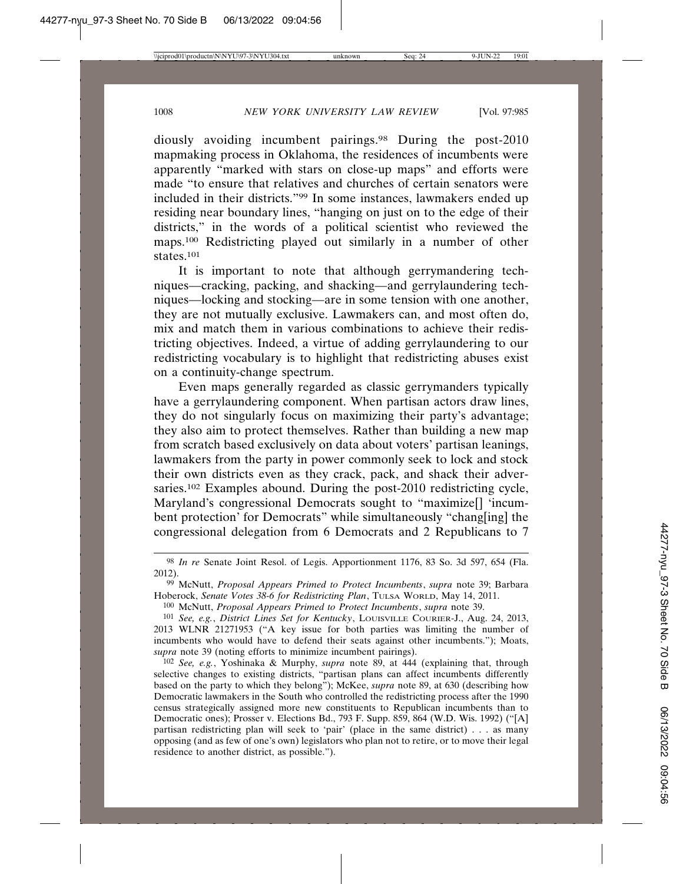diously avoiding incumbent pairings.98 During the post-2010 mapmaking process in Oklahoma, the residences of incumbents were apparently "marked with stars on close-up maps" and efforts were made "to ensure that relatives and churches of certain senators were included in their districts."99 In some instances, lawmakers ended up residing near boundary lines, "hanging on just on to the edge of their districts," in the words of a political scientist who reviewed the maps.100 Redistricting played out similarly in a number of other states.101

It is important to note that although gerrymandering techniques—cracking, packing, and shacking—and gerrylaundering techniques—locking and stocking—are in some tension with one another, they are not mutually exclusive. Lawmakers can, and most often do, mix and match them in various combinations to achieve their redistricting objectives. Indeed, a virtue of adding gerrylaundering to our redistricting vocabulary is to highlight that redistricting abuses exist on a continuity-change spectrum.

Even maps generally regarded as classic gerrymanders typically have a gerrylaundering component. When partisan actors draw lines, they do not singularly focus on maximizing their party's advantage; they also aim to protect themselves. Rather than building a new map from scratch based exclusively on data about voters' partisan leanings, lawmakers from the party in power commonly seek to lock and stock their own districts even as they crack, pack, and shack their adversaries.<sup>102</sup> Examples abound. During the post-2010 redistricting cycle, Maryland's congressional Democrats sought to "maximize<sup>[]</sup> 'incumbent protection' for Democrats" while simultaneously "chang[ing] the congressional delegation from 6 Democrats and 2 Republicans to 7

<sup>98</sup> *In re* Senate Joint Resol. of Legis. Apportionment 1176, 83 So. 3d 597, 654 (Fla. 2012).

<sup>99</sup> McNutt, *Proposal Appears Primed to Protect Incumbents*, *supra* note 39; Barbara Hoberock, *Senate Votes 38-6 for Redistricting Plan*, TULSA WORLD, May 14, 2011.

<sup>100</sup> McNutt, *Proposal Appears Primed to Protect Incumbents*, *supra* note 39.

<sup>101</sup> *See, e.g.*, *District Lines Set for Kentucky*, LOUISVILLE COURIER-J., Aug. 24, 2013, 2013 WLNR 21271953 ("A key issue for both parties was limiting the number of incumbents who would have to defend their seats against other incumbents."); Moats, *supra* note 39 (noting efforts to minimize incumbent pairings).

<sup>102</sup> *See, e.g.*, Yoshinaka & Murphy, *supra* note 89, at 444 (explaining that, through selective changes to existing districts, "partisan plans can affect incumbents differently based on the party to which they belong"); McKee, *supra* note 89, at 630 (describing how Democratic lawmakers in the South who controlled the redistricting process after the 1990 census strategically assigned more new constituents to Republican incumbents than to Democratic ones); Prosser v. Elections Bd., 793 F. Supp. 859, 864 (W.D. Wis. 1992) ("[A] partisan redistricting plan will seek to 'pair' (place in the same district) . . . as many opposing (and as few of one's own) legislators who plan not to retire, or to move their legal residence to another district, as possible.").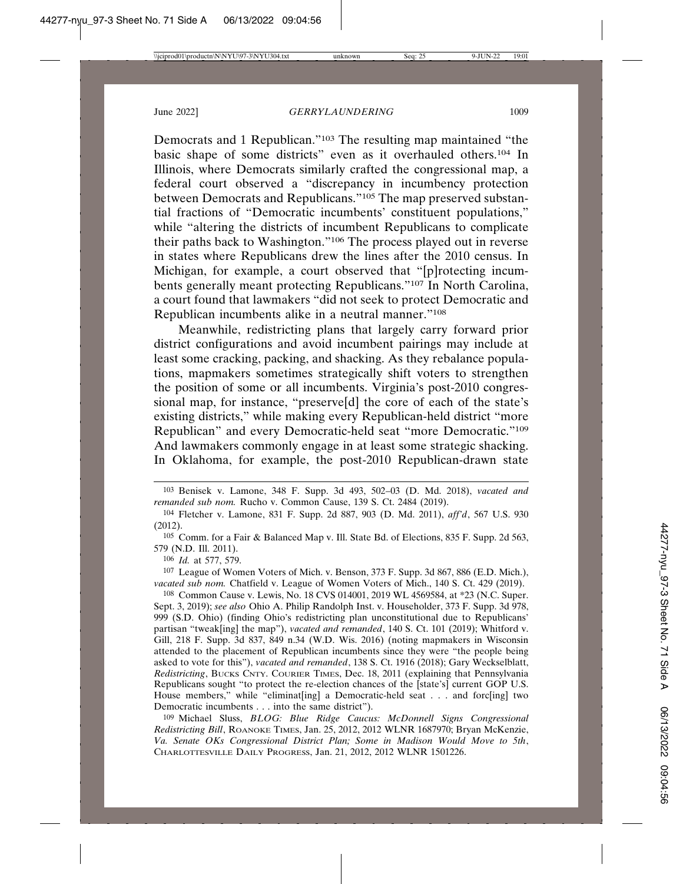Democrats and 1 Republican."103 The resulting map maintained "the basic shape of some districts" even as it overhauled others.104 In Illinois, where Democrats similarly crafted the congressional map, a federal court observed a "discrepancy in incumbency protection between Democrats and Republicans."105 The map preserved substantial fractions of "Democratic incumbents' constituent populations," while "altering the districts of incumbent Republicans to complicate their paths back to Washington."106 The process played out in reverse in states where Republicans drew the lines after the 2010 census. In Michigan, for example, a court observed that "[p]rotecting incumbents generally meant protecting Republicans."107 In North Carolina, a court found that lawmakers "did not seek to protect Democratic and Republican incumbents alike in a neutral manner."108

Meanwhile, redistricting plans that largely carry forward prior district configurations and avoid incumbent pairings may include at least some cracking, packing, and shacking. As they rebalance populations, mapmakers sometimes strategically shift voters to strengthen the position of some or all incumbents. Virginia's post-2010 congressional map, for instance, "preserve[d] the core of each of the state's existing districts," while making every Republican-held district "more Republican" and every Democratic-held seat "more Democratic."109 And lawmakers commonly engage in at least some strategic shacking. In Oklahoma, for example, the post-2010 Republican-drawn state

106 *Id.* at 577, 579.

107 League of Women Voters of Mich. v. Benson, 373 F. Supp. 3d 867, 886 (E.D. Mich.), *vacated sub nom.* Chatfield v. League of Women Voters of Mich., 140 S. Ct. 429 (2019).

108 Common Cause v. Lewis, No. 18 CVS 014001, 2019 WL 4569584, at \*23 (N.C. Super. Sept. 3, 2019); *see also* Ohio A. Philip Randolph Inst. v. Householder, 373 F. Supp. 3d 978, 999 (S.D. Ohio) (finding Ohio's redistricting plan unconstitutional due to Republicans' partisan "tweak[ing] the map"), *vacated and remanded*, 140 S. Ct. 101 (2019); Whitford v. Gill, 218 F. Supp. 3d 837, 849 n.34 (W.D. Wis. 2016) (noting mapmakers in Wisconsin attended to the placement of Republican incumbents since they were "the people being asked to vote for this"), *vacated and remanded*, 138 S. Ct. 1916 (2018); Gary Weckselblatt, *Redistricting*, BUCKS CNTY. COURIER TIMES, Dec. 18, 2011 (explaining that Pennsylvania Republicans sought "to protect the re-election chances of the [state's] current GOP U.S. House members," while "eliminat[ing] a Democratic-held seat . . . and forc[ing] two Democratic incumbents . . . into the same district").

109 Michael Sluss, *BLOG: Blue Ridge Caucus: McDonnell Signs Congressional Redistricting Bill*, ROANOKE TIMES, Jan. 25, 2012, 2012 WLNR 1687970; Bryan McKenzie, *Va. Senate OKs Congressional District Plan; Some in Madison Would Move to 5th*, CHARLOTTESVILLE DAILY PROGRESS, Jan. 21, 2012, 2012 WLNR 1501226.

<sup>103</sup> Benisek v. Lamone, 348 F. Supp. 3d 493, 502–03 (D. Md. 2018), *vacated and remanded sub nom.* Rucho v. Common Cause, 139 S. Ct. 2484 (2019).

<sup>104</sup> Fletcher v. Lamone, 831 F. Supp. 2d 887, 903 (D. Md. 2011), *aff'd*, 567 U.S. 930 (2012).

<sup>105</sup> Comm. for a Fair & Balanced Map v. Ill. State Bd. of Elections, 835 F. Supp. 2d 563, 579 (N.D. Ill. 2011).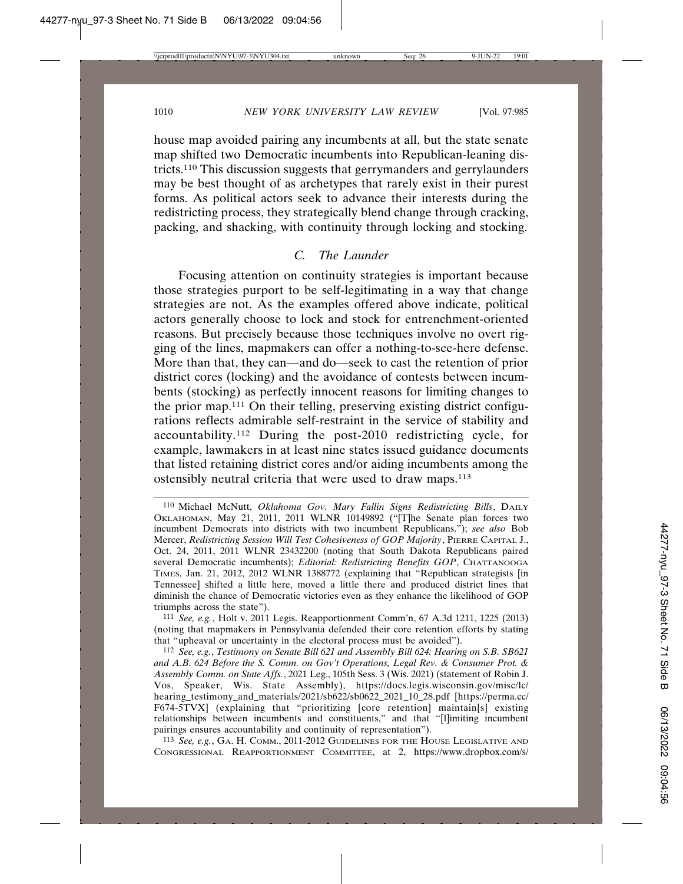house map avoided pairing any incumbents at all, but the state senate map shifted two Democratic incumbents into Republican-leaning districts.110 This discussion suggests that gerrymanders and gerrylaunders may be best thought of as archetypes that rarely exist in their purest forms. As political actors seek to advance their interests during the redistricting process, they strategically blend change through cracking, packing, and shacking, with continuity through locking and stocking.

## *C. The Launder*

Focusing attention on continuity strategies is important because those strategies purport to be self-legitimating in a way that change strategies are not. As the examples offered above indicate, political actors generally choose to lock and stock for entrenchment-oriented reasons. But precisely because those techniques involve no overt rigging of the lines, mapmakers can offer a nothing-to-see-here defense. More than that, they can—and do—seek to cast the retention of prior district cores (locking) and the avoidance of contests between incumbents (stocking) as perfectly innocent reasons for limiting changes to the prior map.111 On their telling, preserving existing district configurations reflects admirable self-restraint in the service of stability and accountability.112 During the post-2010 redistricting cycle, for example, lawmakers in at least nine states issued guidance documents that listed retaining district cores and/or aiding incumbents among the ostensibly neutral criteria that were used to draw maps.113

111 *See, e.g.*, Holt v. 2011 Legis. Reapportionment Comm'n, 67 A.3d 1211, 1225 (2013) (noting that mapmakers in Pennsylvania defended their core retention efforts by stating that "upheaval or uncertainty in the electoral process must be avoided").

112 *See, e.g.*, *Testimony on Senate Bill 621 and Assembly Bill 624: Hearing on S.B. SB621 and A.B. 624 Before the S. Comm. on Gov't Operations, Legal Rev. & Consumer Prot. & Assembly Comm. on State Affs.*, 2021 Leg., 105th Sess. 3 (Wis. 2021) (statement of Robin J. Vos, Speaker, Wis. State Assembly), https://docs.legis.wisconsin.gov/misc/lc/ hearing\_testimony\_and\_materials/2021/sb622/sb0622\_2021\_10\_28.pdf [https://perma.cc/ F674-5TVX] (explaining that "prioritizing [core retention] maintain[s] existing relationships between incumbents and constituents," and that "[l]imiting incumbent pairings ensures accountability and continuity of representation").

113 *See, e.g.*, GA. H. COMM., 2011-2012 GUIDELINES FOR THE HOUSE LEGISLATIVE AND CONGRESSIONAL REAPPORTIONMENT COMMITTEE, at 2, https://www.dropbox.com/s/

<sup>110</sup> Michael McNutt, *Oklahoma Gov. Mary Fallin Signs Redistricting Bills*, DAILY OKLAHOMAN, May 21, 2011, 2011 WLNR 10149892 ("[T]he Senate plan forces two incumbent Democrats into districts with two incumbent Republicans."); *see also* Bob Mercer, *Redistricting Session Will Test Cohesiveness of GOP Majority*, PIERRE CAPITAL J., Oct. 24, 2011, 2011 WLNR 23432200 (noting that South Dakota Republicans paired several Democratic incumbents); *Editorial: Redistricting Benefits GOP*, CHATTANOOGA TIMES, Jan. 21, 2012, 2012 WLNR 1388772 (explaining that "Republican strategists [in Tennessee] shifted a little here, moved a little there and produced district lines that diminish the chance of Democratic victories even as they enhance the likelihood of GOP triumphs across the state").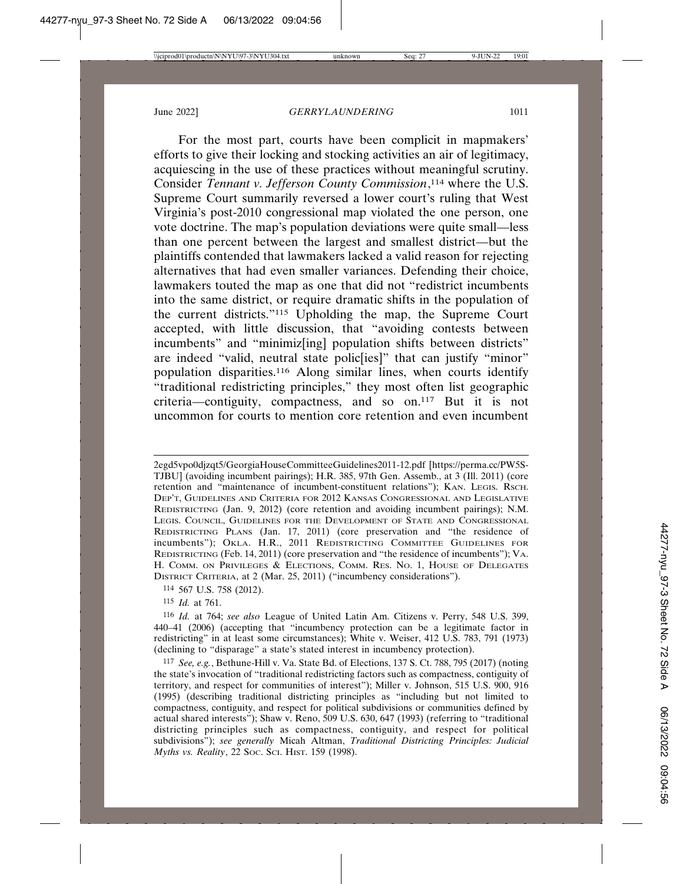For the most part, courts have been complicit in mapmakers' efforts to give their locking and stocking activities an air of legitimacy, acquiescing in the use of these practices without meaningful scrutiny. Consider *Tennant v. Jefferson County Commission*, 114 where the U.S. Supreme Court summarily reversed a lower court's ruling that West Virginia's post-2010 congressional map violated the one person, one vote doctrine. The map's population deviations were quite small—less than one percent between the largest and smallest district—but the plaintiffs contended that lawmakers lacked a valid reason for rejecting alternatives that had even smaller variances. Defending their choice, lawmakers touted the map as one that did not "redistrict incumbents into the same district, or require dramatic shifts in the population of the current districts."115 Upholding the map, the Supreme Court accepted, with little discussion, that "avoiding contests between incumbents" and "minimiz[ing] population shifts between districts" are indeed "valid, neutral state polic[ies]" that can justify "minor" population disparities.116 Along similar lines, when courts identify "traditional redistricting principles," they most often list geographic criteria—contiguity, compactness, and so on.117 But it is not uncommon for courts to mention core retention and even incumbent

2egd5vpo0djzqt5/GeorgiaHouseCommitteeGuidelines2011-12.pdf [https://perma.cc/PW5S-TJBU] (avoiding incumbent pairings); H.R. 385, 97th Gen. Assemb., at 3 (Ill. 2011) (core retention and "maintenance of incumbent-constituent relations"); KAN. LEGIS. RSCH. DEP'T, GUIDELINES AND CRITERIA FOR 2012 KANSAS CONGRESSIONAL AND LEGISLATIVE REDISTRICTING (Jan. 9, 2012) (core retention and avoiding incumbent pairings); N.M. LEGIS. COUNCIL, GUIDELINES FOR THE DEVELOPMENT OF STATE AND CONGRESSIONAL REDISTRICTING PLANS (Jan. 17, 2011) (core preservation and "the residence of incumbents"); OKLA. H.R., 2011 REDISTRICTING COMMITTEE GUIDELINES FOR REDISTRICTING (Feb. 14, 2011) (core preservation and "the residence of incumbents"); VA. H. COMM. ON PRIVILEGES & ELECTIONS, COMM. RES. NO. 1, HOUSE OF DELEGATES DISTRICT CRITERIA, at 2 (Mar. 25, 2011) ("incumbency considerations").

115 *Id.* at 761.

<sup>114</sup> 567 U.S. 758 (2012).

<sup>116</sup> *Id.* at 764; *see also* League of United Latin Am. Citizens v. Perry, 548 U.S. 399, 440–41 (2006) (accepting that "incumbency protection can be a legitimate factor in redistricting" in at least some circumstances); White v. Weiser, 412 U.S. 783, 791 (1973) (declining to "disparage" a state's stated interest in incumbency protection).

<sup>117</sup> *See, e.g.*, Bethune-Hill v. Va. State Bd. of Elections, 137 S. Ct. 788, 795 (2017) (noting the state's invocation of "traditional redistricting factors such as compactness, contiguity of territory, and respect for communities of interest"); Miller v. Johnson, 515 U.S. 900, 916 (1995) (describing traditional districting principles as "including but not limited to compactness, contiguity, and respect for political subdivisions or communities defined by actual shared interests"); Shaw v. Reno, 509 U.S. 630, 647 (1993) (referring to "traditional districting principles such as compactness, contiguity, and respect for political subdivisions"); *see generally* Micah Altman, *Traditional Districting Principles: Judicial Myths vs. Reality*, 22 SOC. SCI. HIST. 159 (1998).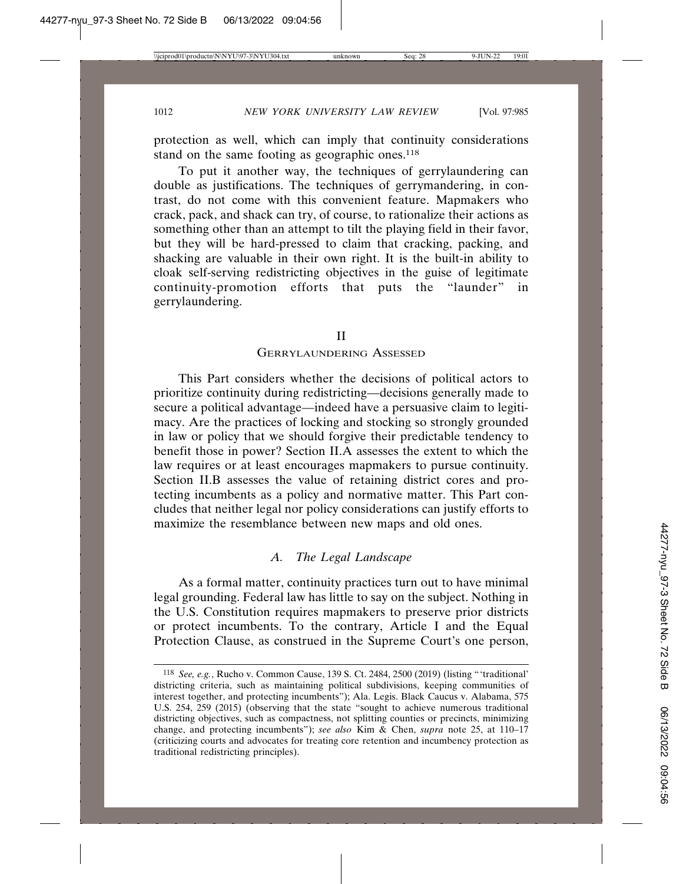protection as well, which can imply that continuity considerations stand on the same footing as geographic ones.<sup>118</sup>

To put it another way, the techniques of gerrylaundering can double as justifications. The techniques of gerrymandering, in contrast, do not come with this convenient feature. Mapmakers who crack, pack, and shack can try, of course, to rationalize their actions as something other than an attempt to tilt the playing field in their favor, but they will be hard-pressed to claim that cracking, packing, and shacking are valuable in their own right. It is the built-in ability to cloak self-serving redistricting objectives in the guise of legitimate continuity-promotion efforts that puts the "launder" in gerrylaundering.

## II

#### GERRYLAUNDERING ASSESSED

This Part considers whether the decisions of political actors to prioritize continuity during redistricting—decisions generally made to secure a political advantage—indeed have a persuasive claim to legitimacy. Are the practices of locking and stocking so strongly grounded in law or policy that we should forgive their predictable tendency to benefit those in power? Section II.A assesses the extent to which the law requires or at least encourages mapmakers to pursue continuity. Section II.B assesses the value of retaining district cores and protecting incumbents as a policy and normative matter. This Part concludes that neither legal nor policy considerations can justify efforts to maximize the resemblance between new maps and old ones.

## *A. The Legal Landscape*

As a formal matter, continuity practices turn out to have minimal legal grounding. Federal law has little to say on the subject. Nothing in the U.S. Constitution requires mapmakers to preserve prior districts or protect incumbents. To the contrary, Article I and the Equal Protection Clause, as construed in the Supreme Court's one person,

<sup>118</sup> *See, e.g.*, Rucho v. Common Cause, 139 S. Ct. 2484, 2500 (2019) (listing "'traditional' districting criteria, such as maintaining political subdivisions, keeping communities of interest together, and protecting incumbents"); Ala. Legis. Black Caucus v. Alabama, 575 U.S. 254, 259 (2015) (observing that the state "sought to achieve numerous traditional districting objectives, such as compactness, not splitting counties or precincts, minimizing change, and protecting incumbents"); *see also* Kim & Chen, *supra* note 25, at 110–17 (criticizing courts and advocates for treating core retention and incumbency protection as traditional redistricting principles).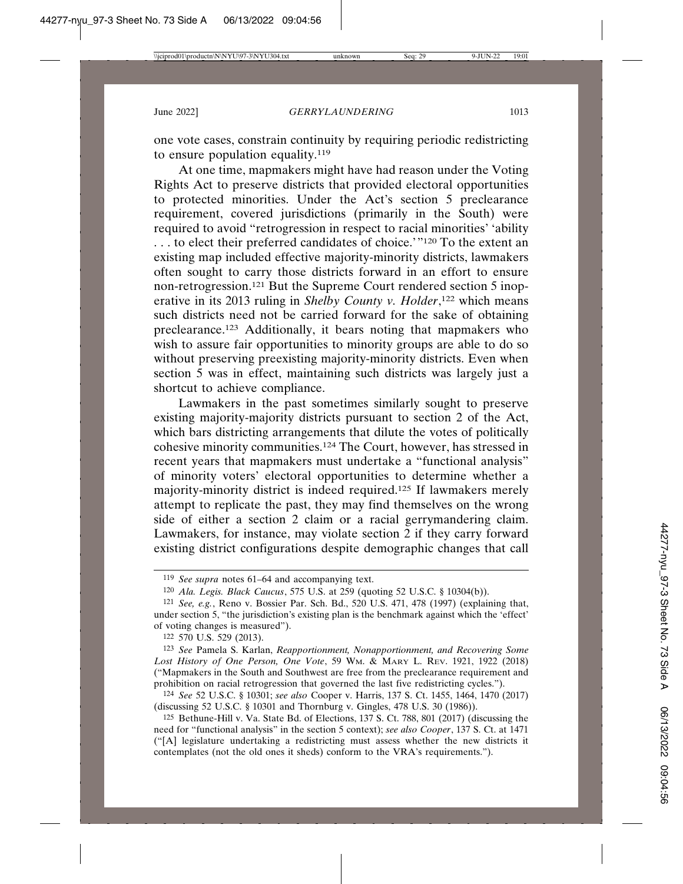one vote cases, constrain continuity by requiring periodic redistricting to ensure population equality.119

At one time, mapmakers might have had reason under the Voting Rights Act to preserve districts that provided electoral opportunities to protected minorities. Under the Act's section 5 preclearance requirement, covered jurisdictions (primarily in the South) were required to avoid "retrogression in respect to racial minorities' 'ability . . . to elect their preferred candidates of choice.'"120 To the extent an existing map included effective majority-minority districts, lawmakers often sought to carry those districts forward in an effort to ensure non-retrogression.121 But the Supreme Court rendered section 5 inoperative in its 2013 ruling in *Shelby County v. Holder*,<sup>122</sup> which means such districts need not be carried forward for the sake of obtaining preclearance.123 Additionally, it bears noting that mapmakers who wish to assure fair opportunities to minority groups are able to do so without preserving preexisting majority-minority districts. Even when section 5 was in effect, maintaining such districts was largely just a shortcut to achieve compliance.

Lawmakers in the past sometimes similarly sought to preserve existing majority-majority districts pursuant to section 2 of the Act, which bars districting arrangements that dilute the votes of politically cohesive minority communities.124 The Court, however, has stressed in recent years that mapmakers must undertake a "functional analysis" of minority voters' electoral opportunities to determine whether a majority-minority district is indeed required.125 If lawmakers merely attempt to replicate the past, they may find themselves on the wrong side of either a section 2 claim or a racial gerrymandering claim. Lawmakers, for instance, may violate section 2 if they carry forward existing district configurations despite demographic changes that call

<sup>119</sup> *See supra* notes 61–64 and accompanying text.

<sup>120</sup> *Ala. Legis. Black Caucus*, 575 U.S. at 259 (quoting 52 U.S.C. § 10304(b)).

<sup>121</sup> *See, e.g.*, Reno v. Bossier Par. Sch. Bd., 520 U.S. 471, 478 (1997) (explaining that, under section 5, "the jurisdiction's existing plan is the benchmark against which the 'effect' of voting changes is measured").

<sup>122</sup> 570 U.S. 529 (2013).

<sup>123</sup> *See* Pamela S. Karlan, *Reapportionment, Nonapportionment, and Recovering Some Lost History of One Person, One Vote*, 59 WM. & MARY L. REV. 1921, 1922 (2018) ("Mapmakers in the South and Southwest are free from the preclearance requirement and prohibition on racial retrogression that governed the last five redistricting cycles.").

<sup>124</sup> *See* 52 U.S.C. § 10301; *see also* Cooper v. Harris, 137 S. Ct. 1455, 1464, 1470 (2017) (discussing 52 U.S.C. § 10301 and Thornburg v. Gingles, 478 U.S. 30 (1986)).

<sup>125</sup> Bethune-Hill v. Va. State Bd. of Elections, 137 S. Ct. 788, 801 (2017) (discussing the need for "functional analysis" in the section 5 context); *see also Cooper*, 137 S. Ct. at 1471 ("[A] legislature undertaking a redistricting must assess whether the new districts it contemplates (not the old ones it sheds) conform to the VRA's requirements.").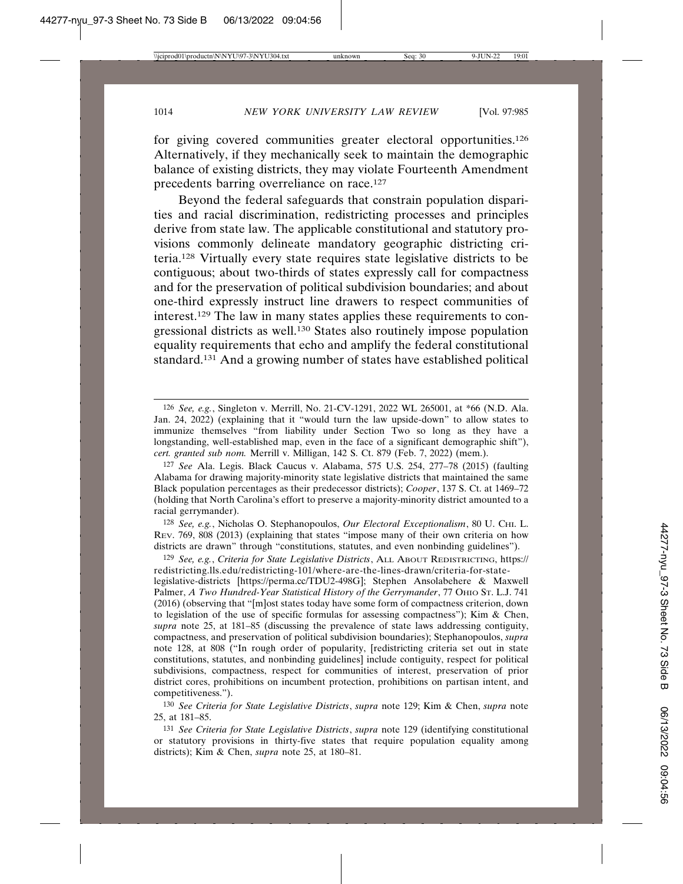for giving covered communities greater electoral opportunities.126 Alternatively, if they mechanically seek to maintain the demographic balance of existing districts, they may violate Fourteenth Amendment precedents barring overreliance on race.127

Beyond the federal safeguards that constrain population disparities and racial discrimination, redistricting processes and principles derive from state law. The applicable constitutional and statutory provisions commonly delineate mandatory geographic districting criteria.128 Virtually every state requires state legislative districts to be contiguous; about two-thirds of states expressly call for compactness and for the preservation of political subdivision boundaries; and about one-third expressly instruct line drawers to respect communities of interest.129 The law in many states applies these requirements to congressional districts as well.130 States also routinely impose population equality requirements that echo and amplify the federal constitutional standard.131 And a growing number of states have established political

128 *See, e.g.*, Nicholas O. Stephanopoulos, *Our Electoral Exceptionalism*, 80 U. CHI. L. REV. 769, 808 (2013) (explaining that states "impose many of their own criteria on how districts are drawn" through "constitutions, statutes, and even nonbinding guidelines").

129 *See, e.g.*, *Criteria for State Legislative Districts*, ALL ABOUT REDISTRICTING, https:// redistricting.lls.edu/redistricting-101/where-are-the-lines-drawn/criteria-for-state-

legislative-districts [https://perma.cc/TDU2-498G]; Stephen Ansolabehere & Maxwell Palmer, *A Two Hundred-Year Statistical History of the Gerrymander*, 77 OHIO ST. L.J. 741 (2016) (observing that "[m]ost states today have some form of compactness criterion, down to legislation of the use of specific formulas for assessing compactness"); Kim & Chen, *supra* note 25, at 181–85 (discussing the prevalence of state laws addressing contiguity, compactness, and preservation of political subdivision boundaries); Stephanopoulos, *supra* note 128, at 808 ("In rough order of popularity, [redistricting criteria set out in state constitutions, statutes, and nonbinding guidelines] include contiguity, respect for political subdivisions, compactness, respect for communities of interest, preservation of prior district cores, prohibitions on incumbent protection, prohibitions on partisan intent, and competitiveness.").

130 *See Criteria for State Legislative Districts*, *supra* note 129; Kim & Chen, *supra* note 25, at 181–85.

131 *See Criteria for State Legislative Districts*, *supra* note 129 (identifying constitutional or statutory provisions in thirty-five states that require population equality among districts); Kim & Chen, *supra* note 25, at 180–81.

<sup>126</sup> *See, e.g.*, Singleton v. Merrill, No. 21-CV-1291, 2022 WL 265001, at \*66 (N.D. Ala. Jan. 24, 2022) (explaining that it "would turn the law upside-down" to allow states to immunize themselves "from liability under Section Two so long as they have a longstanding, well-established map, even in the face of a significant demographic shift"), *cert. granted sub nom.* Merrill v. Milligan, 142 S. Ct. 879 (Feb. 7, 2022) (mem.).

<sup>127</sup> *See* Ala. Legis. Black Caucus v. Alabama, 575 U.S. 254, 277–78 (2015) (faulting Alabama for drawing majority-minority state legislative districts that maintained the same Black population percentages as their predecessor districts); *Cooper*, 137 S. Ct. at 1469–72 (holding that North Carolina's effort to preserve a majority-minority district amounted to a racial gerrymander).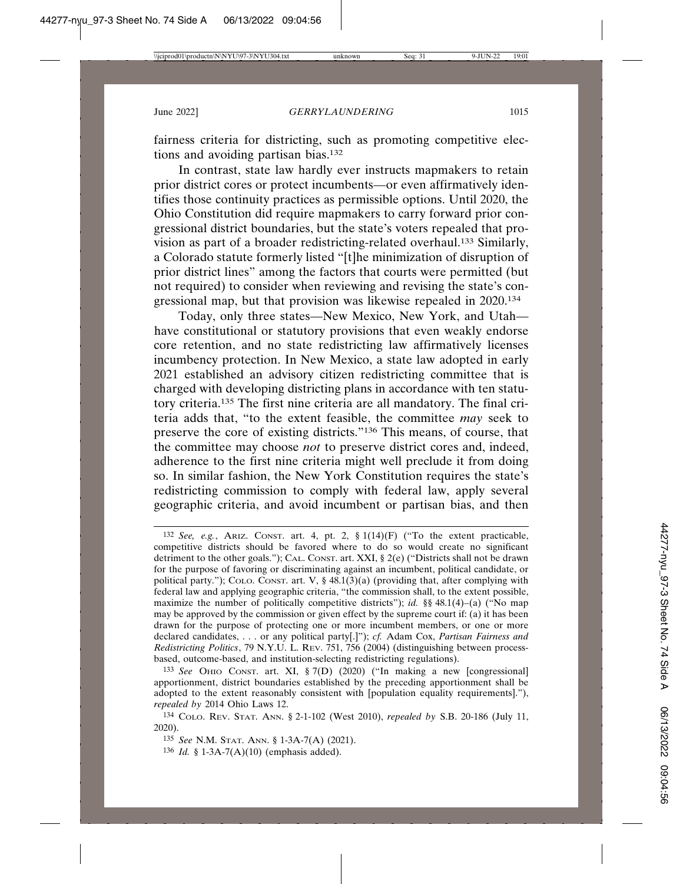fairness criteria for districting, such as promoting competitive elections and avoiding partisan bias.132

In contrast, state law hardly ever instructs mapmakers to retain prior district cores or protect incumbents—or even affirmatively identifies those continuity practices as permissible options. Until 2020, the Ohio Constitution did require mapmakers to carry forward prior congressional district boundaries, but the state's voters repealed that provision as part of a broader redistricting-related overhaul.133 Similarly, a Colorado statute formerly listed "[t]he minimization of disruption of prior district lines" among the factors that courts were permitted (but not required) to consider when reviewing and revising the state's congressional map, but that provision was likewise repealed in 2020.134

Today, only three states—New Mexico, New York, and Utah have constitutional or statutory provisions that even weakly endorse core retention, and no state redistricting law affirmatively licenses incumbency protection. In New Mexico, a state law adopted in early 2021 established an advisory citizen redistricting committee that is charged with developing districting plans in accordance with ten statutory criteria.135 The first nine criteria are all mandatory. The final criteria adds that, "to the extent feasible, the committee *may* seek to preserve the core of existing districts."136 This means, of course, that the committee may choose *not* to preserve district cores and, indeed, adherence to the first nine criteria might well preclude it from doing so. In similar fashion, the New York Constitution requires the state's redistricting commission to comply with federal law, apply several geographic criteria, and avoid incumbent or partisan bias, and then

<sup>132</sup> *See, e.g.*, ARIZ. CONST. art. 4, pt. 2,  $\S 1(14)(F)$  ("To the extent practicable, competitive districts should be favored where to do so would create no significant detriment to the other goals."); CAL. CONST. art. XXI, § 2(e) ("Districts shall not be drawn for the purpose of favoring or discriminating against an incumbent, political candidate, or political party."); COLO. CONST. art. V, § 48.1(3)(a) (providing that, after complying with federal law and applying geographic criteria, "the commission shall, to the extent possible, maximize the number of politically competitive districts"); *id.* §§ 48.1(4)–(a) ("No map may be approved by the commission or given effect by the supreme court if: (a) it has been drawn for the purpose of protecting one or more incumbent members, or one or more declared candidates, . . . or any political party[.]"); *cf.* Adam Cox, *Partisan Fairness and Redistricting Politics*, 79 N.Y.U. L. REV. 751, 756 (2004) (distinguishing between processbased, outcome-based, and institution-selecting redistricting regulations).

<sup>133</sup> *See* OHIO CONST. art. XI, § 7(D) (2020) ("In making a new [congressional] apportionment, district boundaries established by the preceding apportionment shall be adopted to the extent reasonably consistent with [population equality requirements]."), *repealed by* 2014 Ohio Laws 12.

<sup>134</sup> COLO. REV. STAT. ANN. § 2-1-102 (West 2010), *repealed by* S.B. 20-186 (July 11, 2020).

<sup>135</sup> *See* N.M. STAT. ANN. § 1-3A-7(A) (2021).

<sup>136</sup> *Id.* § 1-3A-7(A)(10) (emphasis added).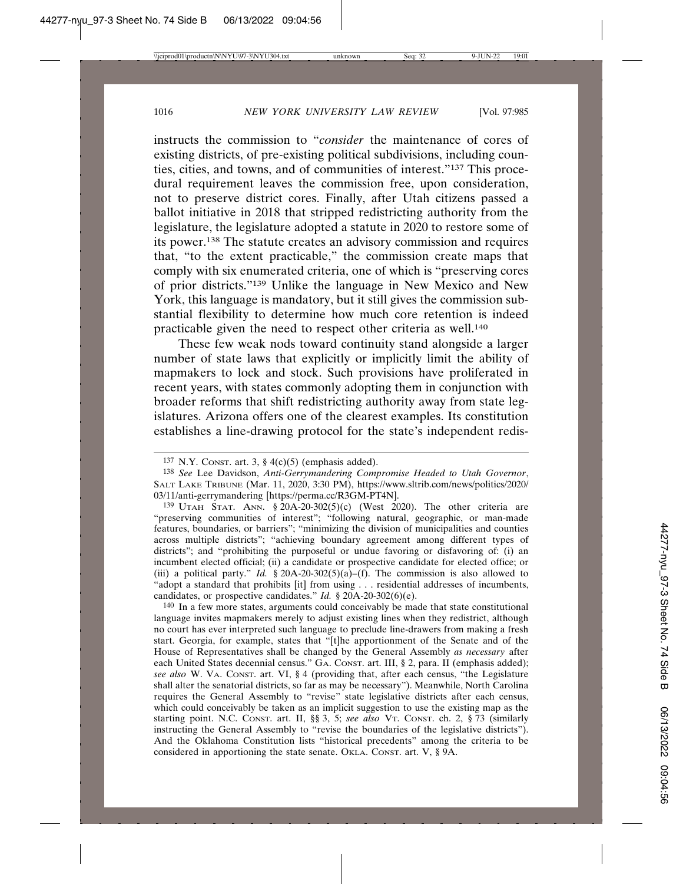instructs the commission to "*consider* the maintenance of cores of existing districts, of pre-existing political subdivisions, including counties, cities, and towns, and of communities of interest."137 This procedural requirement leaves the commission free, upon consideration, not to preserve district cores. Finally, after Utah citizens passed a ballot initiative in 2018 that stripped redistricting authority from the legislature, the legislature adopted a statute in 2020 to restore some of its power.138 The statute creates an advisory commission and requires that, "to the extent practicable," the commission create maps that comply with six enumerated criteria, one of which is "preserving cores of prior districts."139 Unlike the language in New Mexico and New York, this language is mandatory, but it still gives the commission substantial flexibility to determine how much core retention is indeed practicable given the need to respect other criteria as well.140

These few weak nods toward continuity stand alongside a larger number of state laws that explicitly or implicitly limit the ability of mapmakers to lock and stock. Such provisions have proliferated in recent years, with states commonly adopting them in conjunction with broader reforms that shift redistricting authority away from state legislatures. Arizona offers one of the clearest examples. Its constitution establishes a line-drawing protocol for the state's independent redis-

140 In a few more states, arguments could conceivably be made that state constitutional language invites mapmakers merely to adjust existing lines when they redistrict, although no court has ever interpreted such language to preclude line-drawers from making a fresh start. Georgia, for example, states that "[t]he apportionment of the Senate and of the House of Representatives shall be changed by the General Assembly *as necessary* after each United States decennial census." GA. CONST. art. III, § 2, para. II (emphasis added); *see also* W. VA. CONST. art. VI, § 4 (providing that, after each census, "the Legislature shall alter the senatorial districts, so far as may be necessary"). Meanwhile, North Carolina requires the General Assembly to "revise" state legislative districts after each census, which could conceivably be taken as an implicit suggestion to use the existing map as the starting point. N.C. CONST. art. II, §§ 3, 5; *see also* VT. CONST. ch. 2, § 73 (similarly instructing the General Assembly to "revise the boundaries of the legislative districts"). And the Oklahoma Constitution lists "historical precedents" among the criteria to be considered in apportioning the state senate. OKLA. CONST. art. V, § 9A.

<sup>137</sup> N.Y. CONST. art. 3,  $\S$  4(c)(5) (emphasis added).

<sup>138</sup> *See* Lee Davidson, *Anti-Gerrymandering Compromise Headed to Utah Governor*, SALT LAKE TRIBUNE (Mar. 11, 2020, 3:30 PM), https://www.sltrib.com/news/politics/2020/ 03/11/anti-gerrymandering [https://perma.cc/R3GM-PT4N].

<sup>139</sup> UTAH STAT. ANN. § 20A-20-302(5)(c) (West 2020). The other criteria are "preserving communities of interest"; "following natural, geographic, or man-made features, boundaries, or barriers"; "minimizing the division of municipalities and counties across multiple districts"; "achieving boundary agreement among different types of districts"; and "prohibiting the purposeful or undue favoring or disfavoring of: (i) an incumbent elected official; (ii) a candidate or prospective candidate for elected office; or (iii) a political party." *Id.* § 20A-20-302(5)(a)–(f). The commission is also allowed to "adopt a standard that prohibits [it] from using . . . residential addresses of incumbents, candidates, or prospective candidates." *Id.* § 20A-20-302(6)(e).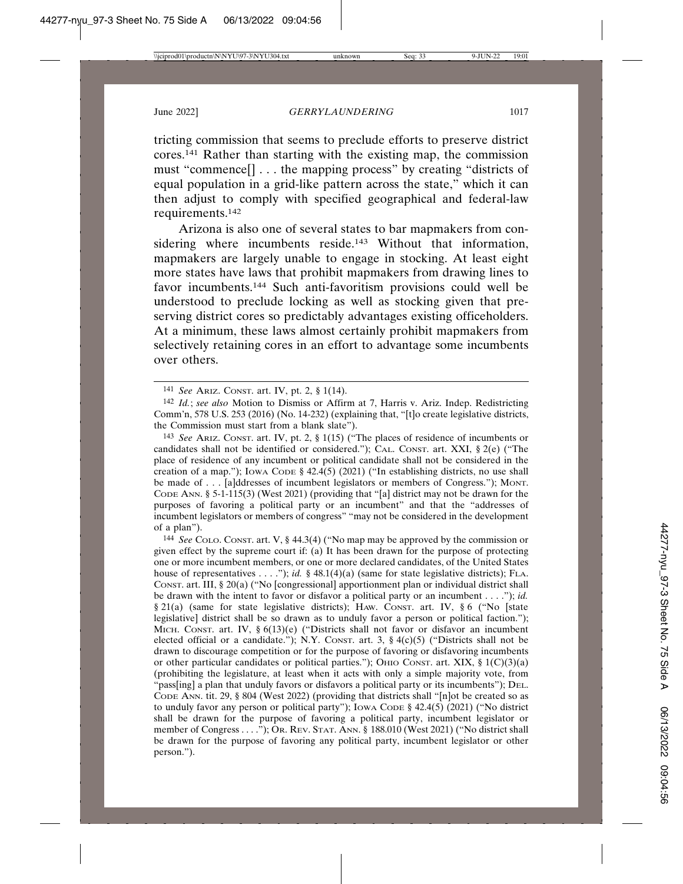tricting commission that seems to preclude efforts to preserve district cores.141 Rather than starting with the existing map, the commission must "commence[] . . . the mapping process" by creating "districts of equal population in a grid-like pattern across the state," which it can then adjust to comply with specified geographical and federal-law requirements.142

Arizona is also one of several states to bar mapmakers from considering where incumbents reside.<sup>143</sup> Without that information, mapmakers are largely unable to engage in stocking. At least eight more states have laws that prohibit mapmakers from drawing lines to favor incumbents.144 Such anti-favoritism provisions could well be understood to preclude locking as well as stocking given that preserving district cores so predictably advantages existing officeholders. At a minimum, these laws almost certainly prohibit mapmakers from selectively retaining cores in an effort to advantage some incumbents over others.

143 *See* ARIZ. CONST. art. IV, pt. 2, § 1(15) ("The places of residence of incumbents or candidates shall not be identified or considered."); CAL. CONST. art. XXI, § 2(e) ("The place of residence of any incumbent or political candidate shall not be considered in the creation of a map."); Iowa Cope §  $42.4(5)$  (2021) ("In establishing districts, no use shall be made of . . . [a]ddresses of incumbent legislators or members of Congress."); MONT. CODE ANN. § 5-1-115(3) (West 2021) (providing that "[a] district may not be drawn for the purposes of favoring a political party or an incumbent" and that the "addresses of incumbent legislators or members of congress" "may not be considered in the development of a plan").

144 *See* COLO. CONST. art. V, § 44.3(4) ("No map may be approved by the commission or given effect by the supreme court if: (a) It has been drawn for the purpose of protecting one or more incumbent members, or one or more declared candidates, of the United States house of representatives . . . ."); *id.* § 48.1(4)(a) (same for state legislative districts); FLA. CONST. art. III, § 20(a) ("No [congressional] apportionment plan or individual district shall be drawn with the intent to favor or disfavor a political party or an incumbent . . . ."); *id.* § 21(a) (same for state legislative districts); HAW. CONST. art. IV, § 6 ("No [state legislative] district shall be so drawn as to unduly favor a person or political faction."); MICH. CONST. art. IV,  $\S 6(13)(e)$  ("Districts shall not favor or disfavor an incumbent elected official or a candidate."); N.Y. CONST. art. 3,  $\S$  4(c)(5) ("Districts shall not be drawn to discourage competition or for the purpose of favoring or disfavoring incumbents or other particular candidates or political parties."); OHIO CONST. art. XIX,  $\S 1(C)(3)(a)$ (prohibiting the legislature, at least when it acts with only a simple majority vote, from "pass[ing] a plan that unduly favors or disfavors a political party or its incumbents"); DEL. CODE ANN. tit. 29, § 804 (West 2022) (providing that districts shall "[n]ot be created so as to unduly favor any person or political party"); IOWA CODE § 42.4(5) (2021) ("No district shall be drawn for the purpose of favoring a political party, incumbent legislator or member of Congress . . . ."); OR. REV. STAT. ANN. § 188.010 (West 2021) ("No district shall be drawn for the purpose of favoring any political party, incumbent legislator or other person.").

<sup>141</sup> *See* ARIZ. CONST. art. IV, pt. 2, § 1(14).

<sup>142</sup> *Id.*; *see also* Motion to Dismiss or Affirm at 7, Harris v. Ariz. Indep. Redistricting Comm'n, 578 U.S. 253 (2016) (No. 14-232) (explaining that, "[t]o create legislative districts, the Commission must start from a blank slate").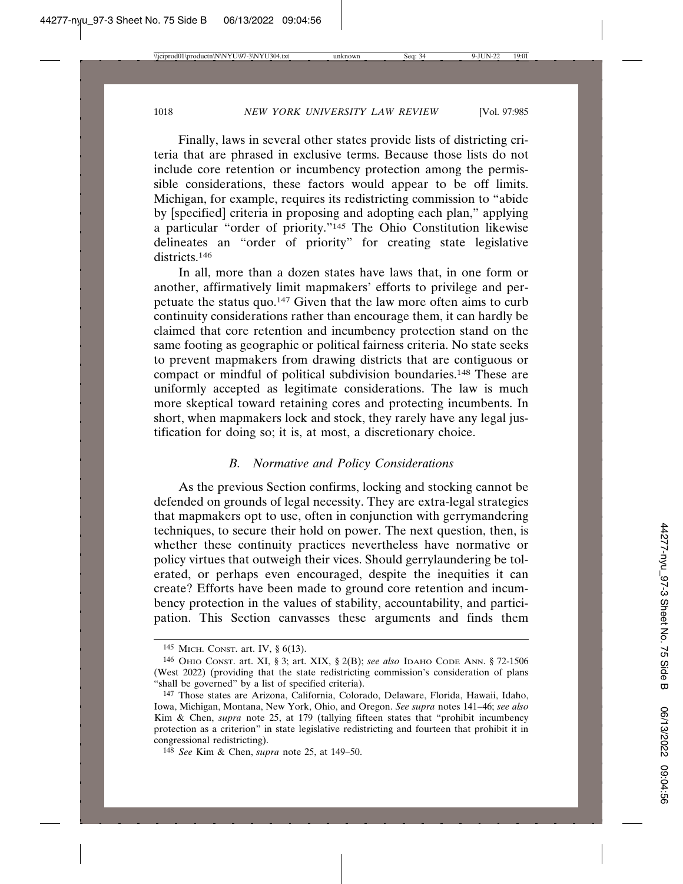Finally, laws in several other states provide lists of districting criteria that are phrased in exclusive terms. Because those lists do not include core retention or incumbency protection among the permissible considerations, these factors would appear to be off limits. Michigan, for example, requires its redistricting commission to "abide by [specified] criteria in proposing and adopting each plan," applying a particular "order of priority."145 The Ohio Constitution likewise delineates an "order of priority" for creating state legislative districts.<sup>146</sup>

In all, more than a dozen states have laws that, in one form or another, affirmatively limit mapmakers' efforts to privilege and perpetuate the status quo.147 Given that the law more often aims to curb continuity considerations rather than encourage them, it can hardly be claimed that core retention and incumbency protection stand on the same footing as geographic or political fairness criteria. No state seeks to prevent mapmakers from drawing districts that are contiguous or compact or mindful of political subdivision boundaries.148 These are uniformly accepted as legitimate considerations. The law is much more skeptical toward retaining cores and protecting incumbents. In short, when mapmakers lock and stock, they rarely have any legal justification for doing so; it is, at most, a discretionary choice.

## *B. Normative and Policy Considerations*

As the previous Section confirms, locking and stocking cannot be defended on grounds of legal necessity. They are extra-legal strategies that mapmakers opt to use, often in conjunction with gerrymandering techniques, to secure their hold on power. The next question, then, is whether these continuity practices nevertheless have normative or policy virtues that outweigh their vices. Should gerrylaundering be tolerated, or perhaps even encouraged, despite the inequities it can create? Efforts have been made to ground core retention and incumbency protection in the values of stability, accountability, and participation. This Section canvasses these arguments and finds them

<sup>145</sup> MICH. CONST. art. IV, § 6(13).

<sup>146</sup> OHIO CONST. art. XI, § 3; art. XIX, § 2(B); *see also* IDAHO CODE ANN. § 72-1506 (West 2022) (providing that the state redistricting commission's consideration of plans "shall be governed" by a list of specified criteria).

<sup>147</sup> Those states are Arizona, California, Colorado, Delaware, Florida, Hawaii, Idaho, Iowa, Michigan, Montana, New York, Ohio, and Oregon. *See supra* notes 141–46; *see also* Kim & Chen, *supra* note 25, at 179 (tallying fifteen states that "prohibit incumbency protection as a criterion" in state legislative redistricting and fourteen that prohibit it in congressional redistricting).

<sup>148</sup> *See* Kim & Chen, *supra* note 25, at 149–50.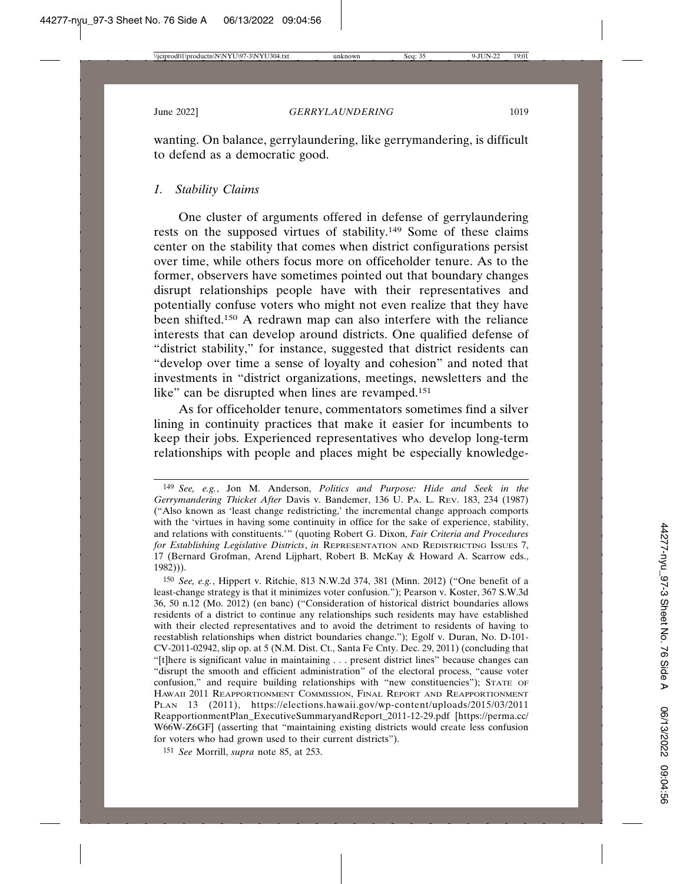wanting. On balance, gerrylaundering, like gerrymandering, is difficult to defend as a democratic good.

## *1. Stability Claims*

One cluster of arguments offered in defense of gerrylaundering rests on the supposed virtues of stability.149 Some of these claims center on the stability that comes when district configurations persist over time, while others focus more on officeholder tenure. As to the former, observers have sometimes pointed out that boundary changes disrupt relationships people have with their representatives and potentially confuse voters who might not even realize that they have been shifted.150 A redrawn map can also interfere with the reliance interests that can develop around districts. One qualified defense of "district stability," for instance, suggested that district residents can "develop over time a sense of loyalty and cohesion" and noted that investments in "district organizations, meetings, newsletters and the like" can be disrupted when lines are revamped.<sup>151</sup>

As for officeholder tenure, commentators sometimes find a silver lining in continuity practices that make it easier for incumbents to keep their jobs. Experienced representatives who develop long-term relationships with people and places might be especially knowledge-

<sup>149</sup> *See, e.g.*, Jon M. Anderson, *Politics and Purpose: Hide and Seek in the Gerrymandering Thicket After* Davis v. Bandemer, 136 U. PA. L. REV. 183, 234 (1987) ("Also known as 'least change redistricting,' the incremental change approach comports with the 'virtues in having some continuity in office for the sake of experience, stability, and relations with constituents.'" (quoting Robert G. Dixon, *Fair Criteria and Procedures for Establishing Legislative Districts*, *in* REPRESENTATION AND REDISTRICTING ISSUES 7, 17 (Bernard Grofman, Arend Lijphart, Robert B. McKay & Howard A. Scarrow eds., 1982))).

<sup>150</sup> *See, e.g.*, Hippert v. Ritchie, 813 N.W.2d 374, 381 (Minn. 2012) ("One benefit of a least-change strategy is that it minimizes voter confusion."); Pearson v. Koster, 367 S.W.3d 36, 50 n.12 (Mo. 2012) (en banc) ("Consideration of historical district boundaries allows residents of a district to continue any relationships such residents may have established with their elected representatives and to avoid the detriment to residents of having to reestablish relationships when district boundaries change."); Egolf v. Duran, No. D-101- CV-2011-02942, slip op. at 5 (N.M. Dist. Ct., Santa Fe Cnty. Dec. 29, 2011) (concluding that "[t]here is significant value in maintaining . . . present district lines" because changes can "disrupt the smooth and efficient administration" of the electoral process, "cause voter confusion," and require building relationships with "new constituencies"); STATE OF HAWAII 2011 REAPPORTIONMENT COMMISSION, FINAL REPORT AND REAPPORTIONMENT PLAN 13 (2011), https://elections.hawaii.gov/wp-content/uploads/2015/03/2011 ReapportionmentPlan\_ExecutiveSummaryandReport\_2011-12-29.pdf [https://perma.cc/ W66W-Z6GF] (asserting that "maintaining existing districts would create less confusion for voters who had grown used to their current districts").

<sup>151</sup> *See* Morrill, *supra* note 85, at 253.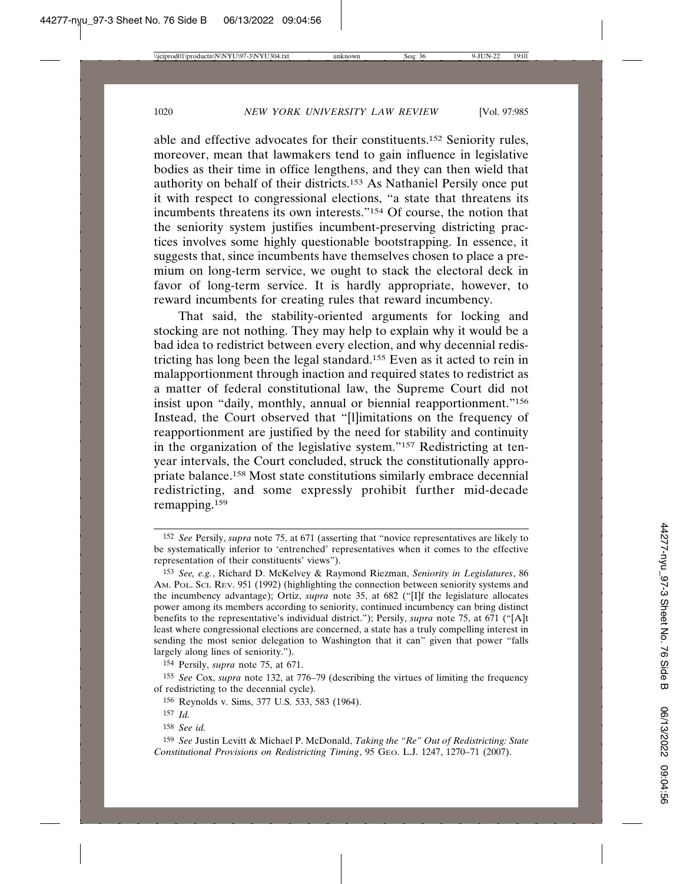able and effective advocates for their constituents.152 Seniority rules, moreover, mean that lawmakers tend to gain influence in legislative bodies as their time in office lengthens, and they can then wield that authority on behalf of their districts.153 As Nathaniel Persily once put it with respect to congressional elections, "a state that threatens its incumbents threatens its own interests."154 Of course, the notion that the seniority system justifies incumbent-preserving districting practices involves some highly questionable bootstrapping. In essence, it suggests that, since incumbents have themselves chosen to place a premium on long-term service, we ought to stack the electoral deck in favor of long-term service. It is hardly appropriate, however, to reward incumbents for creating rules that reward incumbency.

That said, the stability-oriented arguments for locking and stocking are not nothing. They may help to explain why it would be a bad idea to redistrict between every election, and why decennial redistricting has long been the legal standard.155 Even as it acted to rein in malapportionment through inaction and required states to redistrict as a matter of federal constitutional law, the Supreme Court did not insist upon "daily, monthly, annual or biennial reapportionment."156 Instead, the Court observed that "[l]imitations on the frequency of reapportionment are justified by the need for stability and continuity in the organization of the legislative system."157 Redistricting at tenyear intervals, the Court concluded, struck the constitutionally appropriate balance.158 Most state constitutions similarly embrace decennial redistricting, and some expressly prohibit further mid-decade remapping.159

<sup>152</sup> *See* Persily, *supra* note 75, at 671 (asserting that "novice representatives are likely to be systematically inferior to 'entrenched' representatives when it comes to the effective representation of their constituents' views").

<sup>153</sup> *See, e.g.*, Richard D. McKelvey & Raymond Riezman, *Seniority in Legislatures*, 86 AM. POL. SCI. REV. 951 (1992) (highlighting the connection between seniority systems and the incumbency advantage); Ortiz, *supra* note 35, at 682 ("[I]f the legislature allocates power among its members according to seniority, continued incumbency can bring distinct benefits to the representative's individual district."); Persily, *supra* note 75, at 671 ("[A]t least where congressional elections are concerned, a state has a truly compelling interest in sending the most senior delegation to Washington that it can" given that power "falls largely along lines of seniority.").

<sup>154</sup> Persily, *supra* note 75, at 671.

<sup>155</sup> *See* Cox, *supra* note 132, at 776–79 (describing the virtues of limiting the frequency of redistricting to the decennial cycle).

<sup>156</sup> Reynolds v. Sims, 377 U.S. 533, 583 (1964).

<sup>157</sup> *Id.*

<sup>158</sup> *See id.*

<sup>159</sup> *See* Justin Levitt & Michael P. McDonald, *Taking the "Re" Out of Redistricting: State Constitutional Provisions on Redistricting Timing*, 95 GEO. L.J. 1247, 1270–71 (2007).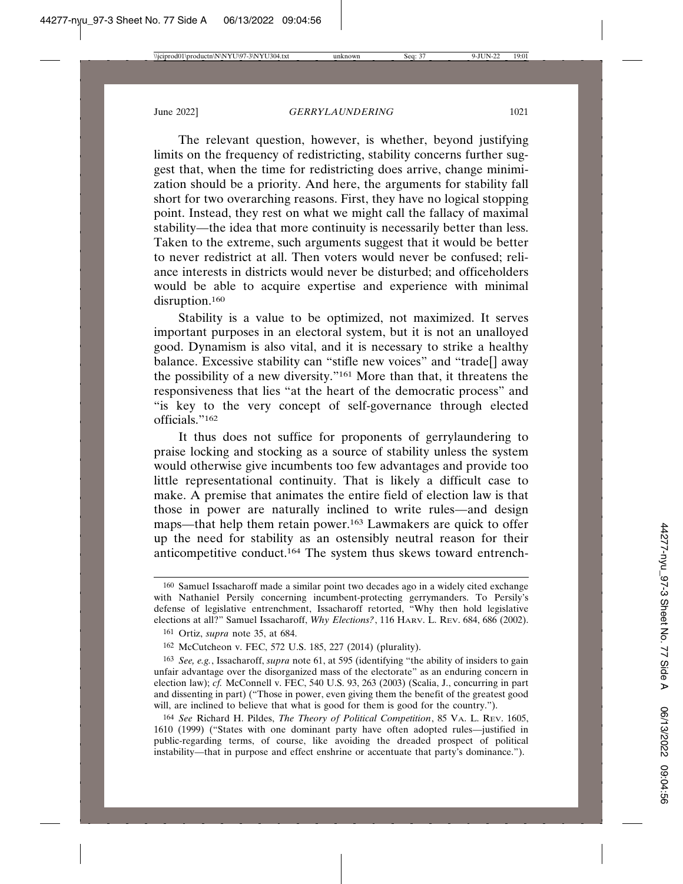The relevant question, however, is whether, beyond justifying limits on the frequency of redistricting, stability concerns further suggest that, when the time for redistricting does arrive, change minimization should be a priority. And here, the arguments for stability fall short for two overarching reasons. First, they have no logical stopping point. Instead, they rest on what we might call the fallacy of maximal stability—the idea that more continuity is necessarily better than less. Taken to the extreme, such arguments suggest that it would be better to never redistrict at all. Then voters would never be confused; reliance interests in districts would never be disturbed; and officeholders would be able to acquire expertise and experience with minimal disruption.<sup>160</sup>

Stability is a value to be optimized, not maximized. It serves important purposes in an electoral system, but it is not an unalloyed good. Dynamism is also vital, and it is necessary to strike a healthy balance. Excessive stability can "stifle new voices" and "trade[] away the possibility of a new diversity."161 More than that, it threatens the responsiveness that lies "at the heart of the democratic process" and "is key to the very concept of self-governance through elected officials."162

It thus does not suffice for proponents of gerrylaundering to praise locking and stocking as a source of stability unless the system would otherwise give incumbents too few advantages and provide too little representational continuity. That is likely a difficult case to make. A premise that animates the entire field of election law is that those in power are naturally inclined to write rules—and design maps—that help them retain power.163 Lawmakers are quick to offer up the need for stability as an ostensibly neutral reason for their anticompetitive conduct.164 The system thus skews toward entrench-

<sup>160</sup> Samuel Issacharoff made a similar point two decades ago in a widely cited exchange with Nathaniel Persily concerning incumbent-protecting gerrymanders. To Persily's defense of legislative entrenchment, Issacharoff retorted, "Why then hold legislative elections at all?" Samuel Issacharoff, *Why Elections?*, 116 HARV. L. REV. 684, 686 (2002).

<sup>161</sup> Ortiz, *supra* note 35, at 684.

<sup>162</sup> McCutcheon v. FEC, 572 U.S. 185, 227 (2014) (plurality).

<sup>163</sup> *See, e.g.*, Issacharoff, *supra* note 61, at 595 (identifying "the ability of insiders to gain unfair advantage over the disorganized mass of the electorate" as an enduring concern in election law); *cf.* McConnell v. FEC, 540 U.S. 93, 263 (2003) (Scalia, J., concurring in part and dissenting in part) ("Those in power, even giving them the benefit of the greatest good will, are inclined to believe that what is good for them is good for the country.").

<sup>164</sup> *See* Richard H. Pildes, *The Theory of Political Competition*, 85 VA. L. REV. 1605, 1610 (1999) ("States with one dominant party have often adopted rules—justified in public-regarding terms, of course, like avoiding the dreaded prospect of political instability—that in purpose and effect enshrine or accentuate that party's dominance.").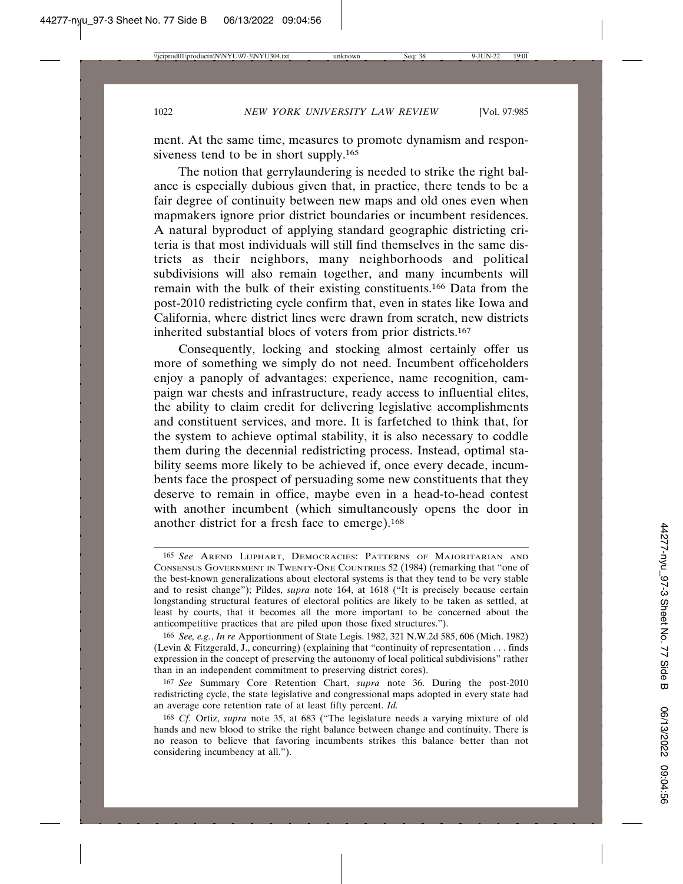ment. At the same time, measures to promote dynamism and responsiveness tend to be in short supply.<sup>165</sup>

The notion that gerrylaundering is needed to strike the right balance is especially dubious given that, in practice, there tends to be a fair degree of continuity between new maps and old ones even when mapmakers ignore prior district boundaries or incumbent residences. A natural byproduct of applying standard geographic districting criteria is that most individuals will still find themselves in the same districts as their neighbors, many neighborhoods and political subdivisions will also remain together, and many incumbents will remain with the bulk of their existing constituents.166 Data from the post-2010 redistricting cycle confirm that, even in states like Iowa and California, where district lines were drawn from scratch, new districts inherited substantial blocs of voters from prior districts.167

Consequently, locking and stocking almost certainly offer us more of something we simply do not need. Incumbent officeholders enjoy a panoply of advantages: experience, name recognition, campaign war chests and infrastructure, ready access to influential elites, the ability to claim credit for delivering legislative accomplishments and constituent services, and more. It is farfetched to think that, for the system to achieve optimal stability, it is also necessary to coddle them during the decennial redistricting process. Instead, optimal stability seems more likely to be achieved if, once every decade, incumbents face the prospect of persuading some new constituents that they deserve to remain in office, maybe even in a head-to-head contest with another incumbent (which simultaneously opens the door in another district for a fresh face to emerge).168

<sup>165</sup> *See* AREND LIJPHART, DEMOCRACIES: PATTERNS OF MAJORITARIAN AND CONSENSUS GOVERNMENT IN TWENTY-ONE COUNTRIES 52 (1984) (remarking that "one of the best-known generalizations about electoral systems is that they tend to be very stable and to resist change"); Pildes, *supra* note 164, at 1618 ("It is precisely because certain longstanding structural features of electoral politics are likely to be taken as settled, at least by courts, that it becomes all the more important to be concerned about the anticompetitive practices that are piled upon those fixed structures.").

<sup>166</sup> *See, e.g.*, *In re* Apportionment of State Legis. 1982, 321 N.W.2d 585, 606 (Mich. 1982) (Levin & Fitzgerald, J., concurring) (explaining that "continuity of representation . . . finds expression in the concept of preserving the autonomy of local political subdivisions" rather than in an independent commitment to preserving district cores).

<sup>167</sup> *See* Summary Core Retention Chart, *supra* note 36. During the post-2010 redistricting cycle, the state legislative and congressional maps adopted in every state had an average core retention rate of at least fifty percent. *Id.*

<sup>168</sup> *Cf.* Ortiz, *supra* note 35, at 683 ("The legislature needs a varying mixture of old hands and new blood to strike the right balance between change and continuity. There is no reason to believe that favoring incumbents strikes this balance better than not considering incumbency at all.").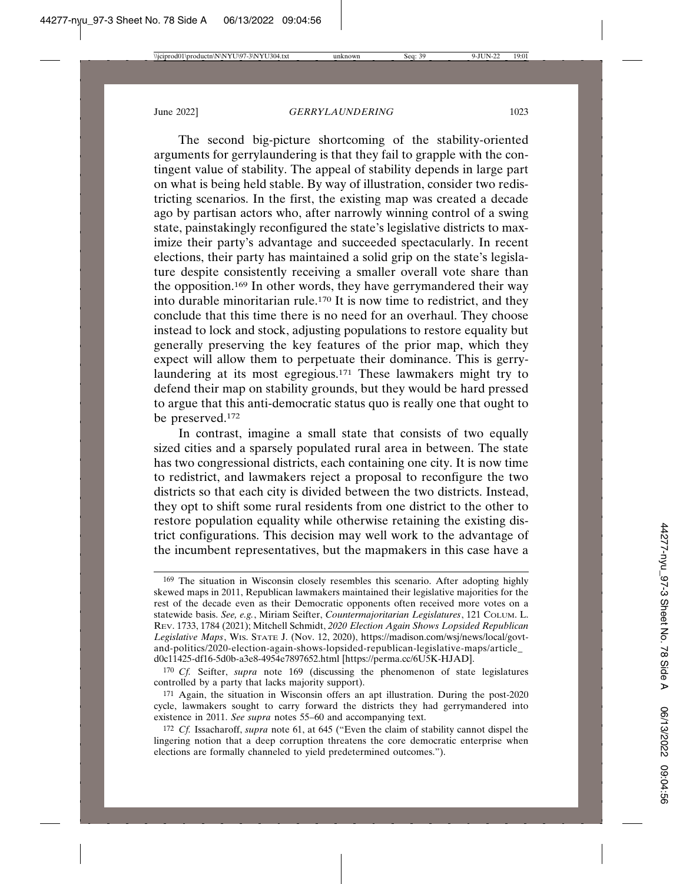The second big-picture shortcoming of the stability-oriented arguments for gerrylaundering is that they fail to grapple with the contingent value of stability. The appeal of stability depends in large part on what is being held stable. By way of illustration, consider two redistricting scenarios. In the first, the existing map was created a decade ago by partisan actors who, after narrowly winning control of a swing state, painstakingly reconfigured the state's legislative districts to maximize their party's advantage and succeeded spectacularly. In recent elections, their party has maintained a solid grip on the state's legislature despite consistently receiving a smaller overall vote share than the opposition.169 In other words, they have gerrymandered their way into durable minoritarian rule.170 It is now time to redistrict, and they conclude that this time there is no need for an overhaul. They choose instead to lock and stock, adjusting populations to restore equality but generally preserving the key features of the prior map, which they expect will allow them to perpetuate their dominance. This is gerrylaundering at its most egregious.<sup>171</sup> These lawmakers might try to defend their map on stability grounds, but they would be hard pressed to argue that this anti-democratic status quo is really one that ought to be preserved.172

In contrast, imagine a small state that consists of two equally sized cities and a sparsely populated rural area in between. The state has two congressional districts, each containing one city. It is now time to redistrict, and lawmakers reject a proposal to reconfigure the two districts so that each city is divided between the two districts. Instead, they opt to shift some rural residents from one district to the other to restore population equality while otherwise retaining the existing district configurations. This decision may well work to the advantage of the incumbent representatives, but the mapmakers in this case have a

170 *Cf.* Seifter, *supra* note 169 (discussing the phenomenon of state legislatures controlled by a party that lacks majority support).

<sup>169</sup> The situation in Wisconsin closely resembles this scenario. After adopting highly skewed maps in 2011, Republican lawmakers maintained their legislative majorities for the rest of the decade even as their Democratic opponents often received more votes on a statewide basis. *See, e.g.*, Miriam Seifter, *Countermajoritarian Legislatures*, 121 COLUM. L. REV. 1733, 1784 (2021); Mitchell Schmidt, *2020 Election Again Shows Lopsided Republican Legislative Maps*, WIS. STATE J. (Nov. 12, 2020), https://madison.com/wsj/news/local/govtand-politics/2020-election-again-shows-lopsided-republican-legislative-maps/article\_ d0c11425-df16-5d0b-a3e8-4954e7897652.html [https://perma.cc/6U5K-HJAD].

<sup>171</sup> Again, the situation in Wisconsin offers an apt illustration. During the post-2020 cycle, lawmakers sought to carry forward the districts they had gerrymandered into existence in 2011. *See supra* notes 55–60 and accompanying text.

<sup>172</sup> *Cf.* Issacharoff, *supra* note 61, at 645 ("Even the claim of stability cannot dispel the lingering notion that a deep corruption threatens the core democratic enterprise when elections are formally channeled to yield predetermined outcomes.").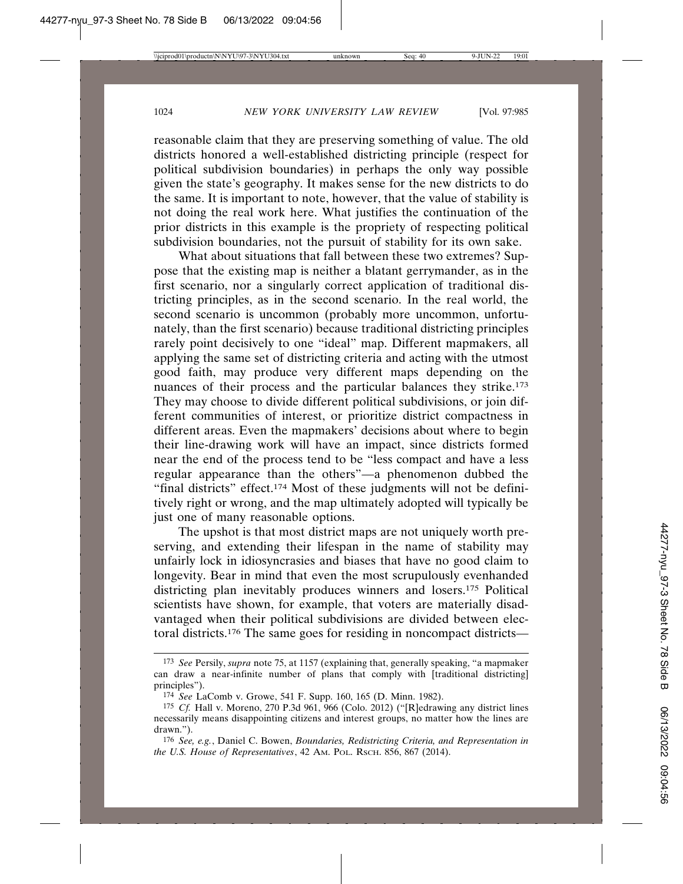reasonable claim that they are preserving something of value. The old districts honored a well-established districting principle (respect for political subdivision boundaries) in perhaps the only way possible given the state's geography. It makes sense for the new districts to do the same. It is important to note, however, that the value of stability is not doing the real work here. What justifies the continuation of the prior districts in this example is the propriety of respecting political subdivision boundaries, not the pursuit of stability for its own sake.

What about situations that fall between these two extremes? Suppose that the existing map is neither a blatant gerrymander, as in the first scenario, nor a singularly correct application of traditional districting principles, as in the second scenario. In the real world, the second scenario is uncommon (probably more uncommon, unfortunately, than the first scenario) because traditional districting principles rarely point decisively to one "ideal" map. Different mapmakers, all applying the same set of districting criteria and acting with the utmost good faith, may produce very different maps depending on the nuances of their process and the particular balances they strike.<sup>173</sup> They may choose to divide different political subdivisions, or join different communities of interest, or prioritize district compactness in different areas. Even the mapmakers' decisions about where to begin their line-drawing work will have an impact, since districts formed near the end of the process tend to be "less compact and have a less regular appearance than the others"—a phenomenon dubbed the "final districts" effect.<sup>174</sup> Most of these judgments will not be definitively right or wrong, and the map ultimately adopted will typically be just one of many reasonable options.

The upshot is that most district maps are not uniquely worth preserving, and extending their lifespan in the name of stability may unfairly lock in idiosyncrasies and biases that have no good claim to longevity. Bear in mind that even the most scrupulously evenhanded districting plan inevitably produces winners and losers.175 Political scientists have shown, for example, that voters are materially disadvantaged when their political subdivisions are divided between electoral districts.176 The same goes for residing in noncompact districts—

<sup>173</sup> *See* Persily, *supra* note 75, at 1157 (explaining that, generally speaking, "a mapmaker can draw a near-infinite number of plans that comply with [traditional districting] principles").

<sup>174</sup> *See* LaComb v. Growe, 541 F. Supp. 160, 165 (D. Minn. 1982).

<sup>175</sup> *Cf.* Hall v. Moreno, 270 P.3d 961, 966 (Colo. 2012) ("[R]edrawing any district lines necessarily means disappointing citizens and interest groups, no matter how the lines are drawn.").

<sup>176</sup> *See, e.g.*, Daniel C. Bowen, *Boundaries, Redistricting Criteria, and Representation in the U.S. House of Representatives*, 42 AM. POL. RSCH. 856, 867 (2014).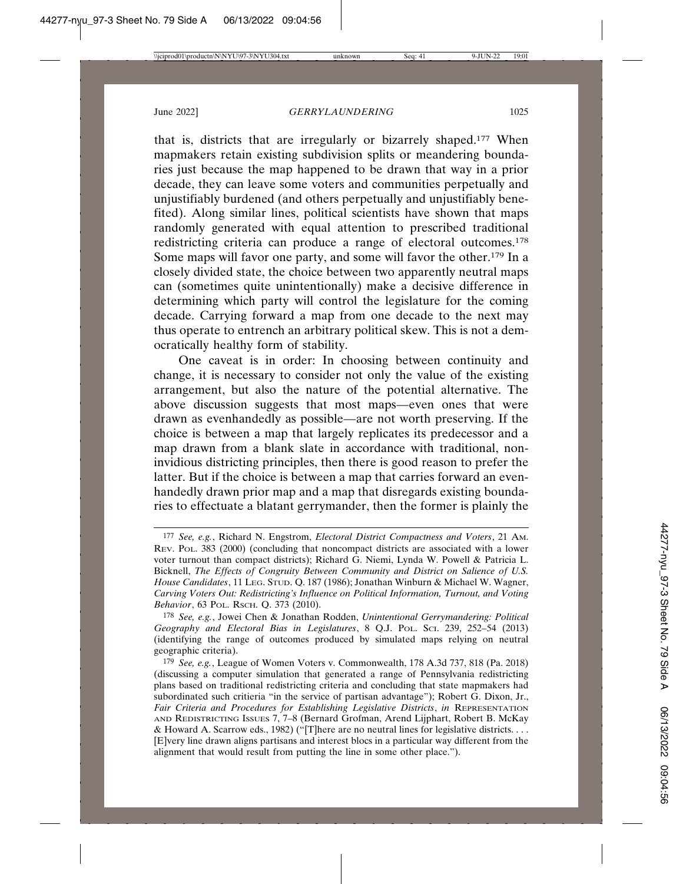that is, districts that are irregularly or bizarrely shaped.177 When mapmakers retain existing subdivision splits or meandering boundaries just because the map happened to be drawn that way in a prior decade, they can leave some voters and communities perpetually and unjustifiably burdened (and others perpetually and unjustifiably benefited). Along similar lines, political scientists have shown that maps randomly generated with equal attention to prescribed traditional redistricting criteria can produce a range of electoral outcomes.178 Some maps will favor one party, and some will favor the other.179 In a closely divided state, the choice between two apparently neutral maps can (sometimes quite unintentionally) make a decisive difference in determining which party will control the legislature for the coming decade. Carrying forward a map from one decade to the next may thus operate to entrench an arbitrary political skew. This is not a democratically healthy form of stability.

One caveat is in order: In choosing between continuity and change, it is necessary to consider not only the value of the existing arrangement, but also the nature of the potential alternative. The above discussion suggests that most maps—even ones that were drawn as evenhandedly as possible—are not worth preserving. If the choice is between a map that largely replicates its predecessor and a map drawn from a blank slate in accordance with traditional, noninvidious districting principles, then there is good reason to prefer the latter. But if the choice is between a map that carries forward an evenhandedly drawn prior map and a map that disregards existing boundaries to effectuate a blatant gerrymander, then the former is plainly the

178 *See, e.g.*, Jowei Chen & Jonathan Rodden, *Unintentional Gerrymandering: Political Geography and Electoral Bias in Legislatures*, 8 Q.J. POL. SCI. 239, 252–54 (2013) (identifying the range of outcomes produced by simulated maps relying on neutral geographic criteria).

<sup>177</sup> *See, e.g.*, Richard N. Engstrom, *Electoral District Compactness and Voters*, 21 AM. REV. POL. 383 (2000) (concluding that noncompact districts are associated with a lower voter turnout than compact districts); Richard G. Niemi, Lynda W. Powell & Patricia L. Bicknell, *The Effects of Congruity Between Community and District on Salience of U.S. House Candidates*, 11 LEG. STUD. Q. 187 (1986); Jonathan Winburn & Michael W. Wagner, *Carving Voters Out: Redistricting's Influence on Political Information, Turnout, and Voting Behavior*, 63 POL. RSCH. Q. 373 (2010).

<sup>179</sup> *See, e.g.*, League of Women Voters v. Commonwealth, 178 A.3d 737, 818 (Pa. 2018) (discussing a computer simulation that generated a range of Pennsylvania redistricting plans based on traditional redistricting criteria and concluding that state mapmakers had subordinated such critieria "in the service of partisan advantage"); Robert G. Dixon, Jr., *Fair Criteria and Procedures for Establishing Legislative Districts*, *in* REPRESENTATION AND REDISTRICTING ISSUES 7, 7–8 (Bernard Grofman, Arend Lijphart, Robert B. McKay & Howard A. Scarrow eds., 1982) ("[T]here are no neutral lines for legislative districts. . . . [E]very line drawn aligns partisans and interest blocs in a particular way different from the alignment that would result from putting the line in some other place.").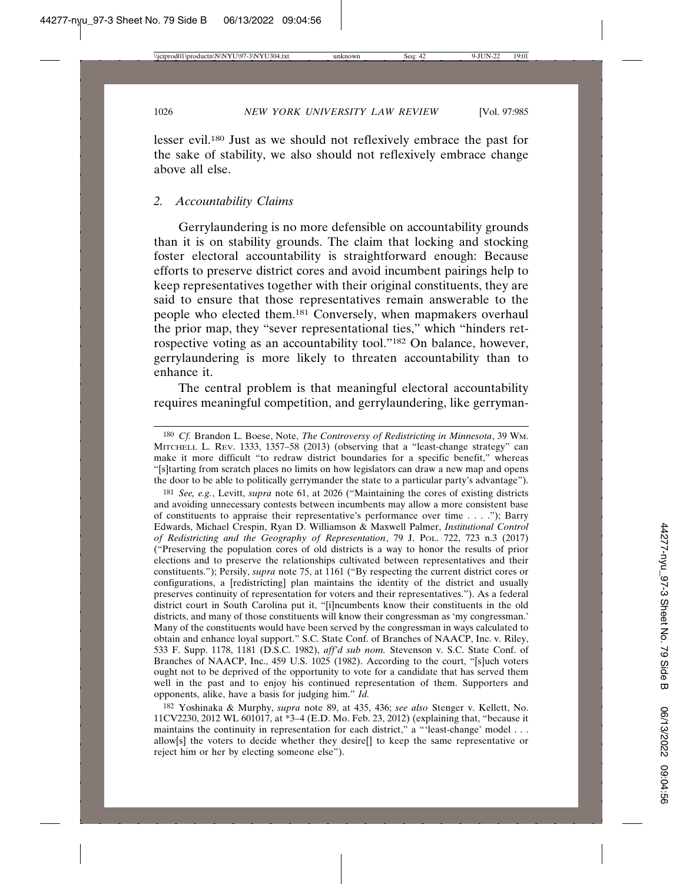lesser evil.180 Just as we should not reflexively embrace the past for the sake of stability, we also should not reflexively embrace change above all else.

## *2. Accountability Claims*

Gerrylaundering is no more defensible on accountability grounds than it is on stability grounds. The claim that locking and stocking foster electoral accountability is straightforward enough: Because efforts to preserve district cores and avoid incumbent pairings help to keep representatives together with their original constituents, they are said to ensure that those representatives remain answerable to the people who elected them.181 Conversely, when mapmakers overhaul the prior map, they "sever representational ties," which "hinders retrospective voting as an accountability tool."182 On balance, however, gerrylaundering is more likely to threaten accountability than to enhance it.

The central problem is that meaningful electoral accountability requires meaningful competition, and gerrylaundering, like gerryman-

181 *See, e.g.*, Levitt, *supra* note 61, at 2026 ("Maintaining the cores of existing districts and avoiding unnecessary contests between incumbents may allow a more consistent base of constituents to appraise their representative's performance over time . . . ."); Barry Edwards, Michael Crespin, Ryan D. Williamson & Maxwell Palmer, *Institutional Control of Redistricting and the Geography of Representation*, 79 J. POL. 722, 723 n.3 (2017) ("Preserving the population cores of old districts is a way to honor the results of prior elections and to preserve the relationships cultivated between representatives and their constituents."); Persily, *supra* note 75, at 1161 ("By respecting the current district cores or configurations, a [redistricting] plan maintains the identity of the district and usually preserves continuity of representation for voters and their representatives."). As a federal district court in South Carolina put it, "[i]ncumbents know their constituents in the old districts, and many of those constituents will know their congressman as 'my congressman.' Many of the constituents would have been served by the congressman in ways calculated to obtain and enhance loyal support." S.C. State Conf. of Branches of NAACP, Inc. v. Riley, 533 F. Supp. 1178, 1181 (D.S.C. 1982), *aff'd sub nom.* Stevenson v. S.C. State Conf. of Branches of NAACP, Inc., 459 U.S. 1025 (1982). According to the court, "[s]uch voters ought not to be deprived of the opportunity to vote for a candidate that has served them well in the past and to enjoy his continued representation of them. Supporters and opponents, alike, have a basis for judging him." *Id.*

182 Yoshinaka & Murphy, *supra* note 89, at 435, 436; *see also* Stenger v. Kellett, No. 11CV2230, 2012 WL 601017, at \*3–4 (E.D. Mo. Feb. 23, 2012) (explaining that, "because it maintains the continuity in representation for each district," a "'least-change' model . . . allow[s] the voters to decide whether they desire[] to keep the same representative or reject him or her by electing someone else").

<sup>180</sup> *Cf.* Brandon L. Boese, Note, *The Controversy of Redistricting in Minnesota*, 39 WM. MITCHELL L. REV. 1333, 1357–58 (2013) (observing that a "least-change strategy" can make it more difficult "to redraw district boundaries for a specific benefit," whereas "[s]tarting from scratch places no limits on how legislators can draw a new map and opens the door to be able to politically gerrymander the state to a particular party's advantage").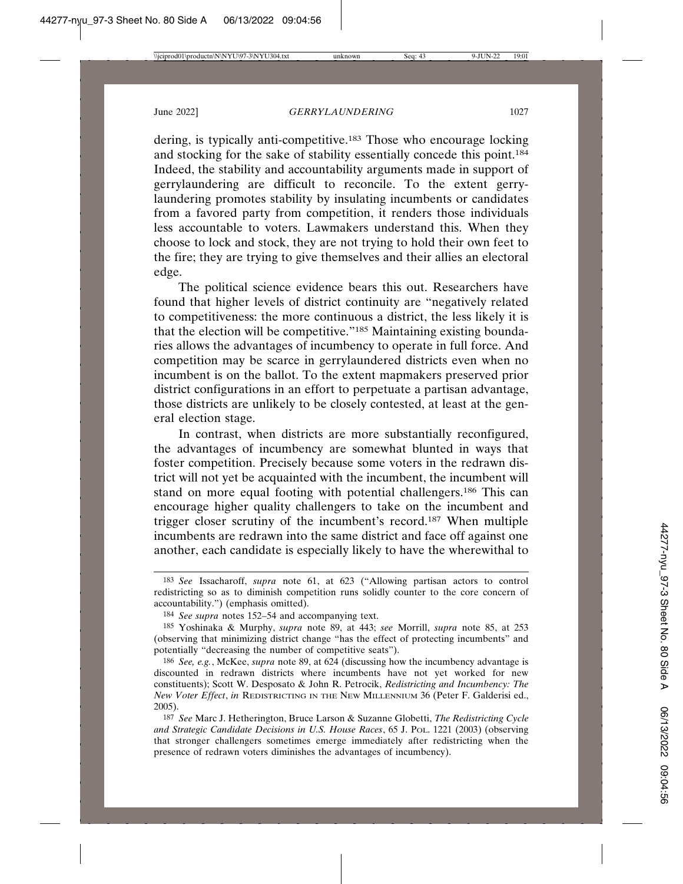dering, is typically anti-competitive.183 Those who encourage locking and stocking for the sake of stability essentially concede this point.<sup>184</sup> Indeed, the stability and accountability arguments made in support of gerrylaundering are difficult to reconcile. To the extent gerrylaundering promotes stability by insulating incumbents or candidates from a favored party from competition, it renders those individuals less accountable to voters. Lawmakers understand this. When they choose to lock and stock, they are not trying to hold their own feet to the fire; they are trying to give themselves and their allies an electoral edge.

The political science evidence bears this out. Researchers have found that higher levels of district continuity are "negatively related to competitiveness: the more continuous a district, the less likely it is that the election will be competitive."185 Maintaining existing boundaries allows the advantages of incumbency to operate in full force. And competition may be scarce in gerrylaundered districts even when no incumbent is on the ballot. To the extent mapmakers preserved prior district configurations in an effort to perpetuate a partisan advantage, those districts are unlikely to be closely contested, at least at the general election stage.

In contrast, when districts are more substantially reconfigured, the advantages of incumbency are somewhat blunted in ways that foster competition. Precisely because some voters in the redrawn district will not yet be acquainted with the incumbent, the incumbent will stand on more equal footing with potential challengers.186 This can encourage higher quality challengers to take on the incumbent and trigger closer scrutiny of the incumbent's record.187 When multiple incumbents are redrawn into the same district and face off against one another, each candidate is especially likely to have the wherewithal to

<sup>183</sup> *See* Issacharoff, *supra* note 61, at 623 ("Allowing partisan actors to control redistricting so as to diminish competition runs solidly counter to the core concern of accountability.") (emphasis omitted).

<sup>184</sup> *See supra* notes 152–54 and accompanying text.

<sup>185</sup> Yoshinaka & Murphy, *supra* note 89, at 443; *see* Morrill, *supra* note 85, at 253 (observing that minimizing district change "has the effect of protecting incumbents" and potentially "decreasing the number of competitive seats").

<sup>186</sup> *See, e.g.*, McKee, *supra* note 89, at 624 (discussing how the incumbency advantage is discounted in redrawn districts where incumbents have not yet worked for new constituents); Scott W. Desposato & John R. Petrocik, *Redistricting and Incumbency: The New Voter Effect*, *in* REDISTRICTING IN THE NEW MILLENNIUM 36 (Peter F. Galderisi ed., 2005).

<sup>187</sup> *See* Marc J. Hetherington, Bruce Larson & Suzanne Globetti, *The Redistricting Cycle and Strategic Candidate Decisions in U.S. House Races*, 65 J. POL. 1221 (2003) (observing that stronger challengers sometimes emerge immediately after redistricting when the presence of redrawn voters diminishes the advantages of incumbency).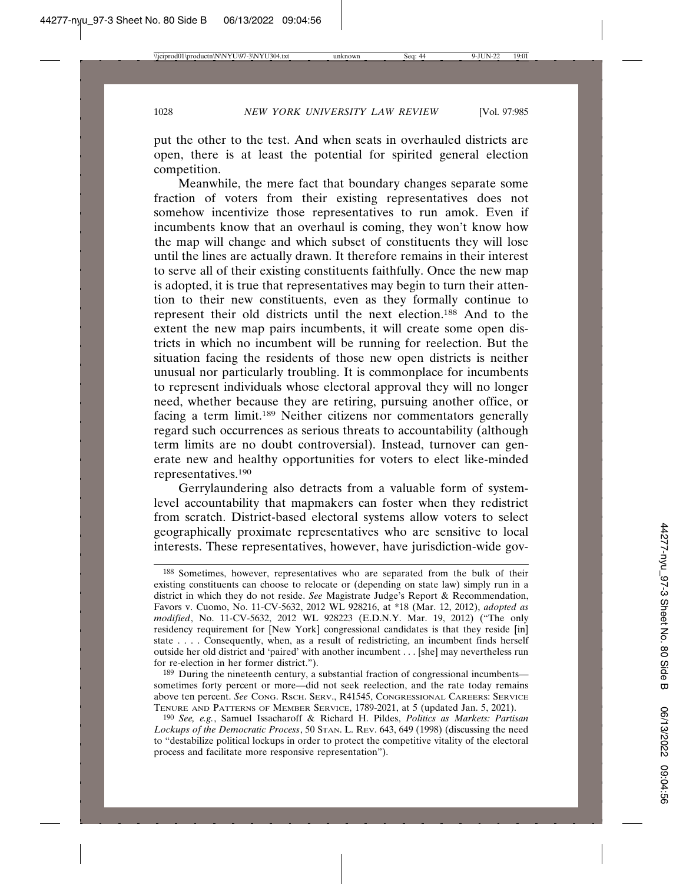put the other to the test. And when seats in overhauled districts are open, there is at least the potential for spirited general election competition.

Meanwhile, the mere fact that boundary changes separate some fraction of voters from their existing representatives does not somehow incentivize those representatives to run amok. Even if incumbents know that an overhaul is coming, they won't know how the map will change and which subset of constituents they will lose until the lines are actually drawn. It therefore remains in their interest to serve all of their existing constituents faithfully. Once the new map is adopted, it is true that representatives may begin to turn their attention to their new constituents, even as they formally continue to represent their old districts until the next election.188 And to the extent the new map pairs incumbents, it will create some open districts in which no incumbent will be running for reelection. But the situation facing the residents of those new open districts is neither unusual nor particularly troubling. It is commonplace for incumbents to represent individuals whose electoral approval they will no longer need, whether because they are retiring, pursuing another office, or facing a term limit.189 Neither citizens nor commentators generally regard such occurrences as serious threats to accountability (although term limits are no doubt controversial). Instead, turnover can generate new and healthy opportunities for voters to elect like-minded representatives.190

Gerrylaundering also detracts from a valuable form of systemlevel accountability that mapmakers can foster when they redistrict from scratch. District-based electoral systems allow voters to select geographically proximate representatives who are sensitive to local interests. These representatives, however, have jurisdiction-wide gov-

<sup>188</sup> Sometimes, however, representatives who are separated from the bulk of their existing constituents can choose to relocate or (depending on state law) simply run in a district in which they do not reside. *See* Magistrate Judge's Report & Recommendation, Favors v. Cuomo, No. 11-CV-5632, 2012 WL 928216, at \*18 (Mar. 12, 2012), *adopted as modified*, No. 11-CV-5632, 2012 WL 928223 (E.D.N.Y. Mar. 19, 2012) ("The only residency requirement for [New York] congressional candidates is that they reside [in] state . . . . Consequently, when, as a result of redistricting, an incumbent finds herself outside her old district and 'paired' with another incumbent . . . [she] may nevertheless run for re-election in her former district.").

<sup>189</sup> During the nineteenth century, a substantial fraction of congressional incumbents sometimes forty percent or more—did not seek reelection, and the rate today remains above ten percent. *See* CONG. RSCH. SERV., R41545, CONGRESSIONAL CAREERS: SERVICE TENURE AND PATTERNS OF MEMBER SERVICE, 1789-2021, at 5 (updated Jan. 5, 2021).

<sup>190</sup> *See, e.g.*, Samuel Issacharoff & Richard H. Pildes, *Politics as Markets: Partisan Lockups of the Democratic Process*, 50 STAN. L. REV. 643, 649 (1998) (discussing the need to "destabilize political lockups in order to protect the competitive vitality of the electoral process and facilitate more responsive representation").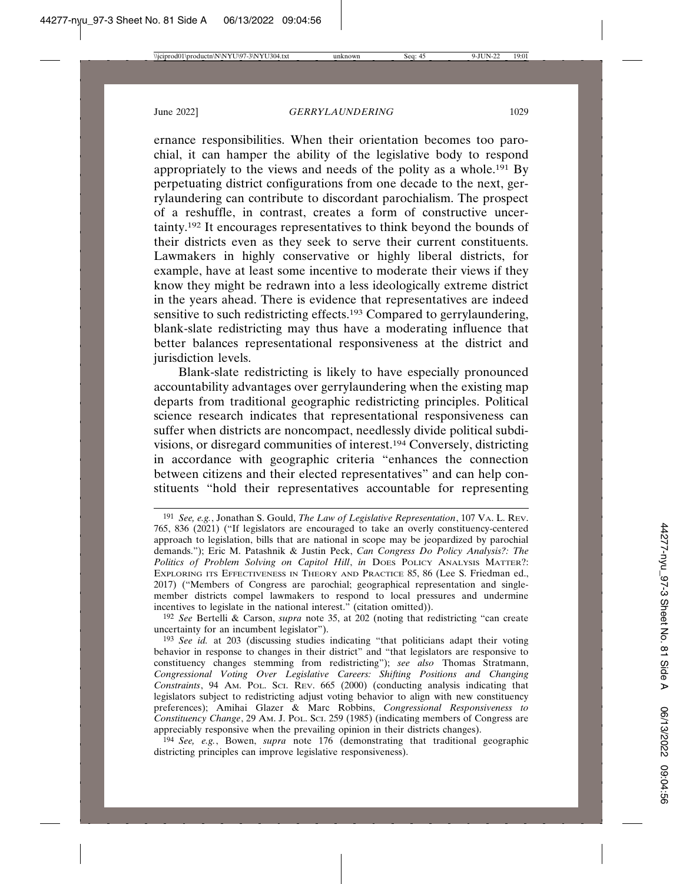ernance responsibilities. When their orientation becomes too parochial, it can hamper the ability of the legislative body to respond appropriately to the views and needs of the polity as a whole.191 By perpetuating district configurations from one decade to the next, gerrylaundering can contribute to discordant parochialism. The prospect of a reshuffle, in contrast, creates a form of constructive uncertainty.192 It encourages representatives to think beyond the bounds of their districts even as they seek to serve their current constituents. Lawmakers in highly conservative or highly liberal districts, for example, have at least some incentive to moderate their views if they know they might be redrawn into a less ideologically extreme district in the years ahead. There is evidence that representatives are indeed sensitive to such redistricting effects.<sup>193</sup> Compared to gerrylaundering, blank-slate redistricting may thus have a moderating influence that better balances representational responsiveness at the district and jurisdiction levels.

Blank-slate redistricting is likely to have especially pronounced accountability advantages over gerrylaundering when the existing map departs from traditional geographic redistricting principles. Political science research indicates that representational responsiveness can suffer when districts are noncompact, needlessly divide political subdivisions, or disregard communities of interest.194 Conversely, districting in accordance with geographic criteria "enhances the connection between citizens and their elected representatives" and can help constituents "hold their representatives accountable for representing

<sup>191</sup> *See, e.g.*, Jonathan S. Gould, *The Law of Legislative Representation*, 107 VA. L. REV. 765, 836 (2021) ("If legislators are encouraged to take an overly constituency-centered approach to legislation, bills that are national in scope may be jeopardized by parochial demands."); Eric M. Patashnik & Justin Peck, *Can Congress Do Policy Analysis?: The Politics of Problem Solving on Capitol Hill*, *in* DOES POLICY ANALYSIS MATTER?: EXPLORING ITS EFFECTIVENESS IN THEORY AND PRACTICE 85, 86 (Lee S. Friedman ed., 2017) ("Members of Congress are parochial; geographical representation and singlemember districts compel lawmakers to respond to local pressures and undermine incentives to legislate in the national interest." (citation omitted)).

<sup>192</sup> *See* Bertelli & Carson, *supra* note 35, at 202 (noting that redistricting "can create uncertainty for an incumbent legislator").

<sup>193</sup> *See id.* at 203 (discussing studies indicating "that politicians adapt their voting behavior in response to changes in their district" and "that legislators are responsive to constituency changes stemming from redistricting"); *see also* Thomas Stratmann, *Congressional Voting Over Legislative Careers: Shifting Positions and Changing Constraints*, 94 AM. POL. SCI. REV. 665 (2000) (conducting analysis indicating that legislators subject to redistricting adjust voting behavior to align with new constituency preferences); Amihai Glazer & Marc Robbins, *Congressional Responsiveness to Constituency Change*, 29 AM. J. POL. SCI. 259 (1985) (indicating members of Congress are appreciably responsive when the prevailing opinion in their districts changes).

<sup>194</sup> *See, e.g.*, Bowen, *supra* note 176 (demonstrating that traditional geographic districting principles can improve legislative responsiveness).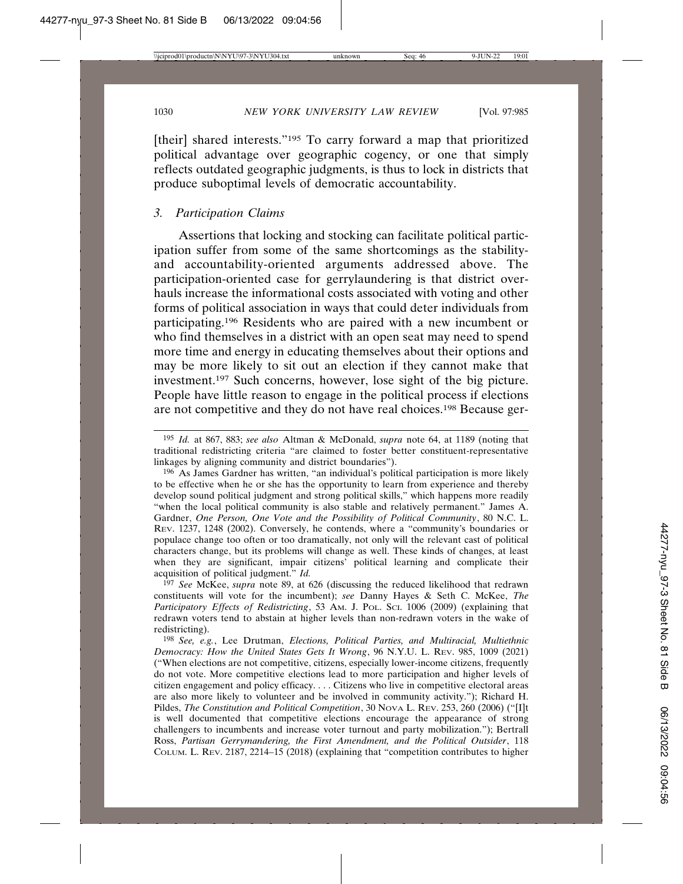[their] shared interests."<sup>195</sup> To carry forward a map that prioritized political advantage over geographic cogency, or one that simply reflects outdated geographic judgments, is thus to lock in districts that produce suboptimal levels of democratic accountability.

#### *3. Participation Claims*

Assertions that locking and stocking can facilitate political participation suffer from some of the same shortcomings as the stabilityand accountability-oriented arguments addressed above. The participation-oriented case for gerrylaundering is that district overhauls increase the informational costs associated with voting and other forms of political association in ways that could deter individuals from participating.196 Residents who are paired with a new incumbent or who find themselves in a district with an open seat may need to spend more time and energy in educating themselves about their options and may be more likely to sit out an election if they cannot make that investment.197 Such concerns, however, lose sight of the big picture. People have little reason to engage in the political process if elections are not competitive and they do not have real choices.198 Because ger-

197 *See* McKee, *supra* note 89, at 626 (discussing the reduced likelihood that redrawn constituents will vote for the incumbent); *see* Danny Hayes & Seth C. McKee, *The Participatory Effects of Redistricting*, 53 AM. J. POL. SCI. 1006 (2009) (explaining that redrawn voters tend to abstain at higher levels than non-redrawn voters in the wake of redistricting).

<sup>195</sup> *Id.* at 867, 883; *see also* Altman & McDonald, *supra* note 64, at 1189 (noting that traditional redistricting criteria "are claimed to foster better constituent-representative linkages by aligning community and district boundaries").

<sup>196</sup> As James Gardner has written, "an individual's political participation is more likely to be effective when he or she has the opportunity to learn from experience and thereby develop sound political judgment and strong political skills," which happens more readily "when the local political community is also stable and relatively permanent." James A. Gardner, *One Person, One Vote and the Possibility of Political Community*, 80 N.C. L. REV. 1237, 1248 (2002). Conversely, he contends, where a "community's boundaries or populace change too often or too dramatically, not only will the relevant cast of political characters change, but its problems will change as well. These kinds of changes, at least when they are significant, impair citizens' political learning and complicate their acquisition of political judgment." *Id.*

<sup>198</sup> *See, e.g.*, Lee Drutman, *Elections, Political Parties, and Multiracial, Multiethnic Democracy: How the United States Gets It Wrong*, 96 N.Y.U. L. REV. 985, 1009 (2021) ("When elections are not competitive, citizens, especially lower-income citizens, frequently do not vote. More competitive elections lead to more participation and higher levels of citizen engagement and policy efficacy. . . . Citizens who live in competitive electoral areas are also more likely to volunteer and be involved in community activity."); Richard H. Pildes, *The Constitution and Political Competition*, 30 NOVA L. REV. 253, 260 (2006) ("[I]t is well documented that competitive elections encourage the appearance of strong challengers to incumbents and increase voter turnout and party mobilization."); Bertrall Ross, *Partisan Gerrymandering, the First Amendment, and the Political Outsider*, 118 COLUM. L. REV. 2187, 2214–15 (2018) (explaining that "competition contributes to higher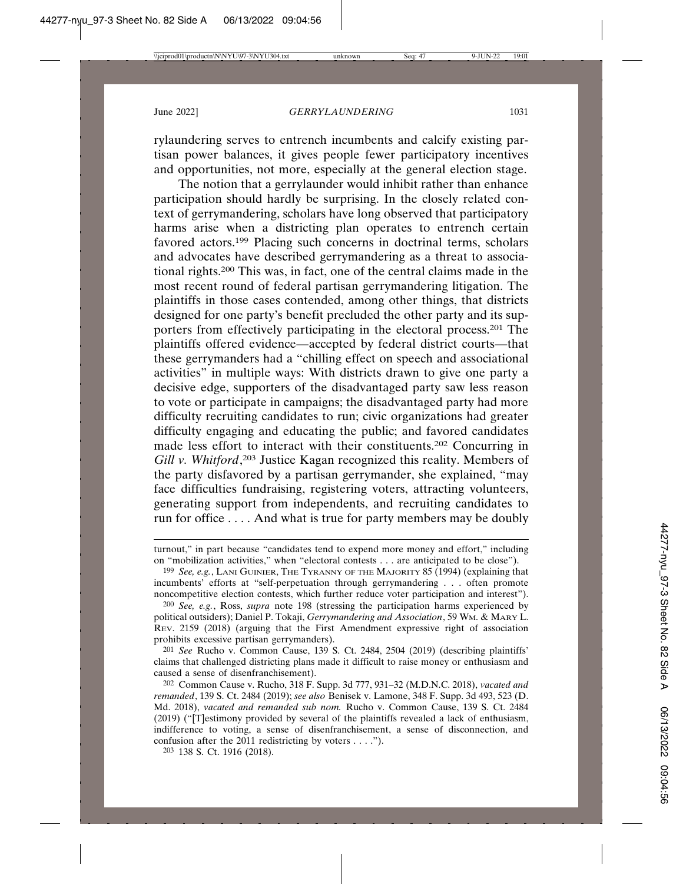rylaundering serves to entrench incumbents and calcify existing partisan power balances, it gives people fewer participatory incentives and opportunities, not more, especially at the general election stage.

The notion that a gerrylaunder would inhibit rather than enhance participation should hardly be surprising. In the closely related context of gerrymandering, scholars have long observed that participatory harms arise when a districting plan operates to entrench certain favored actors.<sup>199</sup> Placing such concerns in doctrinal terms, scholars and advocates have described gerrymandering as a threat to associational rights.200 This was, in fact, one of the central claims made in the most recent round of federal partisan gerrymandering litigation. The plaintiffs in those cases contended, among other things, that districts designed for one party's benefit precluded the other party and its supporters from effectively participating in the electoral process.201 The plaintiffs offered evidence—accepted by federal district courts—that these gerrymanders had a "chilling effect on speech and associational activities" in multiple ways: With districts drawn to give one party a decisive edge, supporters of the disadvantaged party saw less reason to vote or participate in campaigns; the disadvantaged party had more difficulty recruiting candidates to run; civic organizations had greater difficulty engaging and educating the public; and favored candidates made less effort to interact with their constituents.202 Concurring in *Gill v. Whitford*, 203 Justice Kagan recognized this reality. Members of the party disfavored by a partisan gerrymander, she explained, "may face difficulties fundraising, registering voters, attracting volunteers, generating support from independents, and recruiting candidates to run for office . . . . And what is true for party members may be doubly

201 *See* Rucho v. Common Cause, 139 S. Ct. 2484, 2504 (2019) (describing plaintiffs' claims that challenged districting plans made it difficult to raise money or enthusiasm and caused a sense of disenfranchisement).

turnout," in part because "candidates tend to expend more money and effort," including on "mobilization activities," when "electoral contests . . . are anticipated to be close").

<sup>199</sup> *See, e.g.*, LANI GUINIER, THE TYRANNY OF THE MAJORITY 85 (1994) (explaining that incumbents' efforts at "self-perpetuation through gerrymandering . . . often promote noncompetitive election contests, which further reduce voter participation and interest").

<sup>200</sup> *See, e.g.*, Ross, *supra* note 198 (stressing the participation harms experienced by political outsiders); Daniel P. Tokaji, *Gerrymandering and Association*, 59 WM. & MARY L. REV. 2159 (2018) (arguing that the First Amendment expressive right of association prohibits excessive partisan gerrymanders).

<sup>202</sup> Common Cause v. Rucho, 318 F. Supp. 3d 777, 931–32 (M.D.N.C. 2018), *vacated and remanded*, 139 S. Ct. 2484 (2019); *see also* Benisek v. Lamone, 348 F. Supp. 3d 493, 523 (D. Md. 2018), *vacated and remanded sub nom.* Rucho v. Common Cause, 139 S. Ct. 2484 (2019) ("[T]estimony provided by several of the plaintiffs revealed a lack of enthusiasm, indifference to voting, a sense of disenfranchisement, a sense of disconnection, and confusion after the 2011 redistricting by voters . . . .").

<sup>203</sup> 138 S. Ct. 1916 (2018).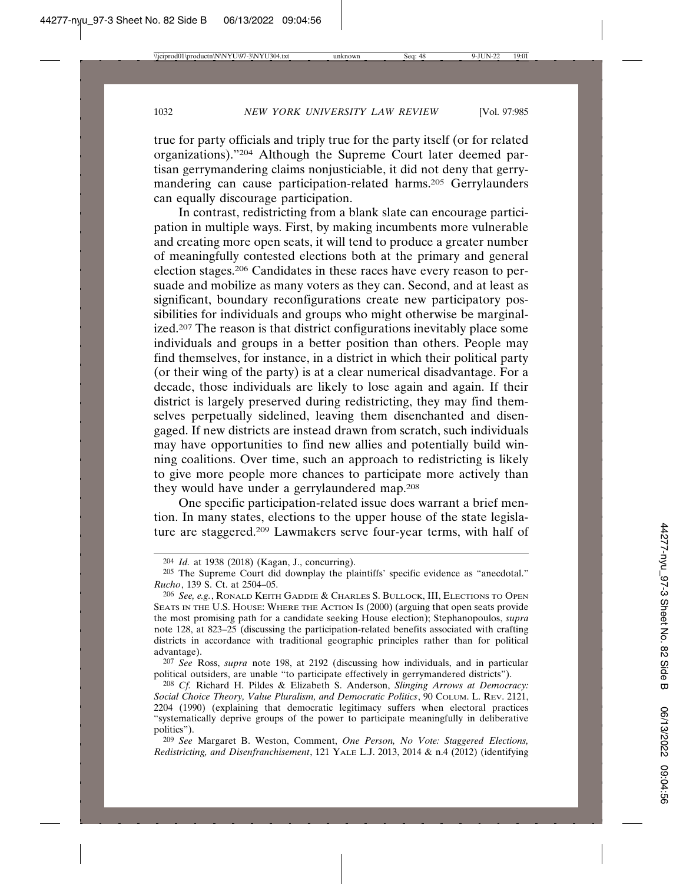true for party officials and triply true for the party itself (or for related organizations)."204 Although the Supreme Court later deemed partisan gerrymandering claims nonjusticiable, it did not deny that gerrymandering can cause participation-related harms.205 Gerrylaunders can equally discourage participation.

In contrast, redistricting from a blank slate can encourage participation in multiple ways. First, by making incumbents more vulnerable and creating more open seats, it will tend to produce a greater number of meaningfully contested elections both at the primary and general election stages.206 Candidates in these races have every reason to persuade and mobilize as many voters as they can. Second, and at least as significant, boundary reconfigurations create new participatory possibilities for individuals and groups who might otherwise be marginalized.207 The reason is that district configurations inevitably place some individuals and groups in a better position than others. People may find themselves, for instance, in a district in which their political party (or their wing of the party) is at a clear numerical disadvantage. For a decade, those individuals are likely to lose again and again. If their district is largely preserved during redistricting, they may find themselves perpetually sidelined, leaving them disenchanted and disengaged. If new districts are instead drawn from scratch, such individuals may have opportunities to find new allies and potentially build winning coalitions. Over time, such an approach to redistricting is likely to give more people more chances to participate more actively than they would have under a gerrylaundered map.208

One specific participation-related issue does warrant a brief mention. In many states, elections to the upper house of the state legislature are staggered.209 Lawmakers serve four-year terms, with half of

<sup>204</sup> *Id.* at 1938 (2018) (Kagan, J., concurring).

<sup>205</sup> The Supreme Court did downplay the plaintiffs' specific evidence as "anecdotal." *Rucho*, 139 S. Ct. at 2504–05.

<sup>206</sup> *See, e.g.*, RONALD KEITH GADDIE & CHARLES S. BULLOCK, III, ELECTIONS TO OPEN SEATS IN THE U.S. HOUSE: WHERE THE ACTION IS (2000) (arguing that open seats provide the most promising path for a candidate seeking House election); Stephanopoulos, *supra* note 128, at 823–25 (discussing the participation-related benefits associated with crafting districts in accordance with traditional geographic principles rather than for political advantage).

<sup>207</sup> *See* Ross, *supra* note 198, at 2192 (discussing how individuals, and in particular political outsiders, are unable "to participate effectively in gerrymandered districts").

<sup>208</sup> *Cf.* Richard H. Pildes & Elizabeth S. Anderson, *Slinging Arrows at Democracy: Social Choice Theory, Value Pluralism, and Democratic Politics*, 90 COLUM. L. REV. 2121, 2204 (1990) (explaining that democratic legitimacy suffers when electoral practices "systematically deprive groups of the power to participate meaningfully in deliberative politics").

<sup>209</sup> *See* Margaret B. Weston, Comment, *One Person, No Vote: Staggered Elections, Redistricting, and Disenfranchisement*, 121 YALE L.J. 2013, 2014 & n.4 (2012) (identifying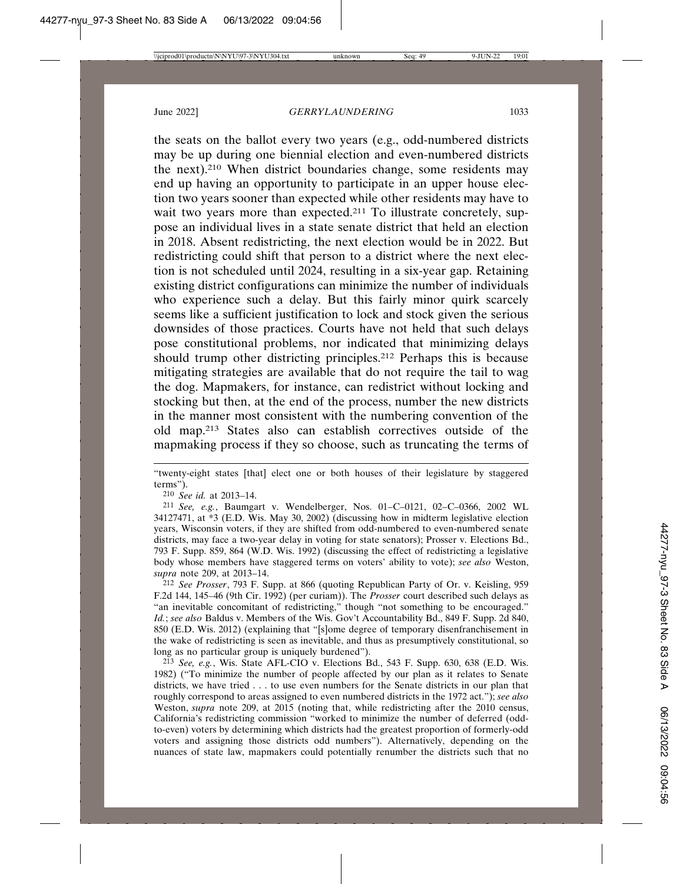the seats on the ballot every two years (e.g., odd-numbered districts may be up during one biennial election and even-numbered districts the next).210 When district boundaries change, some residents may end up having an opportunity to participate in an upper house election two years sooner than expected while other residents may have to wait two years more than expected.<sup>211</sup> To illustrate concretely, suppose an individual lives in a state senate district that held an election in 2018. Absent redistricting, the next election would be in 2022. But redistricting could shift that person to a district where the next election is not scheduled until 2024, resulting in a six-year gap. Retaining existing district configurations can minimize the number of individuals who experience such a delay. But this fairly minor quirk scarcely seems like a sufficient justification to lock and stock given the serious downsides of those practices. Courts have not held that such delays pose constitutional problems, nor indicated that minimizing delays should trump other districting principles.212 Perhaps this is because mitigating strategies are available that do not require the tail to wag the dog. Mapmakers, for instance, can redistrict without locking and stocking but then, at the end of the process, number the new districts in the manner most consistent with the numbering convention of the old map.213 States also can establish correctives outside of the mapmaking process if they so choose, such as truncating the terms of

"twenty-eight states [that] elect one or both houses of their legislature by staggered terms").

210 *See id.* at 2013–14.

211 *See, e.g.*, Baumgart v. Wendelberger, Nos. 01–C–0121, 02–C–0366, 2002 WL 34127471, at \*3 (E.D. Wis. May 30, 2002) (discussing how in midterm legislative election years, Wisconsin voters, if they are shifted from odd-numbered to even-numbered senate districts, may face a two-year delay in voting for state senators); Prosser v. Elections Bd., 793 F. Supp. 859, 864 (W.D. Wis. 1992) (discussing the effect of redistricting a legislative body whose members have staggered terms on voters' ability to vote); *see also* Weston, *supra* note 209, at 2013–14.

212 *See Prosser*, 793 F. Supp. at 866 (quoting Republican Party of Or. v. Keisling, 959 F.2d 144, 145–46 (9th Cir. 1992) (per curiam)). The *Prosser* court described such delays as "an inevitable concomitant of redistricting," though "not something to be encouraged." *Id.*; *see also* Baldus v. Members of the Wis. Gov't Accountability Bd., 849 F. Supp. 2d 840, 850 (E.D. Wis. 2012) (explaining that "[s]ome degree of temporary disenfranchisement in the wake of redistricting is seen as inevitable, and thus as presumptively constitutional, so long as no particular group is uniquely burdened").

213 *See, e.g.*, Wis. State AFL-CIO v. Elections Bd., 543 F. Supp. 630, 638 (E.D. Wis. 1982) ("To minimize the number of people affected by our plan as it relates to Senate districts, we have tried . . . to use even numbers for the Senate districts in our plan that roughly correspond to areas assigned to even numbered districts in the 1972 act."); *see also* Weston, *supra* note 209, at 2015 (noting that, while redistricting after the 2010 census, California's redistricting commission "worked to minimize the number of deferred (oddto-even) voters by determining which districts had the greatest proportion of formerly-odd voters and assigning those districts odd numbers"). Alternatively, depending on the nuances of state law, mapmakers could potentially renumber the districts such that no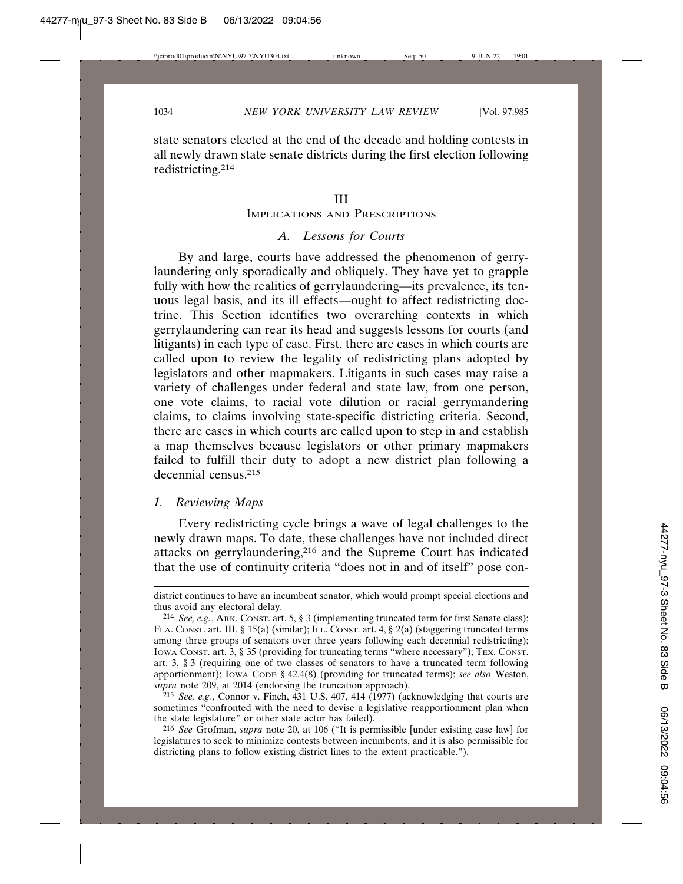state senators elected at the end of the decade and holding contests in all newly drawn state senate districts during the first election following redistricting.214

#### III

#### IMPLICATIONS AND PRESCRIPTIONS

# *A. Lessons for Courts*

By and large, courts have addressed the phenomenon of gerrylaundering only sporadically and obliquely. They have yet to grapple fully with how the realities of gerrylaundering—its prevalence, its tenuous legal basis, and its ill effects—ought to affect redistricting doctrine. This Section identifies two overarching contexts in which gerrylaundering can rear its head and suggests lessons for courts (and litigants) in each type of case. First, there are cases in which courts are called upon to review the legality of redistricting plans adopted by legislators and other mapmakers. Litigants in such cases may raise a variety of challenges under federal and state law, from one person, one vote claims, to racial vote dilution or racial gerrymandering claims, to claims involving state-specific districting criteria. Second, there are cases in which courts are called upon to step in and establish a map themselves because legislators or other primary mapmakers failed to fulfill their duty to adopt a new district plan following a decennial census.215

## *1. Reviewing Maps*

Every redistricting cycle brings a wave of legal challenges to the newly drawn maps. To date, these challenges have not included direct attacks on gerrylaundering,216 and the Supreme Court has indicated that the use of continuity criteria "does not in and of itself" pose con-

district continues to have an incumbent senator, which would prompt special elections and thus avoid any electoral delay.

<sup>214</sup> *See, e.g.*, ARK. CONST. art. 5, § 3 (implementing truncated term for first Senate class); FLA. CONST. art. III, § 15(a) (similar); ILL. CONST. art. 4, § 2(a) (staggering truncated terms among three groups of senators over three years following each decennial redistricting); Iowa Const. art. 3, § 35 (providing for truncating terms "where necessary"); TEX. CONST. art. 3, § 3 (requiring one of two classes of senators to have a truncated term following apportionment); IOWA CODE § 42.4(8) (providing for truncated terms); *see also* Weston, *supra* note 209, at 2014 (endorsing the truncation approach).

<sup>215</sup> *See, e.g.*, Connor v. Finch, 431 U.S. 407, 414 (1977) (acknowledging that courts are sometimes "confronted with the need to devise a legislative reapportionment plan when the state legislature" or other state actor has failed).

<sup>216</sup> *See* Grofman, *supra* note 20, at 106 ("It is permissible [under existing case law] for legislatures to seek to minimize contests between incumbents, and it is also permissible for districting plans to follow existing district lines to the extent practicable.").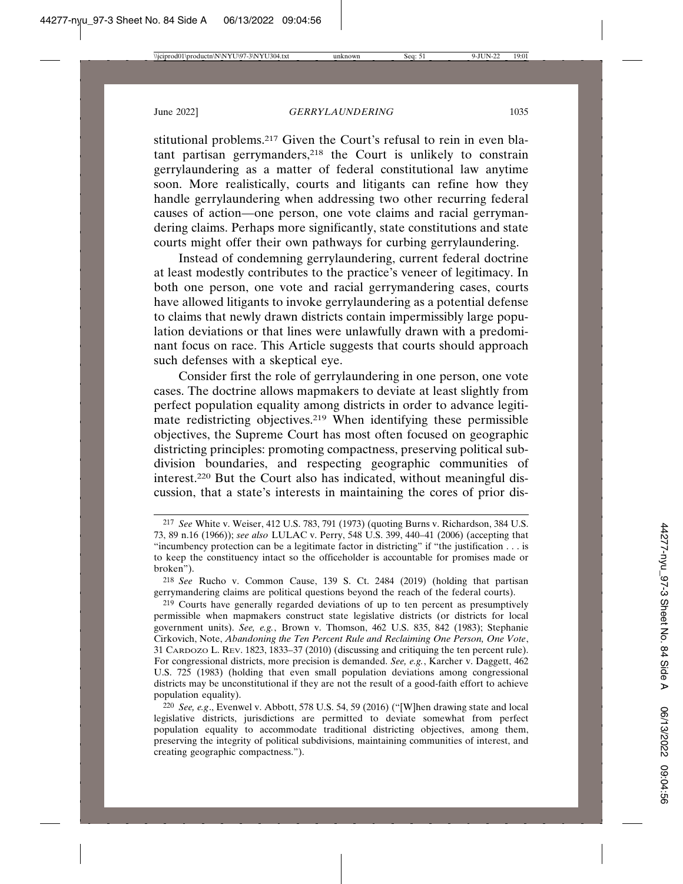stitutional problems.217 Given the Court's refusal to rein in even blatant partisan gerrymanders,218 the Court is unlikely to constrain gerrylaundering as a matter of federal constitutional law anytime soon. More realistically, courts and litigants can refine how they handle gerrylaundering when addressing two other recurring federal causes of action—one person, one vote claims and racial gerrymandering claims. Perhaps more significantly, state constitutions and state courts might offer their own pathways for curbing gerrylaundering.

Instead of condemning gerrylaundering, current federal doctrine at least modestly contributes to the practice's veneer of legitimacy. In both one person, one vote and racial gerrymandering cases, courts have allowed litigants to invoke gerrylaundering as a potential defense to claims that newly drawn districts contain impermissibly large population deviations or that lines were unlawfully drawn with a predominant focus on race. This Article suggests that courts should approach such defenses with a skeptical eye.

Consider first the role of gerrylaundering in one person, one vote cases. The doctrine allows mapmakers to deviate at least slightly from perfect population equality among districts in order to advance legitimate redistricting objectives.<sup>219</sup> When identifying these permissible objectives, the Supreme Court has most often focused on geographic districting principles: promoting compactness, preserving political subdivision boundaries, and respecting geographic communities of interest.220 But the Court also has indicated, without meaningful discussion, that a state's interests in maintaining the cores of prior dis-

<sup>217</sup> *See* White v. Weiser, 412 U.S. 783, 791 (1973) (quoting Burns v. Richardson, 384 U.S. 73, 89 n.16 (1966)); *see also* LULAC v. Perry, 548 U.S. 399, 440–41 (2006) (accepting that "incumbency protection can be a legitimate factor in districting" if "the justification . . . is to keep the constituency intact so the officeholder is accountable for promises made or broken").

<sup>218</sup> *See* Rucho v. Common Cause, 139 S. Ct. 2484 (2019) (holding that partisan gerrymandering claims are political questions beyond the reach of the federal courts).

<sup>219</sup> Courts have generally regarded deviations of up to ten percent as presumptively permissible when mapmakers construct state legislative districts (or districts for local government units). *See, e.g.*, Brown v. Thomson, 462 U.S. 835, 842 (1983); Stephanie Cirkovich, Note, *Abandoning the Ten Percent Rule and Reclaiming One Person, One Vote*, 31 CARDOZO L. REV. 1823, 1833–37 (2010) (discussing and critiquing the ten percent rule). For congressional districts, more precision is demanded. *See, e.g.*, Karcher v. Daggett, 462 U.S. 725 (1983) (holding that even small population deviations among congressional districts may be unconstitutional if they are not the result of a good-faith effort to achieve population equality).

<sup>220</sup> *See, e.g*., Evenwel v. Abbott, 578 U.S. 54, 59 (2016) ("[W]hen drawing state and local legislative districts, jurisdictions are permitted to deviate somewhat from perfect population equality to accommodate traditional districting objectives, among them, preserving the integrity of political subdivisions, maintaining communities of interest, and creating geographic compactness.").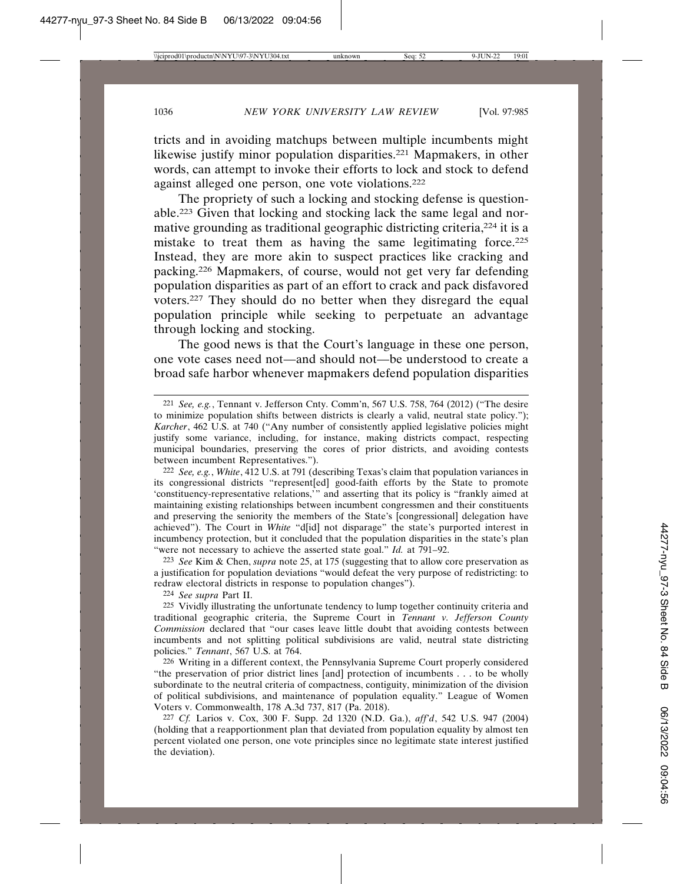tricts and in avoiding matchups between multiple incumbents might likewise justify minor population disparities.221 Mapmakers, in other words, can attempt to invoke their efforts to lock and stock to defend against alleged one person, one vote violations.222

The propriety of such a locking and stocking defense is questionable.223 Given that locking and stocking lack the same legal and normative grounding as traditional geographic districting criteria,<sup>224</sup> it is a mistake to treat them as having the same legitimating force.<sup>225</sup> Instead, they are more akin to suspect practices like cracking and packing.226 Mapmakers, of course, would not get very far defending population disparities as part of an effort to crack and pack disfavored voters.227 They should do no better when they disregard the equal population principle while seeking to perpetuate an advantage through locking and stocking.

The good news is that the Court's language in these one person, one vote cases need not—and should not—be understood to create a broad safe harbor whenever mapmakers defend population disparities

222 *See, e.g.*, *White*, 412 U.S. at 791 (describing Texas's claim that population variances in its congressional districts "represent[ed] good-faith efforts by the State to promote 'constituency-representative relations,'" and asserting that its policy is "frankly aimed at maintaining existing relationships between incumbent congressmen and their constituents and preserving the seniority the members of the State's [congressional] delegation have achieved"). The Court in *White* "d[id] not disparage" the state's purported interest in incumbency protection, but it concluded that the population disparities in the state's plan "were not necessary to achieve the asserted state goal." *Id.* at 791-92.

223 *See* Kim & Chen, *supra* note 25, at 175 (suggesting that to allow core preservation as a justification for population deviations "would defeat the very purpose of redistricting: to redraw electoral districts in response to population changes").

224 *See supra* Part II.

225 Vividly illustrating the unfortunate tendency to lump together continuity criteria and traditional geographic criteria, the Supreme Court in *Tennant v. Jefferson County Commission* declared that "our cases leave little doubt that avoiding contests between incumbents and not splitting political subdivisions are valid, neutral state districting policies." *Tennant*, 567 U.S. at 764.

226 Writing in a different context, the Pennsylvania Supreme Court properly considered "the preservation of prior district lines [and] protection of incumbents . . . to be wholly subordinate to the neutral criteria of compactness, contiguity, minimization of the division of political subdivisions, and maintenance of population equality." League of Women Voters v. Commonwealth, 178 A.3d 737, 817 (Pa. 2018).

227 *Cf.* Larios v. Cox, 300 F. Supp. 2d 1320 (N.D. Ga.), *aff'd*, 542 U.S. 947 (2004) (holding that a reapportionment plan that deviated from population equality by almost ten percent violated one person, one vote principles since no legitimate state interest justified the deviation).

<sup>221</sup> *See, e.g.*, Tennant v. Jefferson Cnty. Comm'n, 567 U.S. 758, 764 (2012) ("The desire to minimize population shifts between districts is clearly a valid, neutral state policy."); *Karcher*, 462 U.S. at 740 ("Any number of consistently applied legislative policies might justify some variance, including, for instance, making districts compact, respecting municipal boundaries, preserving the cores of prior districts, and avoiding contests between incumbent Representatives.").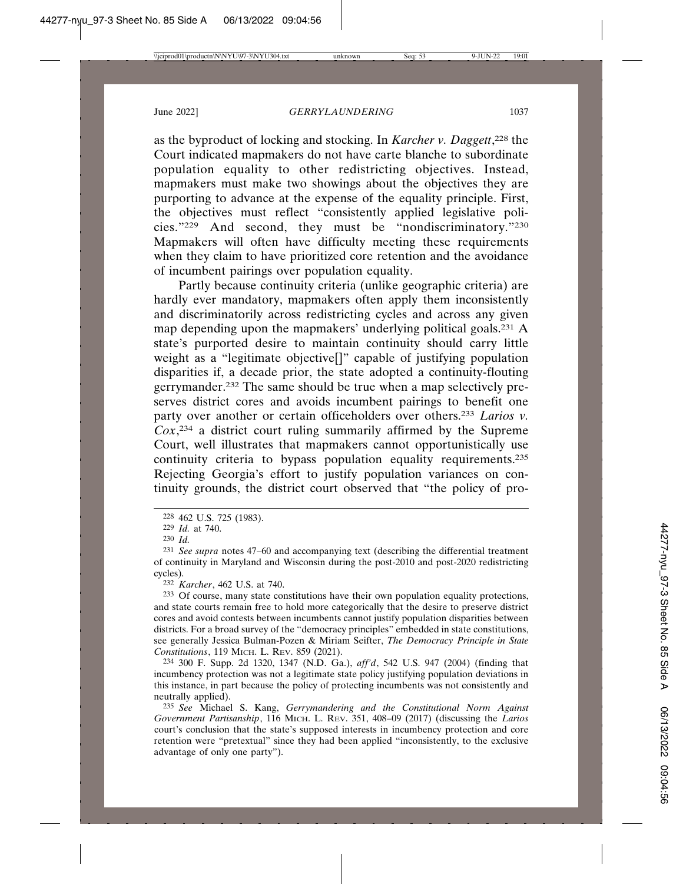as the byproduct of locking and stocking. In *Karcher v. Daggett*, 228 the Court indicated mapmakers do not have carte blanche to subordinate population equality to other redistricting objectives. Instead, mapmakers must make two showings about the objectives they are purporting to advance at the expense of the equality principle. First, the objectives must reflect "consistently applied legislative policies."229 And second, they must be "nondiscriminatory."230 Mapmakers will often have difficulty meeting these requirements when they claim to have prioritized core retention and the avoidance of incumbent pairings over population equality.

Partly because continuity criteria (unlike geographic criteria) are hardly ever mandatory, mapmakers often apply them inconsistently and discriminatorily across redistricting cycles and across any given map depending upon the mapmakers' underlying political goals.231 A state's purported desire to maintain continuity should carry little weight as a "legitimate objective[]" capable of justifying population disparities if, a decade prior, the state adopted a continuity-flouting gerrymander.232 The same should be true when a map selectively preserves district cores and avoids incumbent pairings to benefit one party over another or certain officeholders over others.233 *Larios v. Cox*, 234 a district court ruling summarily affirmed by the Supreme Court, well illustrates that mapmakers cannot opportunistically use continuity criteria to bypass population equality requirements.235 Rejecting Georgia's effort to justify population variances on continuity grounds, the district court observed that "the policy of pro-

232 *Karcher*, 462 U.S. at 740.

233 Of course, many state constitutions have their own population equality protections, and state courts remain free to hold more categorically that the desire to preserve district cores and avoid contests between incumbents cannot justify population disparities between districts. For a broad survey of the "democracy principles" embedded in state constitutions, see generally Jessica Bulman-Pozen & Miriam Seifter, *The Democracy Principle in State Constitutions*, 119 MICH. L. REV. 859 (2021).

234 300 F. Supp. 2d 1320, 1347 (N.D. Ga.), *aff'd*, 542 U.S. 947 (2004) (finding that incumbency protection was not a legitimate state policy justifying population deviations in this instance, in part because the policy of protecting incumbents was not consistently and neutrally applied).

235 *See* Michael S. Kang, *Gerrymandering and the Constitutional Norm Against Government Partisanship*, 116 MICH. L. REV. 351, 408–09 (2017) (discussing the *Larios* court's conclusion that the state's supposed interests in incumbency protection and core retention were "pretextual" since they had been applied "inconsistently, to the exclusive advantage of only one party").

<sup>228</sup> 462 U.S. 725 (1983).

<sup>229</sup> *Id.* at 740.

<sup>230</sup> *Id.*

<sup>231</sup> *See supra* notes 47–60 and accompanying text (describing the differential treatment of continuity in Maryland and Wisconsin during the post-2010 and post-2020 redistricting cycles).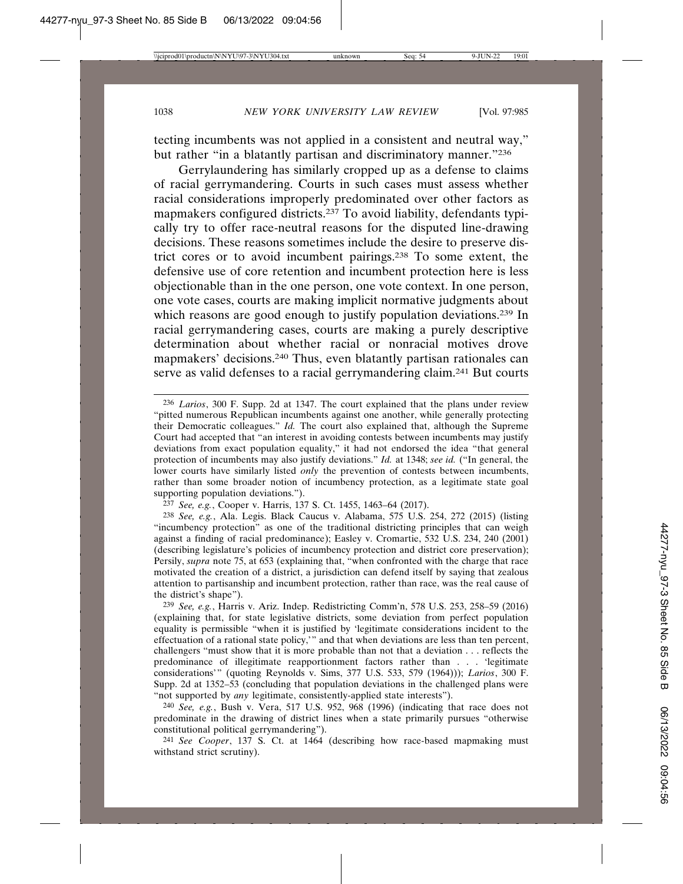tecting incumbents was not applied in a consistent and neutral way," but rather "in a blatantly partisan and discriminatory manner."236

Gerrylaundering has similarly cropped up as a defense to claims of racial gerrymandering. Courts in such cases must assess whether racial considerations improperly predominated over other factors as mapmakers configured districts.237 To avoid liability, defendants typically try to offer race-neutral reasons for the disputed line-drawing decisions. These reasons sometimes include the desire to preserve district cores or to avoid incumbent pairings.238 To some extent, the defensive use of core retention and incumbent protection here is less objectionable than in the one person, one vote context. In one person, one vote cases, courts are making implicit normative judgments about which reasons are good enough to justify population deviations.<sup>239</sup> In racial gerrymandering cases, courts are making a purely descriptive determination about whether racial or nonracial motives drove mapmakers' decisions.240 Thus, even blatantly partisan rationales can serve as valid defenses to a racial gerrymandering claim.241 But courts

237 *See, e.g.*, Cooper v. Harris, 137 S. Ct. 1455, 1463–64 (2017).

238 *See, e.g.*, Ala. Legis. Black Caucus v. Alabama, 575 U.S. 254, 272 (2015) (listing "incumbency protection" as one of the traditional districting principles that can weigh against a finding of racial predominance); Easley v. Cromartie, 532 U.S. 234, 240 (2001) (describing legislature's policies of incumbency protection and district core preservation); Persily, *supra* note 75, at 653 (explaining that, "when confronted with the charge that race motivated the creation of a district, a jurisdiction can defend itself by saying that zealous attention to partisanship and incumbent protection, rather than race, was the real cause of the district's shape").

239 *See, e.g.*, Harris v. Ariz. Indep. Redistricting Comm'n, 578 U.S. 253, 258–59 (2016) (explaining that, for state legislative districts, some deviation from perfect population equality is permissible "when it is justified by 'legitimate considerations incident to the effectuation of a rational state policy,'" and that when deviations are less than ten percent, challengers "must show that it is more probable than not that a deviation . . . reflects the predominance of illegitimate reapportionment factors rather than . . . 'legitimate considerations'" (quoting Reynolds v. Sims, 377 U.S. 533, 579 (1964))); *Larios*, 300 F. Supp. 2d at 1352–53 (concluding that population deviations in the challenged plans were "not supported by *any* legitimate, consistently-applied state interests").

240 *See, e.g.*, Bush v. Vera, 517 U.S. 952, 968 (1996) (indicating that race does not predominate in the drawing of district lines when a state primarily pursues "otherwise constitutional political gerrymandering").

241 *See Cooper*, 137 S. Ct. at 1464 (describing how race-based mapmaking must withstand strict scrutiny).

<sup>236</sup> *Larios*, 300 F. Supp. 2d at 1347. The court explained that the plans under review "pitted numerous Republican incumbents against one another, while generally protecting their Democratic colleagues." *Id.* The court also explained that, although the Supreme Court had accepted that "an interest in avoiding contests between incumbents may justify deviations from exact population equality," it had not endorsed the idea "that general protection of incumbents may also justify deviations." *Id.* at 1348; *see id.* ("In general, the lower courts have similarly listed *only* the prevention of contests between incumbents, rather than some broader notion of incumbency protection, as a legitimate state goal supporting population deviations.").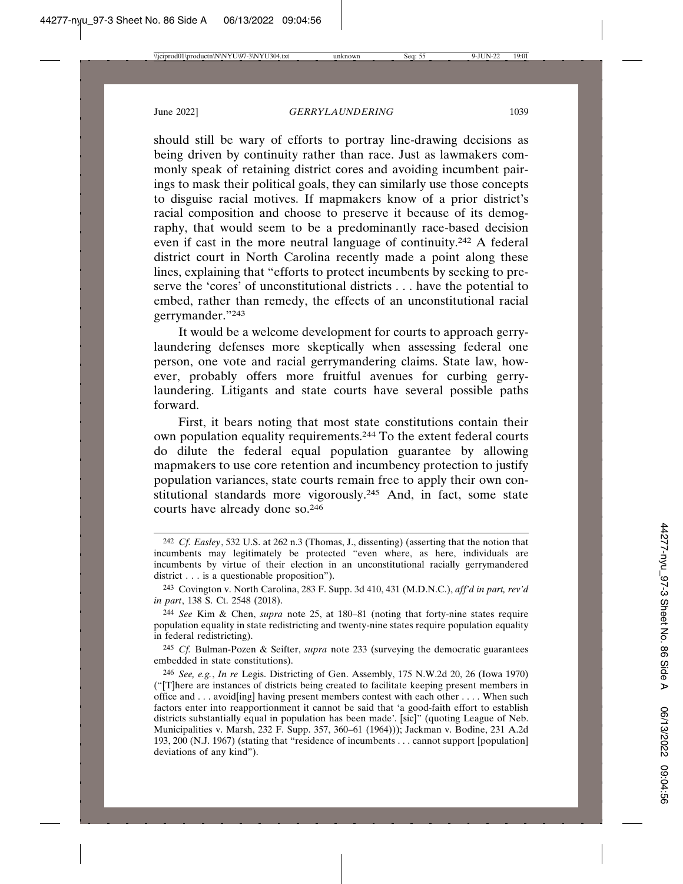should still be wary of efforts to portray line-drawing decisions as being driven by continuity rather than race. Just as lawmakers commonly speak of retaining district cores and avoiding incumbent pairings to mask their political goals, they can similarly use those concepts to disguise racial motives. If mapmakers know of a prior district's racial composition and choose to preserve it because of its demography, that would seem to be a predominantly race-based decision even if cast in the more neutral language of continuity.242 A federal district court in North Carolina recently made a point along these lines, explaining that "efforts to protect incumbents by seeking to preserve the 'cores' of unconstitutional districts . . . have the potential to embed, rather than remedy, the effects of an unconstitutional racial gerrymander."243

It would be a welcome development for courts to approach gerrylaundering defenses more skeptically when assessing federal one person, one vote and racial gerrymandering claims. State law, however, probably offers more fruitful avenues for curbing gerrylaundering. Litigants and state courts have several possible paths forward.

First, it bears noting that most state constitutions contain their own population equality requirements.244 To the extent federal courts do dilute the federal equal population guarantee by allowing mapmakers to use core retention and incumbency protection to justify population variances, state courts remain free to apply their own constitutional standards more vigorously.245 And, in fact, some state courts have already done so.246

<sup>242</sup> *Cf. Easley*, 532 U.S. at 262 n.3 (Thomas, J., dissenting) (asserting that the notion that incumbents may legitimately be protected "even where, as here, individuals are incumbents by virtue of their election in an unconstitutional racially gerrymandered district . . . is a questionable proposition").

<sup>243</sup> Covington v. North Carolina, 283 F. Supp. 3d 410, 431 (M.D.N.C.), *aff'd in part, rev'd in part*, 138 S. Ct. 2548 (2018).

<sup>244</sup> *See* Kim & Chen, *supra* note 25, at 180–81 (noting that forty-nine states require population equality in state redistricting and twenty-nine states require population equality in federal redistricting).

<sup>245</sup> *Cf.* Bulman-Pozen & Seifter, *supra* note 233 (surveying the democratic guarantees embedded in state constitutions).

<sup>246</sup> *See, e.g.*, *In re* Legis. Districting of Gen. Assembly, 175 N.W.2d 20, 26 (Iowa 1970) ("[T]here are instances of districts being created to facilitate keeping present members in office and . . . avoid[ing] having present members contest with each other . . . . When such factors enter into reapportionment it cannot be said that 'a good-faith effort to establish districts substantially equal in population has been made'. [sic]" (quoting League of Neb. Municipalities v. Marsh, 232 F. Supp. 357, 360–61 (1964))); Jackman v. Bodine, 231 A.2d 193, 200 (N.J. 1967) (stating that "residence of incumbents . . . cannot support [population] deviations of any kind").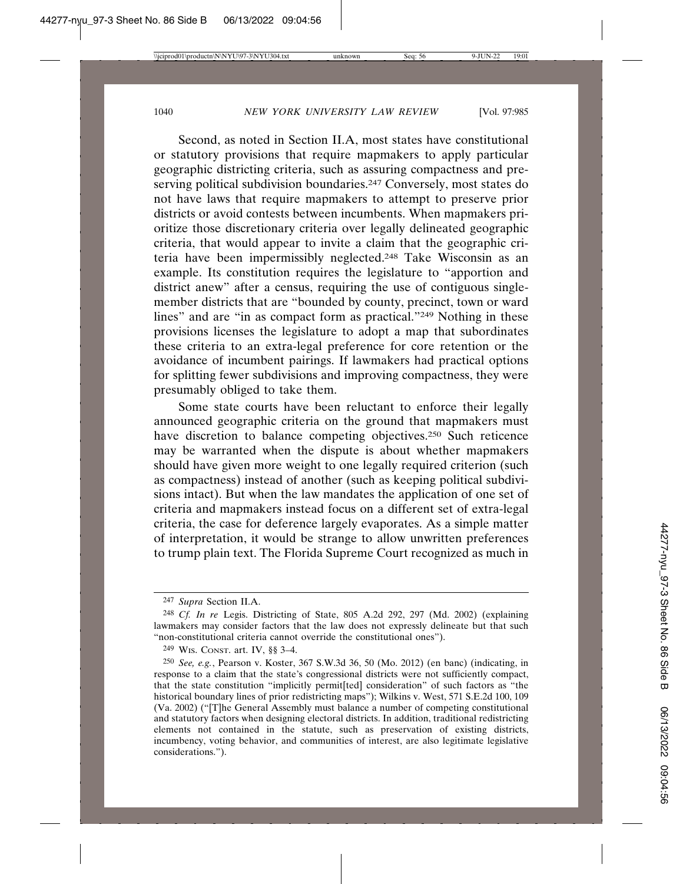Second, as noted in Section II.A, most states have constitutional or statutory provisions that require mapmakers to apply particular geographic districting criteria, such as assuring compactness and preserving political subdivision boundaries.<sup>247</sup> Conversely, most states do not have laws that require mapmakers to attempt to preserve prior districts or avoid contests between incumbents. When mapmakers prioritize those discretionary criteria over legally delineated geographic criteria, that would appear to invite a claim that the geographic criteria have been impermissibly neglected.248 Take Wisconsin as an example. Its constitution requires the legislature to "apportion and district anew" after a census, requiring the use of contiguous singlemember districts that are "bounded by county, precinct, town or ward lines" and are "in as compact form as practical."<sup>249</sup> Nothing in these provisions licenses the legislature to adopt a map that subordinates these criteria to an extra-legal preference for core retention or the avoidance of incumbent pairings. If lawmakers had practical options for splitting fewer subdivisions and improving compactness, they were presumably obliged to take them.

Some state courts have been reluctant to enforce their legally announced geographic criteria on the ground that mapmakers must have discretion to balance competing objectives.250 Such reticence may be warranted when the dispute is about whether mapmakers should have given more weight to one legally required criterion (such as compactness) instead of another (such as keeping political subdivisions intact). But when the law mandates the application of one set of criteria and mapmakers instead focus on a different set of extra-legal criteria, the case for deference largely evaporates. As a simple matter of interpretation, it would be strange to allow unwritten preferences to trump plain text. The Florida Supreme Court recognized as much in

<sup>247</sup> *Supra* Section II.A.

<sup>248</sup> *Cf. In re* Legis. Districting of State, 805 A.2d 292, 297 (Md. 2002) (explaining lawmakers may consider factors that the law does not expressly delineate but that such "non-constitutional criteria cannot override the constitutional ones").

<sup>249</sup> WIS. CONST. art. IV, §§ 3–4.

<sup>250</sup> *See, e.g.*, Pearson v. Koster, 367 S.W.3d 36, 50 (Mo. 2012) (en banc) (indicating, in response to a claim that the state's congressional districts were not sufficiently compact, that the state constitution "implicitly permit[ted] consideration" of such factors as "the historical boundary lines of prior redistricting maps"); Wilkins v. West, 571 S.E.2d 100, 109 (Va. 2002) ("[T]he General Assembly must balance a number of competing constitutional and statutory factors when designing electoral districts. In addition, traditional redistricting elements not contained in the statute, such as preservation of existing districts, incumbency, voting behavior, and communities of interest, are also legitimate legislative considerations.").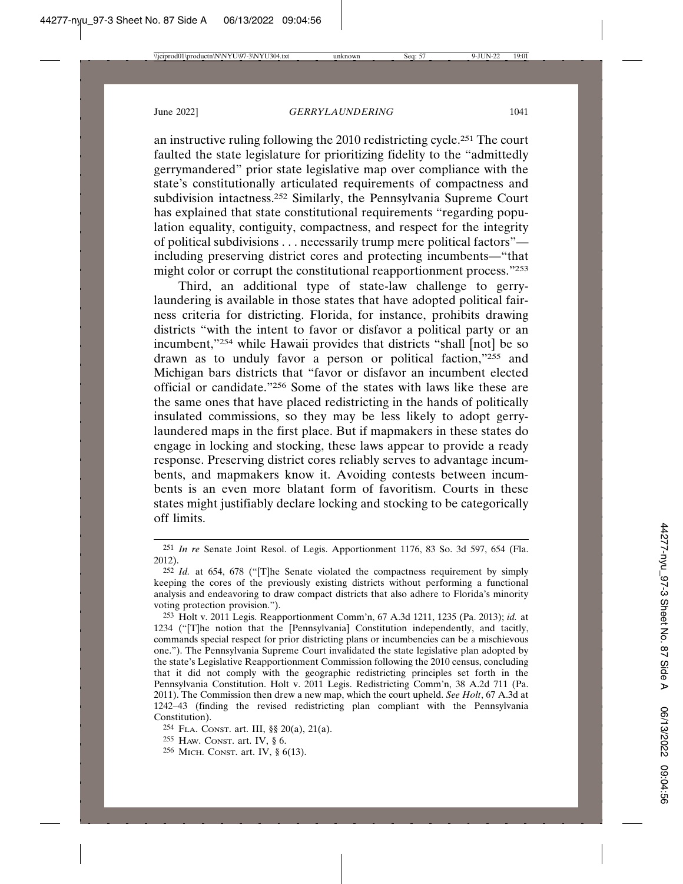an instructive ruling following the 2010 redistricting cycle.251 The court faulted the state legislature for prioritizing fidelity to the "admittedly gerrymandered" prior state legislative map over compliance with the state's constitutionally articulated requirements of compactness and subdivision intactness.252 Similarly, the Pennsylvania Supreme Court has explained that state constitutional requirements "regarding population equality, contiguity, compactness, and respect for the integrity of political subdivisions . . . necessarily trump mere political factors" including preserving district cores and protecting incumbents—"that might color or corrupt the constitutional reapportionment process."253

Third, an additional type of state-law challenge to gerrylaundering is available in those states that have adopted political fairness criteria for districting. Florida, for instance, prohibits drawing districts "with the intent to favor or disfavor a political party or an incumbent,"254 while Hawaii provides that districts "shall [not] be so drawn as to unduly favor a person or political faction,"255 and Michigan bars districts that "favor or disfavor an incumbent elected official or candidate."256 Some of the states with laws like these are the same ones that have placed redistricting in the hands of politically insulated commissions, so they may be less likely to adopt gerrylaundered maps in the first place. But if mapmakers in these states do engage in locking and stocking, these laws appear to provide a ready response. Preserving district cores reliably serves to advantage incumbents, and mapmakers know it. Avoiding contests between incumbents is an even more blatant form of favoritism. Courts in these states might justifiably declare locking and stocking to be categorically off limits.

<sup>251</sup> *In re* Senate Joint Resol. of Legis. Apportionment 1176, 83 So. 3d 597, 654 (Fla. 2012).

<sup>252</sup> *Id.* at 654, 678 ("[T]he Senate violated the compactness requirement by simply keeping the cores of the previously existing districts without performing a functional analysis and endeavoring to draw compact districts that also adhere to Florida's minority voting protection provision.").

<sup>253</sup> Holt v. 2011 Legis. Reapportionment Comm'n, 67 A.3d 1211, 1235 (Pa. 2013); *id.* at 1234 ("[T]he notion that the [Pennsylvania] Constitution independently, and tacitly, commands special respect for prior districting plans or incumbencies can be a mischievous one."). The Pennsylvania Supreme Court invalidated the state legislative plan adopted by the state's Legislative Reapportionment Commission following the 2010 census, concluding that it did not comply with the geographic redistricting principles set forth in the Pennsylvania Constitution. Holt v. 2011 Legis. Redistricting Comm'n, 38 A.2d 711 (Pa. 2011). The Commission then drew a new map, which the court upheld. *See Holt*, 67 A.3d at 1242–43 (finding the revised redistricting plan compliant with the Pennsylvania Constitution).

<sup>254</sup> FLA. CONST. art. III, §§ 20(a), 21(a).

<sup>255</sup> HAW. CONST. art. IV, § 6.

<sup>256</sup> MICH. CONST. art. IV, § 6(13).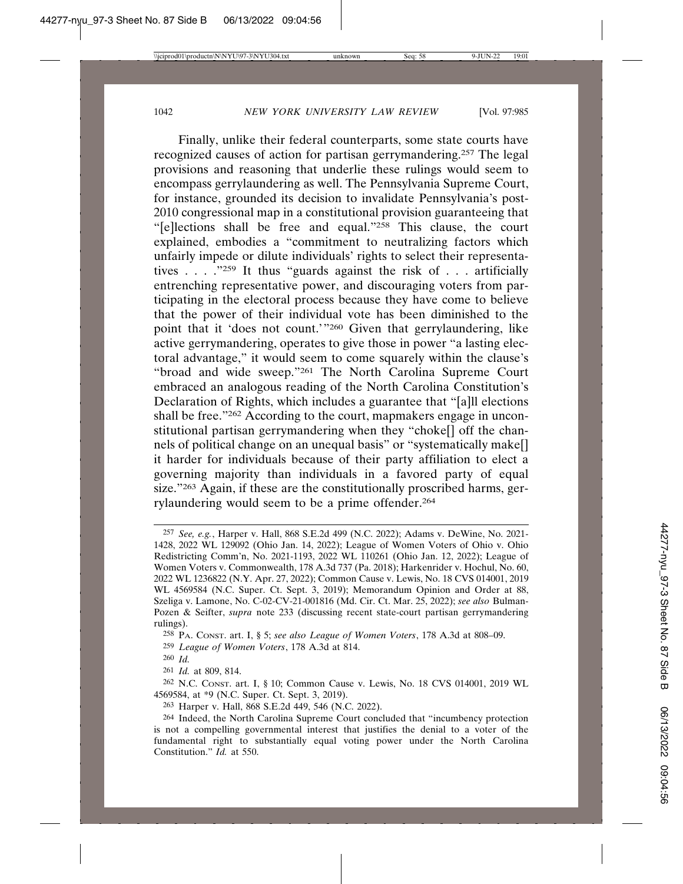Finally, unlike their federal counterparts, some state courts have recognized causes of action for partisan gerrymandering.257 The legal provisions and reasoning that underlie these rulings would seem to encompass gerrylaundering as well. The Pennsylvania Supreme Court, for instance, grounded its decision to invalidate Pennsylvania's post-2010 congressional map in a constitutional provision guaranteeing that "[e]lections shall be free and equal."258 This clause, the court explained, embodies a "commitment to neutralizing factors which unfairly impede or dilute individuals' rights to select their representatives . . . ."259 It thus "guards against the risk of . . . artificially entrenching representative power, and discouraging voters from participating in the electoral process because they have come to believe that the power of their individual vote has been diminished to the point that it 'does not count.'"260 Given that gerrylaundering, like active gerrymandering, operates to give those in power "a lasting electoral advantage," it would seem to come squarely within the clause's "broad and wide sweep."261 The North Carolina Supreme Court embraced an analogous reading of the North Carolina Constitution's Declaration of Rights, which includes a guarantee that "[a]ll elections shall be free."262 According to the court, mapmakers engage in unconstitutional partisan gerrymandering when they "choke[] off the channels of political change on an unequal basis" or "systematically make[] it harder for individuals because of their party affiliation to elect a governing majority than individuals in a favored party of equal size."<sup>263</sup> Again, if these are the constitutionally proscribed harms, gerrylaundering would seem to be a prime offender.264

<sup>257</sup> *See, e.g.*, Harper v. Hall, 868 S.E.2d 499 (N.C. 2022); Adams v. DeWine, No. 2021- 1428, 2022 WL 129092 (Ohio Jan. 14, 2022); League of Women Voters of Ohio v. Ohio Redistricting Comm'n, No. 2021-1193, 2022 WL 110261 (Ohio Jan. 12, 2022); League of Women Voters v. Commonwealth, 178 A.3d 737 (Pa. 2018); Harkenrider v. Hochul, No. 60, 2022 WL 1236822 (N.Y. Apr. 27, 2022); Common Cause v. Lewis, No. 18 CVS 014001, 2019 WL 4569584 (N.C. Super. Ct. Sept. 3, 2019); Memorandum Opinion and Order at 88, Szeliga v. Lamone, No. C-02-CV-21-001816 (Md. Cir. Ct. Mar. 25, 2022); *see also* Bulman-Pozen & Seifter, *supra* note 233 (discussing recent state-court partisan gerrymandering rulings).

<sup>258</sup> PA. CONST. art. I, § 5; *see also League of Women Voters*, 178 A.3d at 808–09.

<sup>259</sup> *League of Women Voters*, 178 A.3d at 814.

<sup>260</sup> *Id.*

<sup>261</sup> *Id.* at 809, 814.

<sup>262</sup> N.C. CONST. art. I, § 10; Common Cause v. Lewis, No. 18 CVS 014001, 2019 WL 4569584, at \*9 (N.C. Super. Ct. Sept. 3, 2019).

<sup>263</sup> Harper v. Hall, 868 S.E.2d 449, 546 (N.C. 2022).

<sup>264</sup> Indeed, the North Carolina Supreme Court concluded that "incumbency protection is not a compelling governmental interest that justifies the denial to a voter of the fundamental right to substantially equal voting power under the North Carolina Constitution." *Id.* at 550.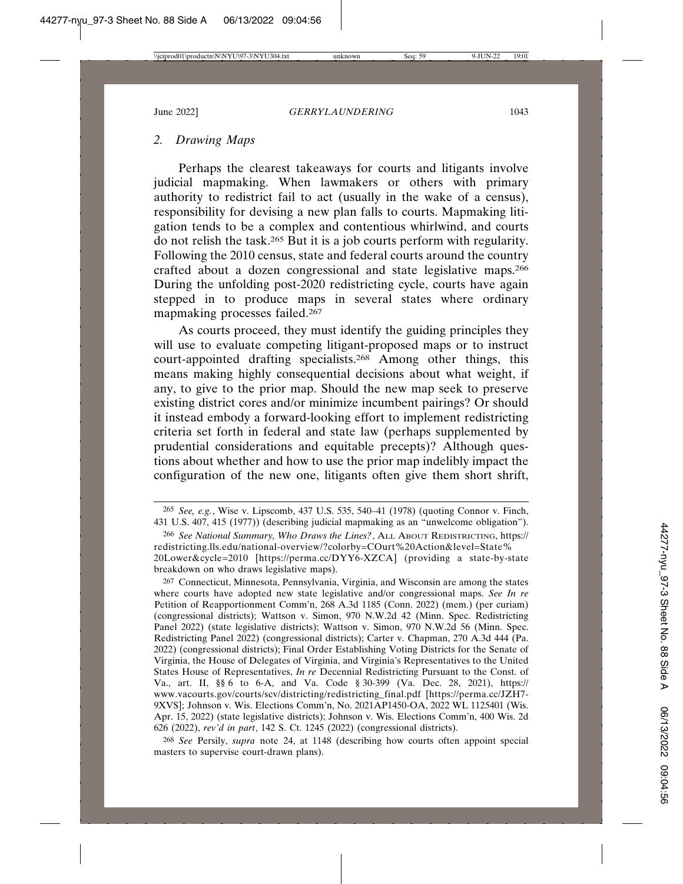# *2. Drawing Maps*

Perhaps the clearest takeaways for courts and litigants involve judicial mapmaking. When lawmakers or others with primary authority to redistrict fail to act (usually in the wake of a census), responsibility for devising a new plan falls to courts. Mapmaking litigation tends to be a complex and contentious whirlwind, and courts do not relish the task.265 But it is a job courts perform with regularity. Following the 2010 census, state and federal courts around the country crafted about a dozen congressional and state legislative maps.266 During the unfolding post-2020 redistricting cycle, courts have again stepped in to produce maps in several states where ordinary mapmaking processes failed.267

As courts proceed, they must identify the guiding principles they will use to evaluate competing litigant-proposed maps or to instruct court-appointed drafting specialists.268 Among other things, this means making highly consequential decisions about what weight, if any, to give to the prior map. Should the new map seek to preserve existing district cores and/or minimize incumbent pairings? Or should it instead embody a forward-looking effort to implement redistricting criteria set forth in federal and state law (perhaps supplemented by prudential considerations and equitable precepts)? Although questions about whether and how to use the prior map indelibly impact the configuration of the new one, litigants often give them short shrift,

268 *See* Persily, *supra* note 24, at 1148 (describing how courts often appoint special masters to supervise court-drawn plans).

<sup>265</sup> *See, e.g.*, Wise v. Lipscomb, 437 U.S. 535, 540–41 (1978) (quoting Connor v. Finch, 431 U.S. 407, 415 (1977)) (describing judicial mapmaking as an "unwelcome obligation").

<sup>266</sup> *See National Summary, Who Draws the Lines?*, ALL ABOUT REDISTRICTING, https:// redistricting.lls.edu/national-overview/?colorby=COurt%20Action&level=State% 20Lower&cycle=2010 [https://perma.cc/DYY6-XZCA] (providing a state-by-state breakdown on who draws legislative maps).

<sup>267</sup> Connecticut, Minnesota, Pennsylvania, Virginia, and Wisconsin are among the states where courts have adopted new state legislative and/or congressional maps. *See In re* Petition of Reapportionment Comm'n, 268 A.3d 1185 (Conn. 2022) (mem.) (per curiam) (congressional districts); Wattson v. Simon, 970 N.W.2d 42 (Minn. Spec. Redistricting Panel 2022) (state legislative districts); Wattson v. Simon, 970 N.W.2d 56 (Minn. Spec. Redistricting Panel 2022) (congressional districts); Carter v. Chapman, 270 A.3d 444 (Pa. 2022) (congressional districts); Final Order Establishing Voting Districts for the Senate of Virginia, the House of Delegates of Virginia, and Virginia's Representatives to the United States House of Representatives, *In re* Decennial Redistricting Pursuant to the Const. of Va., art. II, §§ 6 to 6-A, and Va. Code § 30-399 (Va. Dec. 28, 2021), https:// www.vacourts.gov/courts/scv/districting/redistricting\_final.pdf [https://perma.cc/JZH7- 9XVS]; Johnson v. Wis. Elections Comm'n, No. 2021AP1450-OA, 2022 WL 1125401 (Wis. Apr. 15, 2022) (state legislative districts); Johnson v. Wis. Elections Comm'n, 400 Wis. 2d 626 (2022), *rev'd in part*, 142 S. Ct. 1245 (2022) (congressional districts).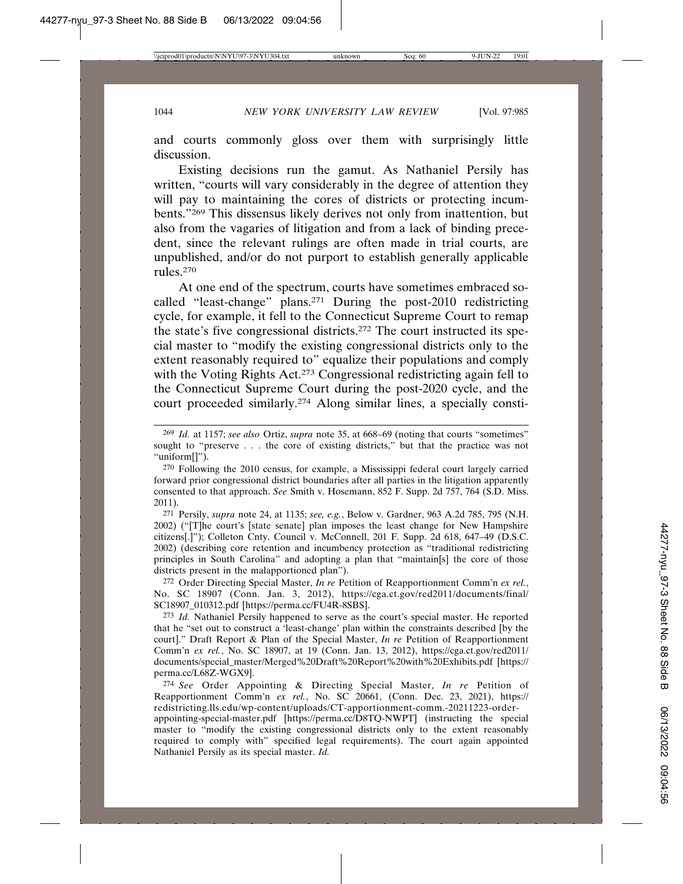and courts commonly gloss over them with surprisingly little discussion.

Existing decisions run the gamut. As Nathaniel Persily has written, "courts will vary considerably in the degree of attention they will pay to maintaining the cores of districts or protecting incumbents."269 This dissensus likely derives not only from inattention, but also from the vagaries of litigation and from a lack of binding precedent, since the relevant rulings are often made in trial courts, are unpublished, and/or do not purport to establish generally applicable rules.270

At one end of the spectrum, courts have sometimes embraced socalled "least-change" plans.271 During the post-2010 redistricting cycle, for example, it fell to the Connecticut Supreme Court to remap the state's five congressional districts.272 The court instructed its special master to "modify the existing congressional districts only to the extent reasonably required to" equalize their populations and comply with the Voting Rights Act.<sup>273</sup> Congressional redistricting again fell to the Connecticut Supreme Court during the post-2020 cycle, and the court proceeded similarly.274 Along similar lines, a specially consti-

271 Persily, *supra* note 24, at 1135; *see, e.g.*, Below v. Gardner, 963 A.2d 785, 795 (N.H. 2002) ("[T]he court's [state senate] plan imposes the least change for New Hampshire citizens[.]"); Colleton Cnty. Council v. McConnell, 201 F. Supp. 2d 618, 647–49 (D.S.C. 2002) (describing core retention and incumbency protection as "traditional redistricting principles in South Carolina" and adopting a plan that "maintain[s] the core of those districts present in the malapportioned plan").

272 Order Directing Special Master, *In re* Petition of Reapportionment Comm'n *ex rel.*, No. SC 18907 (Conn. Jan. 3, 2012), https://cga.ct.gov/red2011/documents/final/ SC18907\_010312.pdf [https://perma.cc/FU4R-8SBS].

273 *Id.* Nathaniel Persily happened to serve as the court's special master. He reported that he "set out to construct a 'least-change' plan within the constraints described [by the court]." Draft Report & Plan of the Special Master, *In re* Petition of Reapportionment Comm'n *ex rel.*, No. SC 18907, at 19 (Conn. Jan. 13, 2012), https://cga.ct.gov/red2011/ documents/special\_master/Merged%20Draft%20Report%20with%20Exhibits.pdf [https:// perma.cc/L68Z-WGX9].

274 *See* Order Appointing & Directing Special Master, *In re* Petition of Reapportionment Comm'n *ex rel.*, No. SC 20661, (Conn. Dec. 23, 2021), https:// redistricting.lls.edu/wp-content/uploads/CT-apportionment-comm.-20211223-orderappointing-special-master.pdf [https://perma.cc/D8TQ-NWPT] (instructing the special master to "modify the existing congressional districts only to the extent reasonably required to comply with" specified legal requirements). The court again appointed Nathaniel Persily as its special master. *Id.*

<sup>269</sup> *Id.* at 1157; *see also* Ortiz, *supra* note 35, at 668–69 (noting that courts "sometimes" sought to "preserve . . . the core of existing districts," but that the practice was not "uniform[]").

<sup>270</sup> Following the 2010 census, for example, a Mississippi federal court largely carried forward prior congressional district boundaries after all parties in the litigation apparently consented to that approach. *See* Smith v. Hosemann, 852 F. Supp. 2d 757, 764 (S.D. Miss. 2011).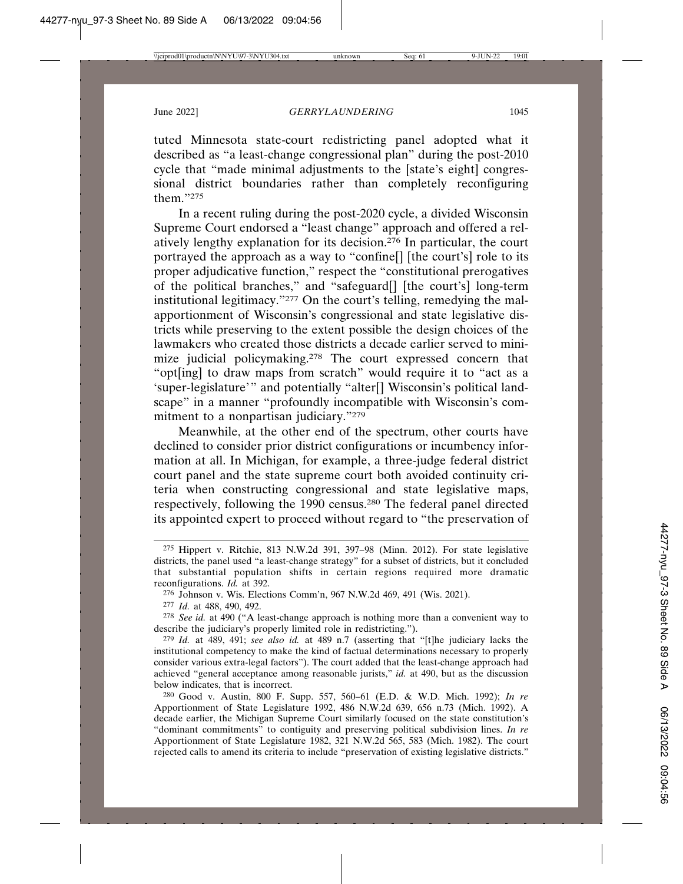tuted Minnesota state-court redistricting panel adopted what it described as "a least-change congressional plan" during the post-2010 cycle that "made minimal adjustments to the [state's eight] congressional district boundaries rather than completely reconfiguring them."275

In a recent ruling during the post-2020 cycle, a divided Wisconsin Supreme Court endorsed a "least change" approach and offered a relatively lengthy explanation for its decision.276 In particular, the court portrayed the approach as a way to "confine[] [the court's] role to its proper adjudicative function," respect the "constitutional prerogatives of the political branches," and "safeguard[] [the court's] long-term institutional legitimacy."277 On the court's telling, remedying the malapportionment of Wisconsin's congressional and state legislative districts while preserving to the extent possible the design choices of the lawmakers who created those districts a decade earlier served to minimize judicial policymaking.278 The court expressed concern that "opt[ing] to draw maps from scratch" would require it to "act as a 'super-legislature'" and potentially "alter[] Wisconsin's political landscape" in a manner "profoundly incompatible with Wisconsin's commitment to a nonpartisan judiciary."279

Meanwhile, at the other end of the spectrum, other courts have declined to consider prior district configurations or incumbency information at all. In Michigan, for example, a three-judge federal district court panel and the state supreme court both avoided continuity criteria when constructing congressional and state legislative maps, respectively, following the 1990 census.280 The federal panel directed its appointed expert to proceed without regard to "the preservation of

<sup>275</sup> Hippert v. Ritchie, 813 N.W.2d 391, 397–98 (Minn. 2012). For state legislative districts, the panel used "a least-change strategy" for a subset of districts, but it concluded that substantial population shifts in certain regions required more dramatic reconfigurations. *Id.* at 392.

<sup>276</sup> Johnson v. Wis. Elections Comm'n, 967 N.W.2d 469, 491 (Wis. 2021).

<sup>277</sup> *Id.* at 488, 490, 492.

<sup>278</sup> *See id.* at 490 ("A least-change approach is nothing more than a convenient way to describe the judiciary's properly limited role in redistricting.").

<sup>279</sup> *Id.* at 489, 491; *see also id.* at 489 n.7 (asserting that "[t]he judiciary lacks the institutional competency to make the kind of factual determinations necessary to properly consider various extra-legal factors"). The court added that the least-change approach had achieved "general acceptance among reasonable jurists," *id.* at 490, but as the discussion below indicates, that is incorrect.

<sup>280</sup> Good v. Austin, 800 F. Supp. 557, 560–61 (E.D. & W.D. Mich. 1992); *In re* Apportionment of State Legislature 1992, 486 N.W.2d 639, 656 n.73 (Mich. 1992). A decade earlier, the Michigan Supreme Court similarly focused on the state constitution's "dominant commitments" to contiguity and preserving political subdivision lines. *In re* Apportionment of State Legislature 1982, 321 N.W.2d 565, 583 (Mich. 1982). The court rejected calls to amend its criteria to include "preservation of existing legislative districts."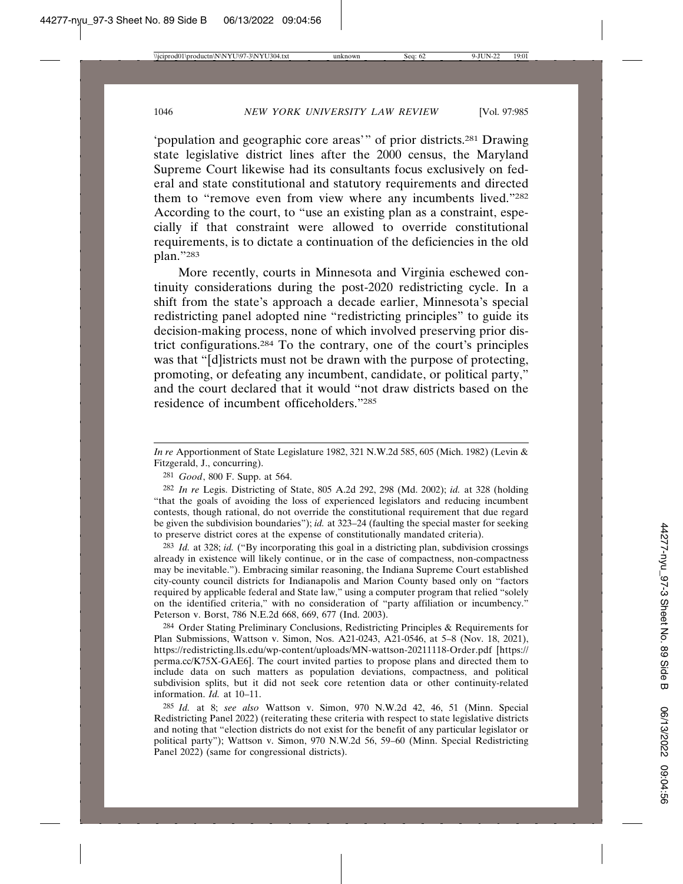'population and geographic core areas'" of prior districts.281 Drawing state legislative district lines after the 2000 census, the Maryland Supreme Court likewise had its consultants focus exclusively on federal and state constitutional and statutory requirements and directed them to "remove even from view where any incumbents lived."282 According to the court, to "use an existing plan as a constraint, especially if that constraint were allowed to override constitutional requirements, is to dictate a continuation of the deficiencies in the old plan."283

More recently, courts in Minnesota and Virginia eschewed continuity considerations during the post-2020 redistricting cycle. In a shift from the state's approach a decade earlier, Minnesota's special redistricting panel adopted nine "redistricting principles" to guide its decision-making process, none of which involved preserving prior district configurations.284 To the contrary, one of the court's principles was that "[d]istricts must not be drawn with the purpose of protecting, promoting, or defeating any incumbent, candidate, or political party," and the court declared that it would "not draw districts based on the residence of incumbent officeholders."285

282 *In re* Legis. Districting of State, 805 A.2d 292, 298 (Md. 2002); *id.* at 328 (holding "that the goals of avoiding the loss of experienced legislators and reducing incumbent contests, though rational, do not override the constitutional requirement that due regard be given the subdivision boundaries"); *id.* at 323–24 (faulting the special master for seeking to preserve district cores at the expense of constitutionally mandated criteria).

283 *Id.* at 328; *id.* ("By incorporating this goal in a districting plan, subdivision crossings already in existence will likely continue, or in the case of compactness, non-compactness may be inevitable."). Embracing similar reasoning, the Indiana Supreme Court established city-county council districts for Indianapolis and Marion County based only on "factors required by applicable federal and State law," using a computer program that relied "solely on the identified criteria," with no consideration of "party affiliation or incumbency." Peterson v. Borst, 786 N.E.2d 668, 669, 677 (Ind. 2003).

284 Order Stating Preliminary Conclusions, Redistricting Principles & Requirements for Plan Submissions, Wattson v. Simon, Nos. A21-0243, A21-0546, at 5–8 (Nov. 18, 2021), https://redistricting.lls.edu/wp-content/uploads/MN-wattson-20211118-Order.pdf [https:// perma.cc/K75X-GAE6]. The court invited parties to propose plans and directed them to include data on such matters as population deviations, compactness, and political subdivision splits, but it did not seek core retention data or other continuity-related information. *Id.* at 10–11.

285 *Id.* at 8; *see also* Wattson v. Simon, 970 N.W.2d 42, 46, 51 (Minn. Special Redistricting Panel 2022) (reiterating these criteria with respect to state legislative districts and noting that "election districts do not exist for the benefit of any particular legislator or political party"); Wattson v. Simon, 970 N.W.2d 56, 59–60 (Minn. Special Redistricting Panel 2022) (same for congressional districts).

*In re* Apportionment of State Legislature 1982, 321 N.W.2d 585, 605 (Mich. 1982) (Levin & Fitzgerald, J., concurring).

<sup>281</sup> *Good*, 800 F. Supp. at 564.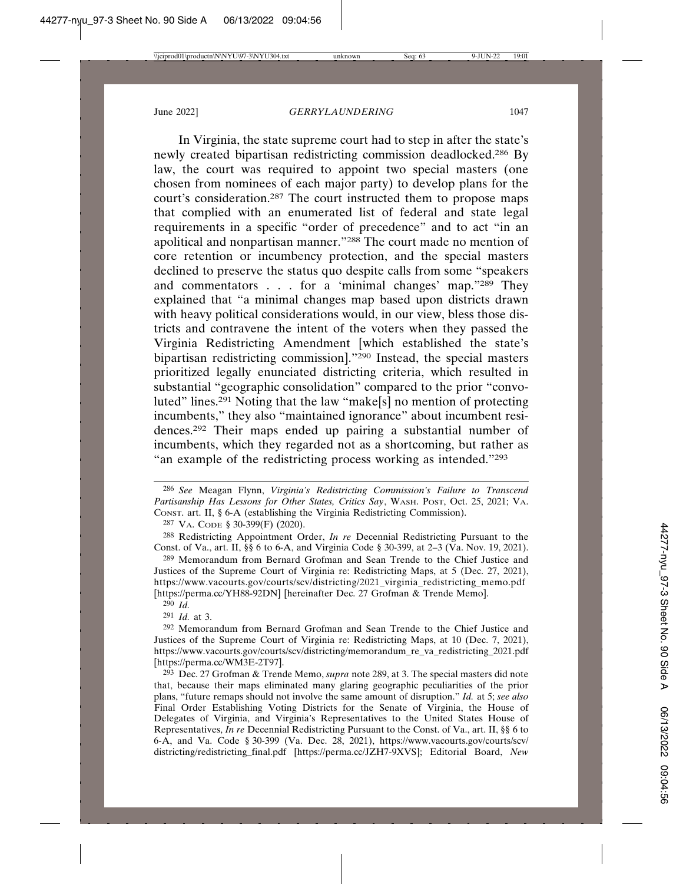In Virginia, the state supreme court had to step in after the state's newly created bipartisan redistricting commission deadlocked.286 By law, the court was required to appoint two special masters (one chosen from nominees of each major party) to develop plans for the court's consideration.287 The court instructed them to propose maps that complied with an enumerated list of federal and state legal requirements in a specific "order of precedence" and to act "in an apolitical and nonpartisan manner."288 The court made no mention of core retention or incumbency protection, and the special masters declined to preserve the status quo despite calls from some "speakers and commentators . . . for a 'minimal changes' map."289 They explained that "a minimal changes map based upon districts drawn with heavy political considerations would, in our view, bless those districts and contravene the intent of the voters when they passed the Virginia Redistricting Amendment [which established the state's bipartisan redistricting commission]."290 Instead, the special masters prioritized legally enunciated districting criteria, which resulted in substantial "geographic consolidation" compared to the prior "convoluted" lines.291 Noting that the law "make[s] no mention of protecting incumbents," they also "maintained ignorance" about incumbent residences.292 Their maps ended up pairing a substantial number of incumbents, which they regarded not as a shortcoming, but rather as "an example of the redistricting process working as intended."293

287 VA. CODE § 30-399(F) (2020).

288 Redistricting Appointment Order, *In re* Decennial Redistricting Pursuant to the Const. of Va., art. II, §§ 6 to 6-A, and Virginia Code § 30-399, at 2–3 (Va. Nov. 19, 2021).

289 Memorandum from Bernard Grofman and Sean Trende to the Chief Justice and Justices of the Supreme Court of Virginia re: Redistricting Maps, at 5 (Dec. 27, 2021), https://www.vacourts.gov/courts/scv/districting/2021\_virginia\_redistricting\_memo.pdf [https://perma.cc/YH88-92DN] [hereinafter Dec. 27 Grofman & Trende Memo].

290 *Id.*

291 *Id.* at 3.

292 Memorandum from Bernard Grofman and Sean Trende to the Chief Justice and Justices of the Supreme Court of Virginia re: Redistricting Maps, at 10 (Dec. 7, 2021), https://www.vacourts.gov/courts/scv/districting/memorandum\_re\_va\_redistricting\_2021.pdf [https://perma.cc/WM3E-2T97].

293 Dec. 27 Grofman & Trende Memo, *supra* note 289, at 3. The special masters did note that, because their maps eliminated many glaring geographic peculiarities of the prior plans, "future remaps should not involve the same amount of disruption." *Id.* at 5; *see also* Final Order Establishing Voting Districts for the Senate of Virginia, the House of Delegates of Virginia, and Virginia's Representatives to the United States House of Representatives, *In re* Decennial Redistricting Pursuant to the Const. of Va., art. II, §§ 6 to 6-A, and Va. Code § 30-399 (Va. Dec. 28, 2021), https://www.vacourts.gov/courts/scv/ districting/redistricting\_final.pdf [https://perma.cc/JZH7-9XVS]; Editorial Board, *New*

<sup>286</sup> *See* Meagan Flynn, *Virginia's Redistricting Commission's Failure to Transcend Partisanship Has Lessons for Other States, Critics Say*, WASH. POST, Oct. 25, 2021; VA. CONST. art. II, § 6-A (establishing the Virginia Redistricting Commission).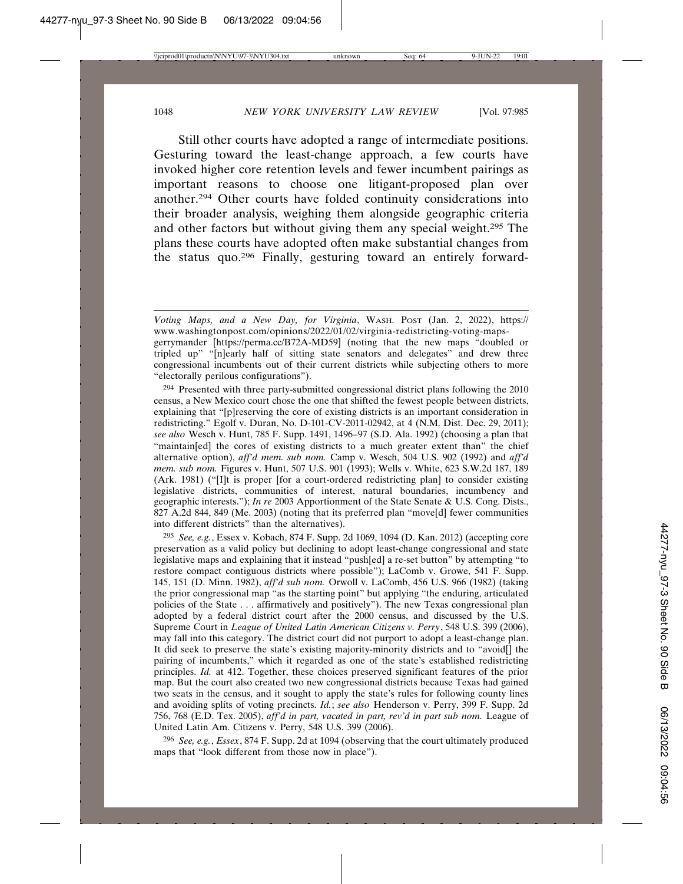Still other courts have adopted a range of intermediate positions. Gesturing toward the least-change approach, a few courts have invoked higher core retention levels and fewer incumbent pairings as important reasons to choose one litigant-proposed plan over another.294 Other courts have folded continuity considerations into their broader analysis, weighing them alongside geographic criteria and other factors but without giving them any special weight.295 The plans these courts have adopted often make substantial changes from the status quo.296 Finally, gesturing toward an entirely forward-

294 Presented with three party-submitted congressional district plans following the 2010 census, a New Mexico court chose the one that shifted the fewest people between districts, explaining that "[p]reserving the core of existing districts is an important consideration in redistricting." Egolf v. Duran, No. D-101-CV-2011-02942, at 4 (N.M. Dist. Dec. 29, 2011); *see also* Wesch v. Hunt, 785 F. Supp. 1491, 1496–97 (S.D. Ala. 1992) (choosing a plan that "maintain[ed] the cores of existing districts to a much greater extent than" the chief alternative option), *aff'd mem. sub nom.* Camp v. Wesch, 504 U.S. 902 (1992) and *aff'd mem. sub nom.* Figures v. Hunt, 507 U.S. 901 (1993); Wells v. White, 623 S.W.2d 187, 189 (Ark. 1981) ("[I]t is proper [for a court-ordered redistricting plan] to consider existing legislative districts, communities of interest, natural boundaries, incumbency and geographic interests."); *In re* 2003 Apportionment of the State Senate & U.S. Cong. Dists., 827 A.2d 844, 849 (Me. 2003) (noting that its preferred plan "move[d] fewer communities into different districts" than the alternatives).

295 *See, e.g.*, Essex v. Kobach, 874 F. Supp. 2d 1069, 1094 (D. Kan. 2012) (accepting core preservation as a valid policy but declining to adopt least-change congressional and state legislative maps and explaining that it instead "push[ed] a re-set button" by attempting "to restore compact contiguous districts where possible"); LaComb v. Growe, 541 F. Supp. 145, 151 (D. Minn. 1982), *aff'd sub nom.* Orwoll v. LaComb, 456 U.S. 966 (1982) (taking the prior congressional map "as the starting point" but applying "the enduring, articulated policies of the State . . . affirmatively and positively"). The new Texas congressional plan adopted by a federal district court after the 2000 census, and discussed by the U.S. Supreme Court in *League of United Latin American Citizens v. Perry*, 548 U.S. 399 (2006), may fall into this category. The district court did not purport to adopt a least-change plan. It did seek to preserve the state's existing majority-minority districts and to "avoid[] the pairing of incumbents," which it regarded as one of the state's established redistricting principles. *Id.* at 412. Together, these choices preserved significant features of the prior map. But the court also created two new congressional districts because Texas had gained two seats in the census, and it sought to apply the state's rules for following county lines and avoiding splits of voting precincts. *Id.*; *see also* Henderson v. Perry, 399 F. Supp. 2d 756, 768 (E.D. Tex. 2005), *aff'd in part, vacated in part, rev'd in part sub nom.* League of United Latin Am. Citizens v. Perry, 548 U.S. 399 (2006).

296 *See, e.g.*, *Essex*, 874 F. Supp. 2d at 1094 (observing that the court ultimately produced maps that "look different from those now in place").

*Voting Maps, and a New Day, for Virginia*, WASH. POST (Jan. 2, 2022), https:// www.washingtonpost.com/opinions/2022/01/02/virginia-redistricting-voting-mapsgerrymander [https://perma.cc/B72A-MD59] (noting that the new maps "doubled or tripled up" "[n]early half of sitting state senators and delegates" and drew three congressional incumbents out of their current districts while subjecting others to more "electorally perilous configurations").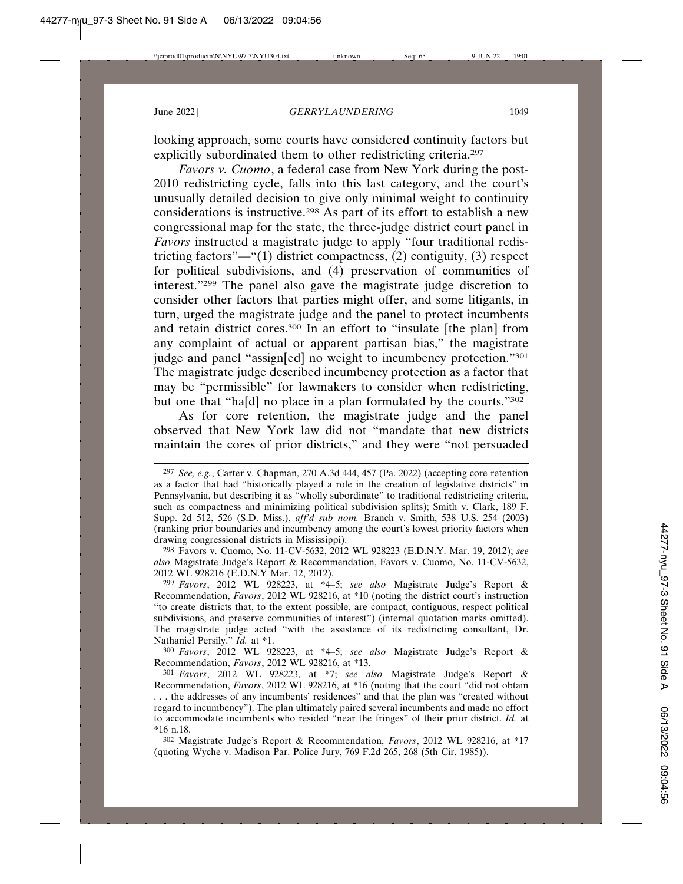looking approach, some courts have considered continuity factors but explicitly subordinated them to other redistricting criteria.<sup>297</sup>

*Favors v. Cuomo*, a federal case from New York during the post-2010 redistricting cycle, falls into this last category, and the court's unusually detailed decision to give only minimal weight to continuity considerations is instructive.298 As part of its effort to establish a new congressional map for the state, the three-judge district court panel in *Favors* instructed a magistrate judge to apply "four traditional redistricting factors"—"(1) district compactness, (2) contiguity, (3) respect for political subdivisions, and (4) preservation of communities of interest."299 The panel also gave the magistrate judge discretion to consider other factors that parties might offer, and some litigants, in turn, urged the magistrate judge and the panel to protect incumbents and retain district cores.300 In an effort to "insulate [the plan] from any complaint of actual or apparent partisan bias," the magistrate judge and panel "assign[ed] no weight to incumbency protection."301 The magistrate judge described incumbency protection as a factor that may be "permissible" for lawmakers to consider when redistricting, but one that "ha[d] no place in a plan formulated by the courts."<sup>302</sup>

As for core retention, the magistrate judge and the panel observed that New York law did not "mandate that new districts maintain the cores of prior districts," and they were "not persuaded

298 Favors v. Cuomo, No. 11-CV-5632, 2012 WL 928223 (E.D.N.Y. Mar. 19, 2012); *see also* Magistrate Judge's Report & Recommendation, Favors v. Cuomo, No. 11-CV-5632, 2012 WL 928216 (E.D.N.Y Mar. 12, 2012).

299 *Favors*, 2012 WL 928223, at \*4–5; *see also* Magistrate Judge's Report & Recommendation, *Favors*, 2012 WL 928216, at \*10 (noting the district court's instruction "to create districts that, to the extent possible, are compact, contiguous, respect political subdivisions, and preserve communities of interest") (internal quotation marks omitted). The magistrate judge acted "with the assistance of its redistricting consultant, Dr. Nathaniel Persily." *Id.* at \*1.

300 *Favors*, 2012 WL 928223, at \*4–5; *see also* Magistrate Judge's Report & Recommendation, *Favors*, 2012 WL 928216, at \*13.

301 *Favors*, 2012 WL 928223, at \*7; *see also* Magistrate Judge's Report & Recommendation, *Favors*, 2012 WL 928216, at \*16 (noting that the court "did not obtain . . . the addresses of any incumbents' residences" and that the plan was "created without regard to incumbency"). The plan ultimately paired several incumbents and made no effort to accommodate incumbents who resided "near the fringes" of their prior district. *Id.* at \*16 n.18.

302 Magistrate Judge's Report & Recommendation, *Favors*, 2012 WL 928216, at \*17 (quoting Wyche v. Madison Par. Police Jury, 769 F.2d 265, 268 (5th Cir. 1985)).

<sup>297</sup> *See, e.g.*, Carter v. Chapman, 270 A.3d 444, 457 (Pa. 2022) (accepting core retention as a factor that had "historically played a role in the creation of legislative districts" in Pennsylvania, but describing it as "wholly subordinate" to traditional redistricting criteria, such as compactness and minimizing political subdivision splits); Smith v. Clark, 189 F. Supp. 2d 512, 526 (S.D. Miss.), *aff'd sub nom.* Branch v. Smith, 538 U.S. 254 (2003) (ranking prior boundaries and incumbency among the court's lowest priority factors when drawing congressional districts in Mississippi).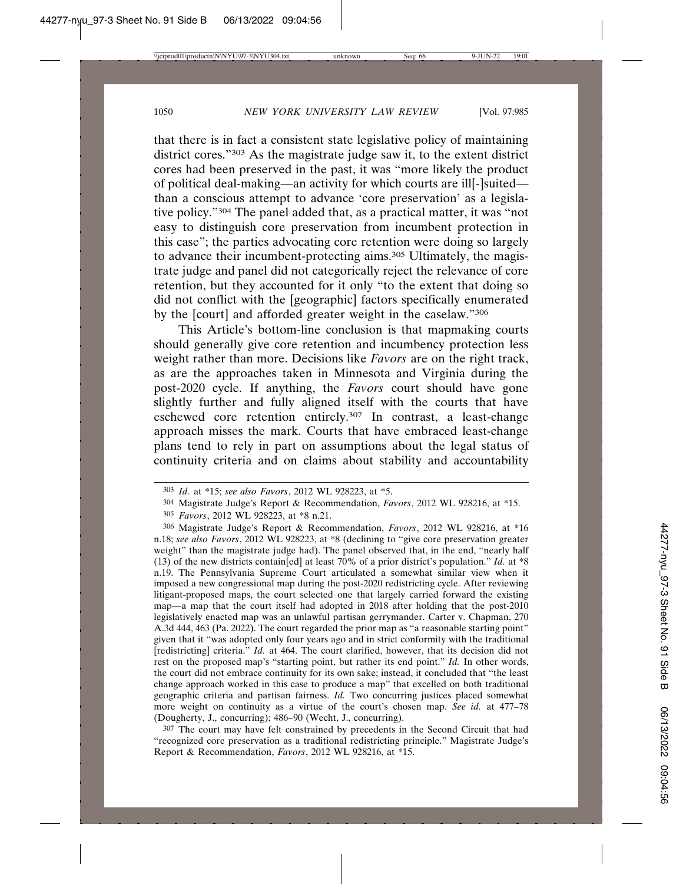that there is in fact a consistent state legislative policy of maintaining district cores."303 As the magistrate judge saw it, to the extent district cores had been preserved in the past, it was "more likely the product of political deal-making—an activity for which courts are ill[-]suited than a conscious attempt to advance 'core preservation' as a legislative policy."304 The panel added that, as a practical matter, it was "not easy to distinguish core preservation from incumbent protection in this case"; the parties advocating core retention were doing so largely to advance their incumbent-protecting aims.305 Ultimately, the magistrate judge and panel did not categorically reject the relevance of core retention, but they accounted for it only "to the extent that doing so did not conflict with the [geographic] factors specifically enumerated by the [court] and afforded greater weight in the caselaw."306

This Article's bottom-line conclusion is that mapmaking courts should generally give core retention and incumbency protection less weight rather than more. Decisions like *Favors* are on the right track, as are the approaches taken in Minnesota and Virginia during the post-2020 cycle. If anything, the *Favors* court should have gone slightly further and fully aligned itself with the courts that have eschewed core retention entirely.307 In contrast, a least-change approach misses the mark. Courts that have embraced least-change plans tend to rely in part on assumptions about the legal status of continuity criteria and on claims about stability and accountability

307 The court may have felt constrained by precedents in the Second Circuit that had "recognized core preservation as a traditional redistricting principle." Magistrate Judge's Report & Recommendation, *Favors*, 2012 WL 928216, at \*15.

<sup>303</sup> *Id.* at \*15; *see also Favors*, 2012 WL 928223, at \*5.

<sup>304</sup> Magistrate Judge's Report & Recommendation, *Favors*, 2012 WL 928216, at \*15.

<sup>305</sup> *Favors*, 2012 WL 928223, at \*8 n.21.

<sup>306</sup> Magistrate Judge's Report & Recommendation, *Favors*, 2012 WL 928216, at \*16 n.18; *see also Favors*, 2012 WL 928223, at \*8 (declining to "give core preservation greater weight" than the magistrate judge had). The panel observed that, in the end, "nearly half (13) of the new districts contain[ed] at least 70% of a prior district's population." *Id.* at \*8 n.19. The Pennsylvania Supreme Court articulated a somewhat similar view when it imposed a new congressional map during the post-2020 redistricting cycle. After reviewing litigant-proposed maps, the court selected one that largely carried forward the existing map—a map that the court itself had adopted in 2018 after holding that the post-2010 legislatively enacted map was an unlawful partisan gerrymander. Carter v. Chapman, 270 A.3d 444, 463 (Pa. 2022). The court regarded the prior map as "a reasonable starting point" given that it "was adopted only four years ago and in strict conformity with the traditional [redistricting] criteria." *Id.* at 464. The court clarified, however, that its decision did not rest on the proposed map's "starting point, but rather its end point." *Id.* In other words, the court did not embrace continuity for its own sake; instead, it concluded that "the least change approach worked in this case to produce a map" that excelled on both traditional geographic criteria and partisan fairness. *Id.* Two concurring justices placed somewhat more weight on continuity as a virtue of the court's chosen map. *See id.* at 477–78 (Dougherty, J., concurring); 486–90 (Wecht, J., concurring).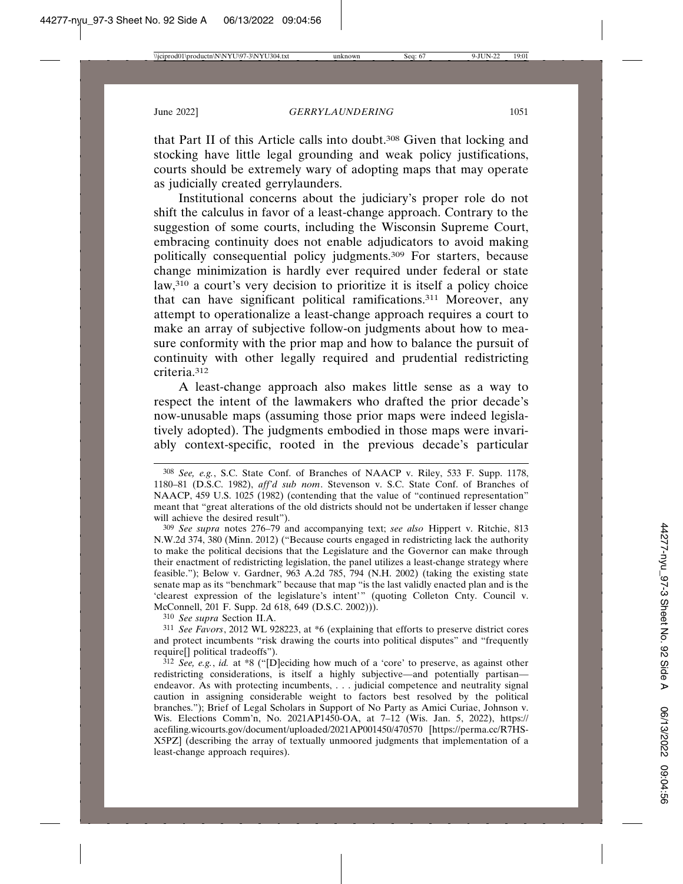that Part II of this Article calls into doubt.308 Given that locking and stocking have little legal grounding and weak policy justifications, courts should be extremely wary of adopting maps that may operate as judicially created gerrylaunders.

Institutional concerns about the judiciary's proper role do not shift the calculus in favor of a least-change approach. Contrary to the suggestion of some courts, including the Wisconsin Supreme Court, embracing continuity does not enable adjudicators to avoid making politically consequential policy judgments.309 For starters, because change minimization is hardly ever required under federal or state law,310 a court's very decision to prioritize it is itself a policy choice that can have significant political ramifications.311 Moreover, any attempt to operationalize a least-change approach requires a court to make an array of subjective follow-on judgments about how to measure conformity with the prior map and how to balance the pursuit of continuity with other legally required and prudential redistricting criteria.312

A least-change approach also makes little sense as a way to respect the intent of the lawmakers who drafted the prior decade's now-unusable maps (assuming those prior maps were indeed legislatively adopted). The judgments embodied in those maps were invariably context-specific, rooted in the previous decade's particular

309 *See supra* notes 276–79 and accompanying text; *see also* Hippert v. Ritchie, 813 N.W.2d 374, 380 (Minn. 2012) ("Because courts engaged in redistricting lack the authority to make the political decisions that the Legislature and the Governor can make through their enactment of redistricting legislation, the panel utilizes a least-change strategy where feasible."); Below v. Gardner, 963 A.2d 785, 794 (N.H. 2002) (taking the existing state senate map as its "benchmark" because that map "is the last validly enacted plan and is the 'clearest expression of the legislature's intent'" (quoting Colleton Cnty. Council v. McConnell, 201 F. Supp. 2d 618, 649 (D.S.C. 2002))).

310 *See supra* Section II.A.

311 *See Favors*, 2012 WL 928223, at \*6 (explaining that efforts to preserve district cores and protect incumbents "risk drawing the courts into political disputes" and "frequently require[] political tradeoffs").

312 *See, e.g.*, *id.* at \*8 ("[D]eciding how much of a 'core' to preserve, as against other redistricting considerations, is itself a highly subjective—and potentially partisan endeavor. As with protecting incumbents, . . . judicial competence and neutrality signal caution in assigning considerable weight to factors best resolved by the political branches."); Brief of Legal Scholars in Support of No Party as Amici Curiae, Johnson v. Wis. Elections Comm'n, No. 2021AP1450-OA, at 7–12 (Wis. Jan. 5, 2022), https:// acefiling.wicourts.gov/document/uploaded/2021AP001450/470570 [https://perma.cc/R7HS-X5PZ] (describing the array of textually unmoored judgments that implementation of a least-change approach requires).

<sup>308</sup> *See, e.g.*, S.C. State Conf. of Branches of NAACP v. Riley, 533 F. Supp. 1178, 1180–81 (D.S.C. 1982), *aff'd sub nom*. Stevenson v. S.C. State Conf. of Branches of NAACP, 459 U.S. 1025 (1982) (contending that the value of "continued representation" meant that "great alterations of the old districts should not be undertaken if lesser change will achieve the desired result").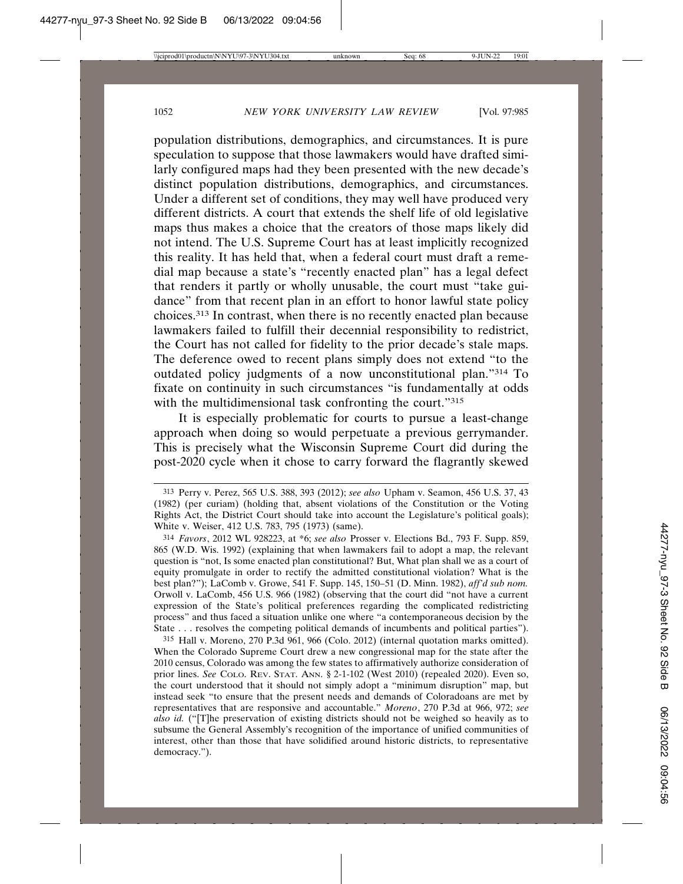population distributions, demographics, and circumstances. It is pure speculation to suppose that those lawmakers would have drafted similarly configured maps had they been presented with the new decade's distinct population distributions, demographics, and circumstances. Under a different set of conditions, they may well have produced very different districts. A court that extends the shelf life of old legislative maps thus makes a choice that the creators of those maps likely did not intend. The U.S. Supreme Court has at least implicitly recognized this reality. It has held that, when a federal court must draft a remedial map because a state's "recently enacted plan" has a legal defect that renders it partly or wholly unusable, the court must "take guidance" from that recent plan in an effort to honor lawful state policy choices.313 In contrast, when there is no recently enacted plan because lawmakers failed to fulfill their decennial responsibility to redistrict, the Court has not called for fidelity to the prior decade's stale maps. The deference owed to recent plans simply does not extend "to the outdated policy judgments of a now unconstitutional plan."314 To fixate on continuity in such circumstances "is fundamentally at odds with the multidimensional task confronting the court."315

It is especially problematic for courts to pursue a least-change approach when doing so would perpetuate a previous gerrymander. This is precisely what the Wisconsin Supreme Court did during the post-2020 cycle when it chose to carry forward the flagrantly skewed

315 Hall v. Moreno, 270 P.3d 961, 966 (Colo. 2012) (internal quotation marks omitted). When the Colorado Supreme Court drew a new congressional map for the state after the 2010 census, Colorado was among the few states to affirmatively authorize consideration of prior lines. *See* COLO. REV. STAT. ANN. § 2-1-102 (West 2010) (repealed 2020). Even so, the court understood that it should not simply adopt a "minimum disruption" map, but instead seek "to ensure that the present needs and demands of Coloradoans are met by representatives that are responsive and accountable." *Moreno*, 270 P.3d at 966, 972; *see also id.* ("[T]he preservation of existing districts should not be weighed so heavily as to subsume the General Assembly's recognition of the importance of unified communities of interest, other than those that have solidified around historic districts, to representative democracy.").

<sup>313</sup> Perry v. Perez, 565 U.S. 388, 393 (2012); *see also* Upham v. Seamon, 456 U.S. 37, 43 (1982) (per curiam) (holding that, absent violations of the Constitution or the Voting Rights Act, the District Court should take into account the Legislature's political goals); White v. Weiser, 412 U.S. 783, 795 (1973) (same).

<sup>314</sup> *Favors*, 2012 WL 928223, at \*6; *see also* Prosser v. Elections Bd., 793 F. Supp. 859, 865 (W.D. Wis. 1992) (explaining that when lawmakers fail to adopt a map, the relevant question is "not, Is some enacted plan constitutional? But, What plan shall we as a court of equity promulgate in order to rectify the admitted constitutional violation? What is the best plan?"); LaComb v. Growe, 541 F. Supp. 145, 150–51 (D. Minn. 1982), *aff'd sub nom.* Orwoll v. LaComb, 456 U.S. 966 (1982) (observing that the court did "not have a current expression of the State's political preferences regarding the complicated redistricting process" and thus faced a situation unlike one where "a contemporaneous decision by the State . . . resolves the competing political demands of incumbents and political parties").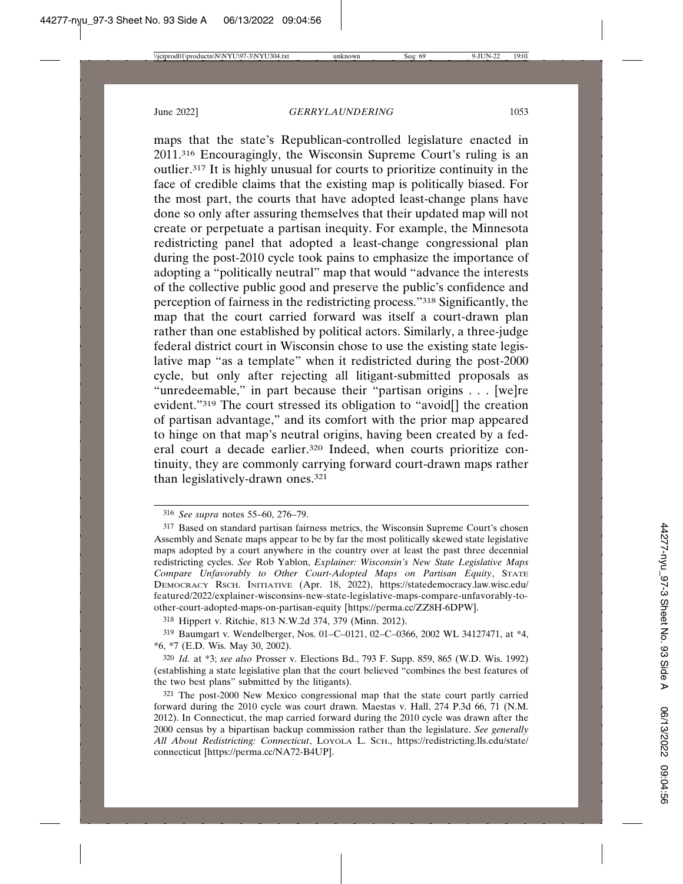maps that the state's Republican-controlled legislature enacted in 2011.316 Encouragingly, the Wisconsin Supreme Court's ruling is an outlier.317 It is highly unusual for courts to prioritize continuity in the face of credible claims that the existing map is politically biased. For the most part, the courts that have adopted least-change plans have done so only after assuring themselves that their updated map will not create or perpetuate a partisan inequity. For example, the Minnesota redistricting panel that adopted a least-change congressional plan during the post-2010 cycle took pains to emphasize the importance of adopting a "politically neutral" map that would "advance the interests of the collective public good and preserve the public's confidence and perception of fairness in the redistricting process."318 Significantly, the map that the court carried forward was itself a court-drawn plan rather than one established by political actors. Similarly, a three-judge federal district court in Wisconsin chose to use the existing state legislative map "as a template" when it redistricted during the post-2000 cycle, but only after rejecting all litigant-submitted proposals as "unredeemable," in part because their "partisan origins . . . [we]re evident."319 The court stressed its obligation to "avoid[] the creation of partisan advantage," and its comfort with the prior map appeared to hinge on that map's neutral origins, having been created by a federal court a decade earlier.320 Indeed, when courts prioritize continuity, they are commonly carrying forward court-drawn maps rather than legislatively-drawn ones.321

318 Hippert v. Ritchie, 813 N.W.2d 374, 379 (Minn. 2012).

319 Baumgart v. Wendelberger, Nos. 01–C–0121, 02–C–0366, 2002 WL 34127471, at \*4, \*6, \*7 (E.D. Wis. May 30, 2002).

320 *Id.* at \*3; *see also* Prosser v. Elections Bd., 793 F. Supp. 859, 865 (W.D. Wis. 1992) (establishing a state legislative plan that the court believed "combines the best features of the two best plans" submitted by the litigants).

<sup>316</sup> *See supra* notes 55–60, 276–79.

<sup>317</sup> Based on standard partisan fairness metrics, the Wisconsin Supreme Court's chosen Assembly and Senate maps appear to be by far the most politically skewed state legislative maps adopted by a court anywhere in the country over at least the past three decennial redistricting cycles. *See* Rob Yablon, *Explainer: Wisconsin's New State Legislative Maps Compare Unfavorably to Other Court-Adopted Maps on Partisan Equity*, STATE DEMOCRACY RSCH. INITIATIVE (Apr. 18, 2022), https://statedemocracy.law.wisc.edu/ featured/2022/explainer-wisconsins-new-state-legislative-maps-compare-unfavorably-toother-court-adopted-maps-on-partisan-equity [https://perma.cc/ZZ8H-6DPW].

<sup>321</sup> The post-2000 New Mexico congressional map that the state court partly carried forward during the 2010 cycle was court drawn. Maestas v. Hall, 274 P.3d 66, 71 (N.M. 2012). In Connecticut, the map carried forward during the 2010 cycle was drawn after the 2000 census by a bipartisan backup commission rather than the legislature. *See generally All About Redistricting: Connecticut*, LOYOLA L. SCH., https://redistricting.lls.edu/state/ connecticut [https://perma.cc/NA72-B4UP].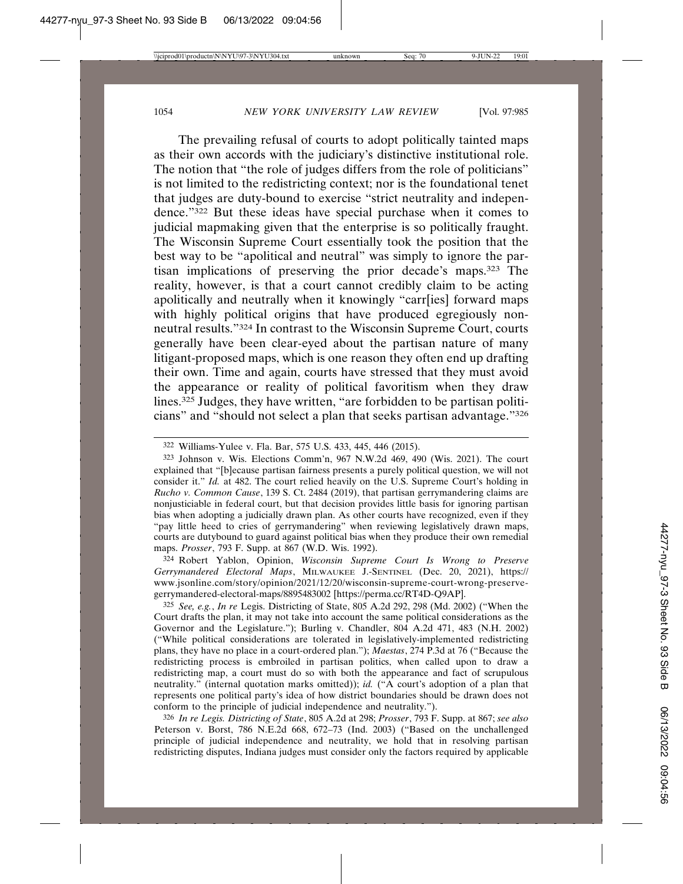The prevailing refusal of courts to adopt politically tainted maps as their own accords with the judiciary's distinctive institutional role. The notion that "the role of judges differs from the role of politicians" is not limited to the redistricting context; nor is the foundational tenet that judges are duty-bound to exercise "strict neutrality and independence."322 But these ideas have special purchase when it comes to judicial mapmaking given that the enterprise is so politically fraught. The Wisconsin Supreme Court essentially took the position that the best way to be "apolitical and neutral" was simply to ignore the partisan implications of preserving the prior decade's maps.323 The reality, however, is that a court cannot credibly claim to be acting apolitically and neutrally when it knowingly "carr[ies] forward maps with highly political origins that have produced egregiously nonneutral results."324 In contrast to the Wisconsin Supreme Court, courts generally have been clear-eyed about the partisan nature of many litigant-proposed maps, which is one reason they often end up drafting their own. Time and again, courts have stressed that they must avoid the appearance or reality of political favoritism when they draw lines.325 Judges, they have written, "are forbidden to be partisan politicians" and "should not select a plan that seeks partisan advantage."326

324 Robert Yablon, Opinion, *Wisconsin Supreme Court Is Wrong to Preserve Gerrymandered Electoral Maps*, MILWAUKEE J.-SENTINEL (Dec. 20, 2021), https:// www.jsonline.com/story/opinion/2021/12/20/wisconsin-supreme-court-wrong-preservegerrymandered-electoral-maps/8895483002 [https://perma.cc/RT4D-Q9AP].

325 *See, e.g.*, *In re* Legis. Districting of State, 805 A.2d 292, 298 (Md. 2002) ("When the Court drafts the plan, it may not take into account the same political considerations as the Governor and the Legislature."); Burling v. Chandler, 804 A.2d 471, 483 (N.H. 2002) ("While political considerations are tolerated in legislatively-implemented redistricting plans, they have no place in a court-ordered plan."); *Maestas*, 274 P.3d at 76 ("Because the redistricting process is embroiled in partisan politics, when called upon to draw a redistricting map, a court must do so with both the appearance and fact of scrupulous neutrality." (internal quotation marks omitted)); *id.* ("A court's adoption of a plan that represents one political party's idea of how district boundaries should be drawn does not conform to the principle of judicial independence and neutrality.").

326 *In re Legis. Districting of State*, 805 A.2d at 298; *Prosser*, 793 F. Supp. at 867; *see also* Peterson v. Borst, 786 N.E.2d 668, 672–73 (Ind. 2003) ("Based on the unchallenged principle of judicial independence and neutrality, we hold that in resolving partisan redistricting disputes, Indiana judges must consider only the factors required by applicable

<sup>322</sup> Williams-Yulee v. Fla. Bar, 575 U.S. 433, 445, 446 (2015).

<sup>323</sup> Johnson v. Wis. Elections Comm'n, 967 N.W.2d 469, 490 (Wis. 2021). The court explained that "[b]ecause partisan fairness presents a purely political question, we will not consider it." *Id.* at 482. The court relied heavily on the U.S. Supreme Court's holding in *Rucho v. Common Cause*, 139 S. Ct. 2484 (2019), that partisan gerrymandering claims are nonjusticiable in federal court, but that decision provides little basis for ignoring partisan bias when adopting a judicially drawn plan. As other courts have recognized, even if they "pay little heed to cries of gerrymandering" when reviewing legislatively drawn maps, courts are dutybound to guard against political bias when they produce their own remedial maps. *Prosser*, 793 F. Supp. at 867 (W.D. Wis. 1992).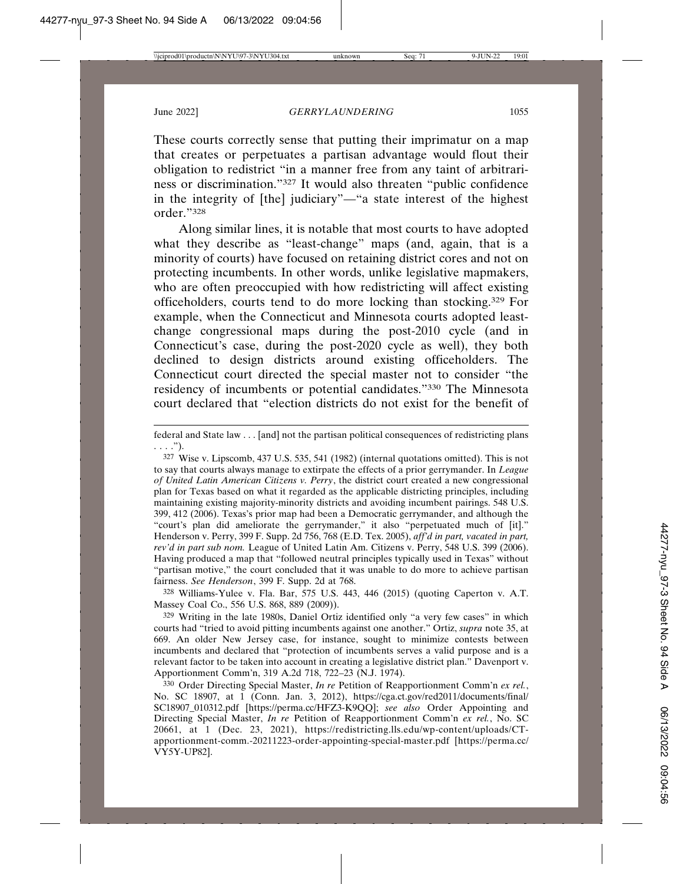These courts correctly sense that putting their imprimatur on a map that creates or perpetuates a partisan advantage would flout their obligation to redistrict "in a manner free from any taint of arbitrariness or discrimination."327 It would also threaten "public confidence in the integrity of [the] judiciary"—"a state interest of the highest order."328

Along similar lines, it is notable that most courts to have adopted what they describe as "least-change" maps (and, again, that is a minority of courts) have focused on retaining district cores and not on protecting incumbents. In other words, unlike legislative mapmakers, who are often preoccupied with how redistricting will affect existing officeholders, courts tend to do more locking than stocking.329 For example, when the Connecticut and Minnesota courts adopted leastchange congressional maps during the post-2010 cycle (and in Connecticut's case, during the post-2020 cycle as well), they both declined to design districts around existing officeholders. The Connecticut court directed the special master not to consider "the residency of incumbents or potential candidates."330 The Minnesota court declared that "election districts do not exist for the benefit of

federal and State law . . . [and] not the partisan political consequences of redistricting plans . . . .").

327 Wise v. Lipscomb, 437 U.S. 535, 541 (1982) (internal quotations omitted). This is not to say that courts always manage to extirpate the effects of a prior gerrymander. In *League of United Latin American Citizens v. Perry*, the district court created a new congressional plan for Texas based on what it regarded as the applicable districting principles, including maintaining existing majority-minority districts and avoiding incumbent pairings. 548 U.S. 399, 412 (2006). Texas's prior map had been a Democratic gerrymander, and although the "court's plan did ameliorate the gerrymander," it also "perpetuated much of [it]." Henderson v. Perry, 399 F. Supp. 2d 756, 768 (E.D. Tex. 2005), *aff'd in part, vacated in part, rev'd in part sub nom.* League of United Latin Am. Citizens v. Perry, 548 U.S. 399 (2006). Having produced a map that "followed neutral principles typically used in Texas" without "partisan motive," the court concluded that it was unable to do more to achieve partisan fairness. *See Henderson*, 399 F. Supp. 2d at 768.

328 Williams-Yulee v. Fla. Bar, 575 U.S. 443, 446 (2015) (quoting Caperton v. A.T. Massey Coal Co., 556 U.S. 868, 889 (2009)).

329 Writing in the late 1980s, Daniel Ortiz identified only "a very few cases" in which courts had "tried to avoid pitting incumbents against one another." Ortiz, *supra* note 35, at 669. An older New Jersey case, for instance, sought to minimize contests between incumbents and declared that "protection of incumbents serves a valid purpose and is a relevant factor to be taken into account in creating a legislative district plan." Davenport v. Apportionment Comm'n, 319 A.2d 718, 722–23 (N.J. 1974).

330 Order Directing Special Master, *In re* Petition of Reapportionment Comm'n *ex rel.*, No. SC 18907, at 1 (Conn. Jan. 3, 2012), https://cga.ct.gov/red2011/documents/final/ SC18907\_010312.pdf [https://perma.cc/HFZ3-K9QQ]; *see also* Order Appointing and Directing Special Master, *In re* Petition of Reapportionment Comm'n *ex rel.*, No. SC 20661, at 1 (Dec. 23, 2021), https://redistricting.lls.edu/wp-content/uploads/CTapportionment-comm.-20211223-order-appointing-special-master.pdf [https://perma.cc/ VY5Y-UP82].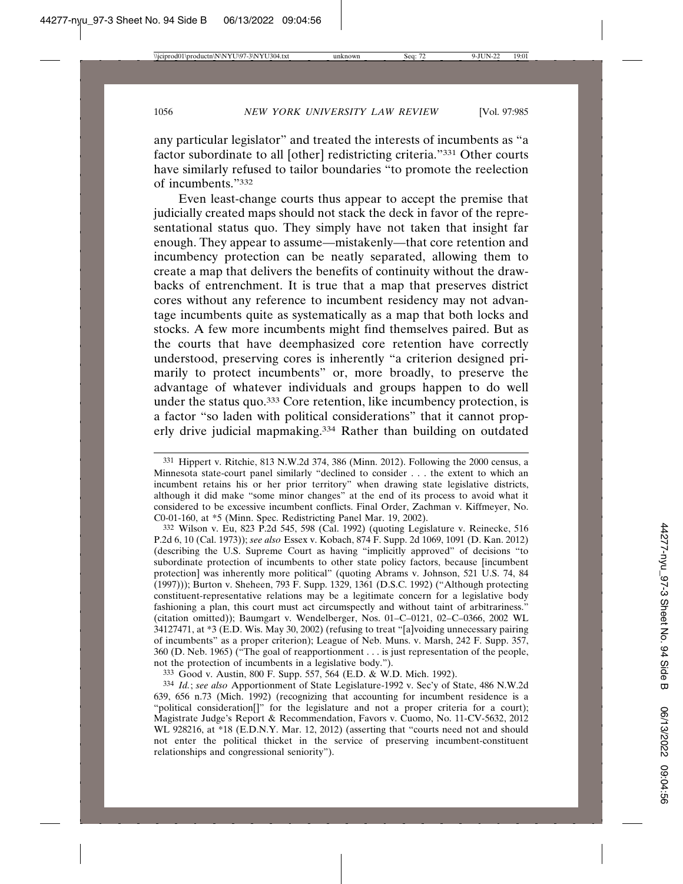any particular legislator" and treated the interests of incumbents as "a factor subordinate to all [other] redistricting criteria."331 Other courts have similarly refused to tailor boundaries "to promote the reelection of incumbents."332

Even least-change courts thus appear to accept the premise that judicially created maps should not stack the deck in favor of the representational status quo. They simply have not taken that insight far enough. They appear to assume—mistakenly—that core retention and incumbency protection can be neatly separated, allowing them to create a map that delivers the benefits of continuity without the drawbacks of entrenchment. It is true that a map that preserves district cores without any reference to incumbent residency may not advantage incumbents quite as systematically as a map that both locks and stocks. A few more incumbents might find themselves paired. But as the courts that have deemphasized core retention have correctly understood, preserving cores is inherently "a criterion designed primarily to protect incumbents" or, more broadly, to preserve the advantage of whatever individuals and groups happen to do well under the status quo.333 Core retention, like incumbency protection, is a factor "so laden with political considerations" that it cannot properly drive judicial mapmaking.334 Rather than building on outdated

332 Wilson v. Eu, 823 P.2d 545, 598 (Cal. 1992) (quoting Legislature v. Reinecke, 516 P.2d 6, 10 (Cal. 1973)); *see also* Essex v. Kobach, 874 F. Supp. 2d 1069, 1091 (D. Kan. 2012) (describing the U.S. Supreme Court as having "implicitly approved" of decisions "to subordinate protection of incumbents to other state policy factors, because [incumbent protection] was inherently more political" (quoting Abrams v. Johnson, 521 U.S. 74, 84 (1997))); Burton v. Sheheen, 793 F. Supp. 1329, 1361 (D.S.C. 1992) ("Although protecting constituent-representative relations may be a legitimate concern for a legislative body fashioning a plan, this court must act circumspectly and without taint of arbitrariness." (citation omitted)); Baumgart v. Wendelberger, Nos. 01–C–0121, 02–C–0366, 2002 WL 34127471, at \*3 (E.D. Wis. May 30, 2002) (refusing to treat "[a]voiding unnecessary pairing of incumbents" as a proper criterion); League of Neb. Muns. v. Marsh, 242 F. Supp. 357, 360 (D. Neb. 1965) ("The goal of reapportionment . . . is just representation of the people, not the protection of incumbents in a legislative body.").

333 Good v. Austin, 800 F. Supp. 557, 564 (E.D. & W.D. Mich. 1992).

334 *Id.*; *see also* Apportionment of State Legislature-1992 v. Sec'y of State, 486 N.W.2d 639, 656 n.73 (Mich. 1992) (recognizing that accounting for incumbent residence is a "political consideration[]" for the legislature and not a proper criteria for a court); Magistrate Judge's Report & Recommendation, Favors v. Cuomo, No. 11-CV-5632, 2012 WL 928216, at \*18 (E.D.N.Y. Mar. 12, 2012) (asserting that "courts need not and should not enter the political thicket in the service of preserving incumbent-constituent relationships and congressional seniority").

<sup>331</sup> Hippert v. Ritchie, 813 N.W.2d 374, 386 (Minn. 2012). Following the 2000 census, a Minnesota state-court panel similarly "declined to consider . . . the extent to which an incumbent retains his or her prior territory" when drawing state legislative districts, although it did make "some minor changes" at the end of its process to avoid what it considered to be excessive incumbent conflicts. Final Order, Zachman v. Kiffmeyer, No. C0-01-160, at \*5 (Minn. Spec. Redistricting Panel Mar. 19, 2002).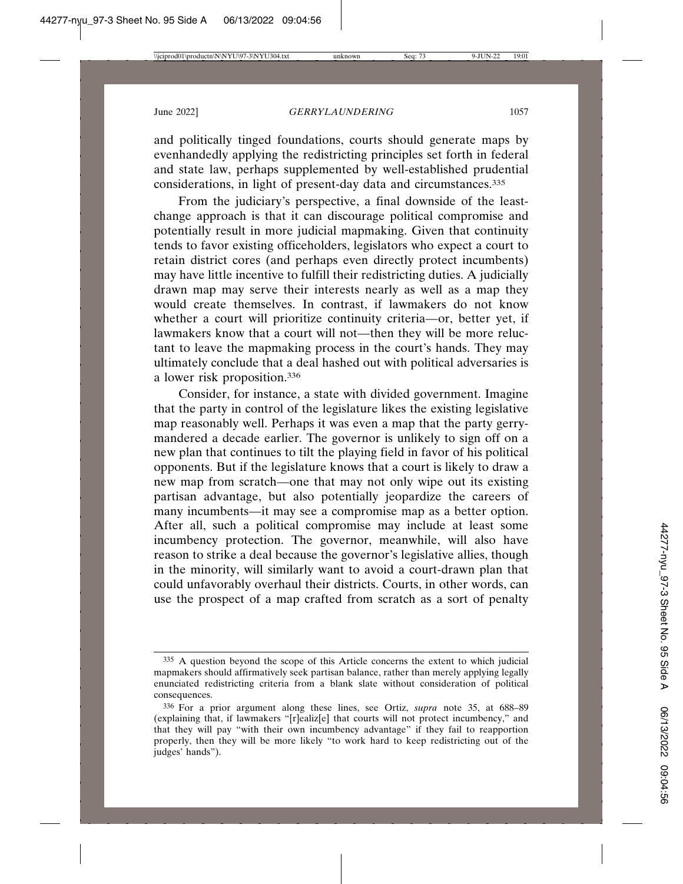and politically tinged foundations, courts should generate maps by evenhandedly applying the redistricting principles set forth in federal and state law, perhaps supplemented by well-established prudential considerations, in light of present-day data and circumstances.335

From the judiciary's perspective, a final downside of the leastchange approach is that it can discourage political compromise and potentially result in more judicial mapmaking. Given that continuity tends to favor existing officeholders, legislators who expect a court to retain district cores (and perhaps even directly protect incumbents) may have little incentive to fulfill their redistricting duties. A judicially drawn map may serve their interests nearly as well as a map they would create themselves. In contrast, if lawmakers do not know whether a court will prioritize continuity criteria—or, better yet, if lawmakers know that a court will not—then they will be more reluctant to leave the mapmaking process in the court's hands. They may ultimately conclude that a deal hashed out with political adversaries is a lower risk proposition.336

Consider, for instance, a state with divided government. Imagine that the party in control of the legislature likes the existing legislative map reasonably well. Perhaps it was even a map that the party gerrymandered a decade earlier. The governor is unlikely to sign off on a new plan that continues to tilt the playing field in favor of his political opponents. But if the legislature knows that a court is likely to draw a new map from scratch—one that may not only wipe out its existing partisan advantage, but also potentially jeopardize the careers of many incumbents—it may see a compromise map as a better option. After all, such a political compromise may include at least some incumbency protection. The governor, meanwhile, will also have reason to strike a deal because the governor's legislative allies, though in the minority, will similarly want to avoid a court-drawn plan that could unfavorably overhaul their districts. Courts, in other words, can use the prospect of a map crafted from scratch as a sort of penalty

<sup>335</sup> A question beyond the scope of this Article concerns the extent to which judicial mapmakers should affirmatively seek partisan balance, rather than merely applying legally enunciated redistricting criteria from a blank slate without consideration of political consequences.

<sup>336</sup> For a prior argument along these lines, see Ortiz, *supra* note 35, at 688–89 (explaining that, if lawmakers "[r]ealiz[e] that courts will not protect incumbency," and that they will pay "with their own incumbency advantage" if they fail to reapportion properly, then they will be more likely "to work hard to keep redistricting out of the judges' hands").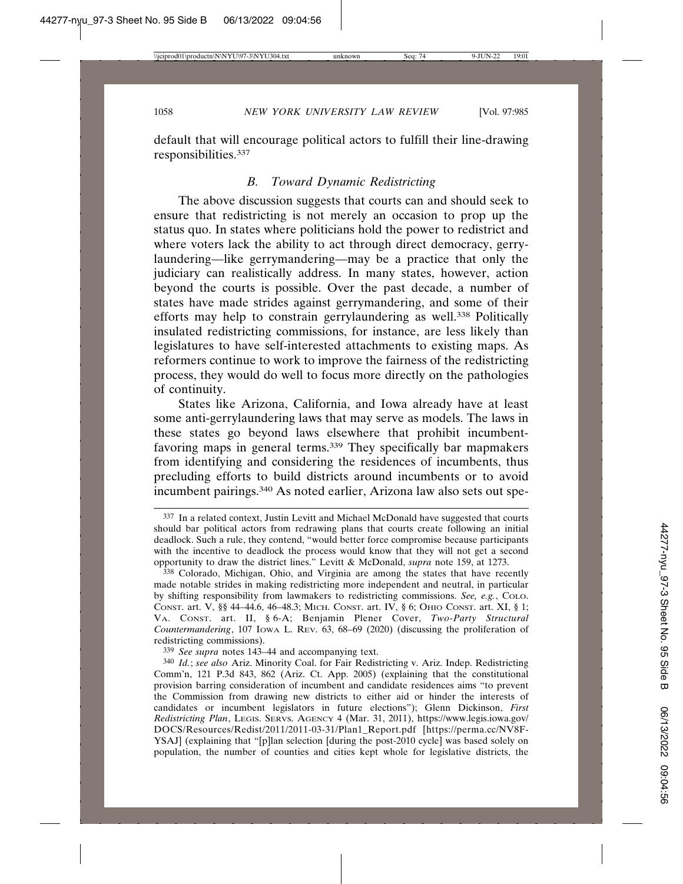default that will encourage political actors to fulfill their line-drawing responsibilities.337

## *B. Toward Dynamic Redistricting*

The above discussion suggests that courts can and should seek to ensure that redistricting is not merely an occasion to prop up the status quo. In states where politicians hold the power to redistrict and where voters lack the ability to act through direct democracy, gerrylaundering—like gerrymandering—may be a practice that only the judiciary can realistically address. In many states, however, action beyond the courts is possible. Over the past decade, a number of states have made strides against gerrymandering, and some of their efforts may help to constrain gerrylaundering as well.338 Politically insulated redistricting commissions, for instance, are less likely than legislatures to have self-interested attachments to existing maps. As reformers continue to work to improve the fairness of the redistricting process, they would do well to focus more directly on the pathologies of continuity.

States like Arizona, California, and Iowa already have at least some anti-gerrylaundering laws that may serve as models. The laws in these states go beyond laws elsewhere that prohibit incumbentfavoring maps in general terms.339 They specifically bar mapmakers from identifying and considering the residences of incumbents, thus precluding efforts to build districts around incumbents or to avoid incumbent pairings.340 As noted earlier, Arizona law also sets out spe-

339 *See supra* notes 143–44 and accompanying text.

<sup>337</sup> In a related context, Justin Levitt and Michael McDonald have suggested that courts should bar political actors from redrawing plans that courts create following an initial deadlock. Such a rule, they contend, "would better force compromise because participants with the incentive to deadlock the process would know that they will not get a second opportunity to draw the district lines." Levitt & McDonald, *supra* note 159, at 1273.

<sup>338</sup> Colorado, Michigan, Ohio, and Virginia are among the states that have recently made notable strides in making redistricting more independent and neutral, in particular by shifting responsibility from lawmakers to redistricting commissions. *See, e.g.*, COLO. CONST. art. V, §§ 44–44.6, 46–48.3; MICH. CONST. art. IV, § 6; OHIO CONST. art. XI, § 1; VA. CONST. art. II, § 6-A; Benjamin Plener Cover, *Two-Party Structural Countermandering*, 107 IOWA L. REV. 63, 68–69 (2020) (discussing the proliferation of redistricting commissions).

<sup>340</sup> *Id.*; *see also* Ariz. Minority Coal. for Fair Redistricting v. Ariz. Indep. Redistricting Comm'n, 121 P.3d 843, 862 (Ariz. Ct. App. 2005) (explaining that the constitutional provision barring consideration of incumbent and candidate residences aims "to prevent the Commission from drawing new districts to either aid or hinder the interests of candidates or incumbent legislators in future elections"); Glenn Dickinson, *First Redistricting Plan*, LEGIS. SERVS. AGENCY 4 (Mar. 31, 2011), https://www.legis.iowa.gov/ DOCS/Resources/Redist/2011/2011-03-31/Plan1\_Report.pdf [https://perma.cc/NV8F-YSAJ] (explaining that "[p]lan selection [during the post-2010 cycle] was based solely on population, the number of counties and cities kept whole for legislative districts, the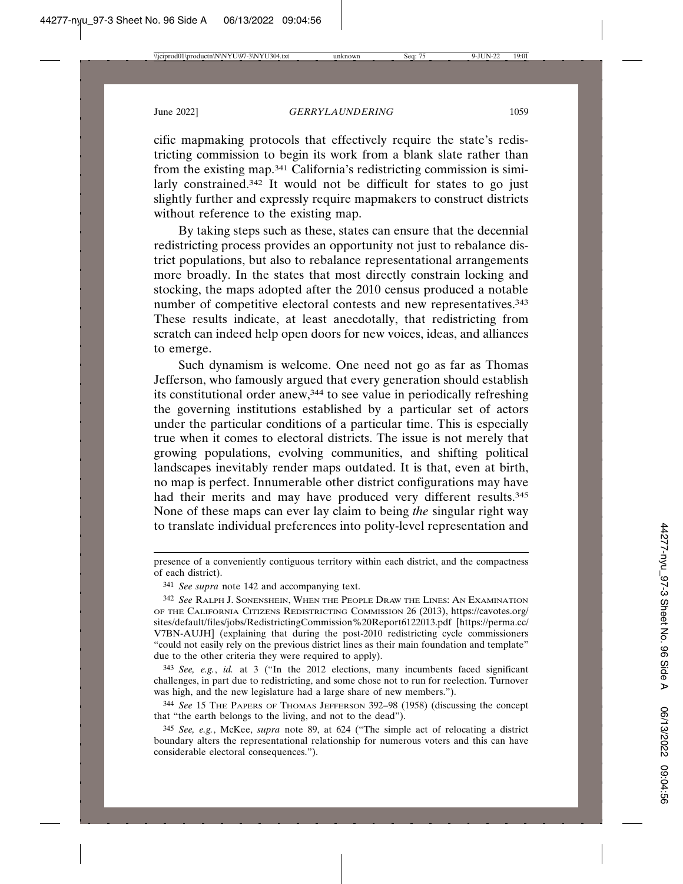cific mapmaking protocols that effectively require the state's redistricting commission to begin its work from a blank slate rather than from the existing map.341 California's redistricting commission is similarly constrained.<sup>342</sup> It would not be difficult for states to go just slightly further and expressly require mapmakers to construct districts without reference to the existing map.

By taking steps such as these, states can ensure that the decennial redistricting process provides an opportunity not just to rebalance district populations, but also to rebalance representational arrangements more broadly. In the states that most directly constrain locking and stocking, the maps adopted after the 2010 census produced a notable number of competitive electoral contests and new representatives.<sup>343</sup> These results indicate, at least anecdotally, that redistricting from scratch can indeed help open doors for new voices, ideas, and alliances to emerge.

Such dynamism is welcome. One need not go as far as Thomas Jefferson, who famously argued that every generation should establish its constitutional order anew,344 to see value in periodically refreshing the governing institutions established by a particular set of actors under the particular conditions of a particular time. This is especially true when it comes to electoral districts. The issue is not merely that growing populations, evolving communities, and shifting political landscapes inevitably render maps outdated. It is that, even at birth, no map is perfect. Innumerable other district configurations may have had their merits and may have produced very different results.<sup>345</sup> None of these maps can ever lay claim to being *the* singular right way to translate individual preferences into polity-level representation and

presence of a conveniently contiguous territory within each district, and the compactness of each district).

<sup>341</sup> *See supra* note 142 and accompanying text.

<sup>342</sup> *See* RALPH J. SONENSHEIN, WHEN THE PEOPLE DRAW THE LINES: AN EXAMINATION OF THE CALIFORNIA CITIZENS REDISTRICTING COMMISSION 26 (2013), https://cavotes.org/ sites/default/files/jobs/RedistrictingCommission%20Report6122013.pdf [https://perma.cc/ V7BN-AUJH] (explaining that during the post-2010 redistricting cycle commissioners "could not easily rely on the previous district lines as their main foundation and template" due to the other criteria they were required to apply).

<sup>343</sup> *See, e.g.*, *id.* at 3 ("In the 2012 elections, many incumbents faced significant challenges, in part due to redistricting, and some chose not to run for reelection. Turnover was high, and the new legislature had a large share of new members.").

<sup>344</sup> *See* 15 THE PAPERS OF THOMAS JEFFERSON 392–98 (1958) (discussing the concept that "the earth belongs to the living, and not to the dead").

<sup>345</sup> *See, e.g.*, McKee, *supra* note 89, at 624 ("The simple act of relocating a district boundary alters the representational relationship for numerous voters and this can have considerable electoral consequences.").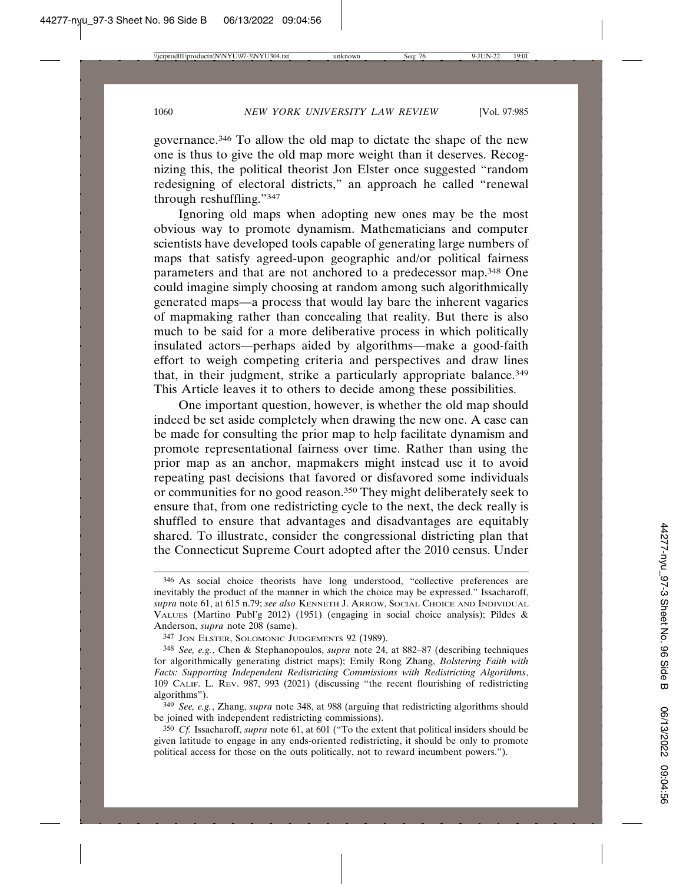governance.346 To allow the old map to dictate the shape of the new one is thus to give the old map more weight than it deserves. Recognizing this, the political theorist Jon Elster once suggested "random redesigning of electoral districts," an approach he called "renewal through reshuffling."347

Ignoring old maps when adopting new ones may be the most obvious way to promote dynamism. Mathematicians and computer scientists have developed tools capable of generating large numbers of maps that satisfy agreed-upon geographic and/or political fairness parameters and that are not anchored to a predecessor map.348 One could imagine simply choosing at random among such algorithmically generated maps—a process that would lay bare the inherent vagaries of mapmaking rather than concealing that reality. But there is also much to be said for a more deliberative process in which politically insulated actors—perhaps aided by algorithms—make a good-faith effort to weigh competing criteria and perspectives and draw lines that, in their judgment, strike a particularly appropriate balance.<sup>349</sup> This Article leaves it to others to decide among these possibilities.

One important question, however, is whether the old map should indeed be set aside completely when drawing the new one. A case can be made for consulting the prior map to help facilitate dynamism and promote representational fairness over time. Rather than using the prior map as an anchor, mapmakers might instead use it to avoid repeating past decisions that favored or disfavored some individuals or communities for no good reason.350 They might deliberately seek to ensure that, from one redistricting cycle to the next, the deck really is shuffled to ensure that advantages and disadvantages are equitably shared. To illustrate, consider the congressional districting plan that the Connecticut Supreme Court adopted after the 2010 census. Under

<sup>346</sup> As social choice theorists have long understood, "collective preferences are inevitably the product of the manner in which the choice may be expressed." Issacharoff, *supra* note 61, at 615 n.79; *see also* KENNETH J. ARROW, SOCIAL CHOICE AND INDIVIDUAL VALUES (Martino Publ'g 2012) (1951) (engaging in social choice analysis); Pildes & Anderson, *supra* note 208 (same).

<sup>347</sup> JON ELSTER, SOLOMONIC JUDGEMENTS 92 (1989).

<sup>348</sup> *See, e.g.*, Chen & Stephanopoulos, *supra* note 24, at 882–87 (describing techniques for algorithmically generating district maps); Emily Rong Zhang, *Bolstering Faith with Facts: Supporting Independent Redistricting Commissions with Redistricting Algorithms*, 109 CALIF. L. REV. 987, 993 (2021) (discussing "the recent flourishing of redistricting algorithms").

<sup>349</sup> *See, e.g.*, Zhang, *supra* note 348, at 988 (arguing that redistricting algorithms should be joined with independent redistricting commissions).

<sup>350</sup> *Cf.* Issacharoff, *supra* note 61, at 601 ("To the extent that political insiders should be given latitude to engage in any ends-oriented redistricting, it should be only to promote political access for those on the outs politically, not to reward incumbent powers.").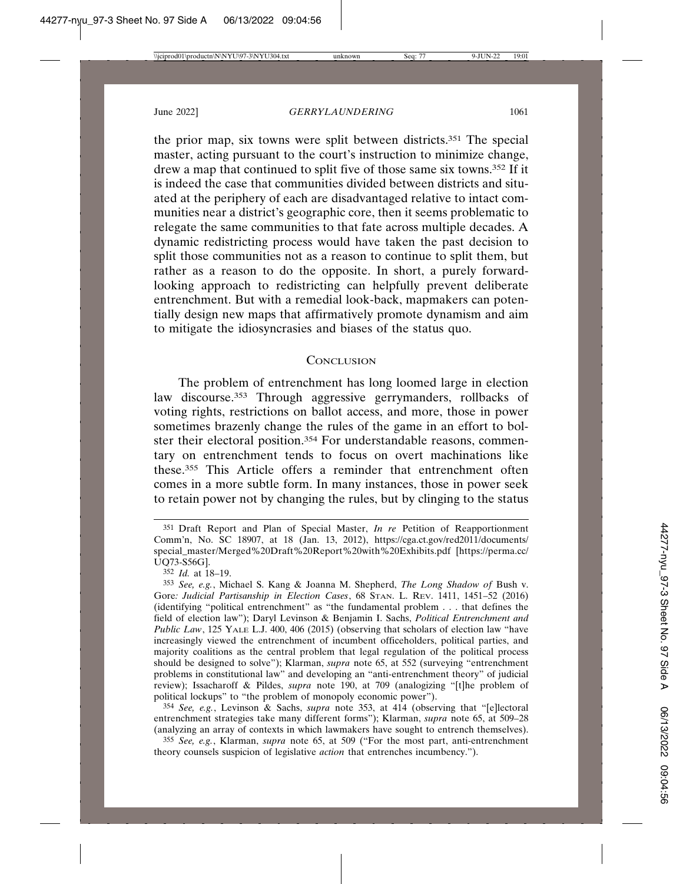the prior map, six towns were split between districts.351 The special master, acting pursuant to the court's instruction to minimize change, drew a map that continued to split five of those same six towns.352 If it is indeed the case that communities divided between districts and situated at the periphery of each are disadvantaged relative to intact communities near a district's geographic core, then it seems problematic to relegate the same communities to that fate across multiple decades. A dynamic redistricting process would have taken the past decision to split those communities not as a reason to continue to split them, but rather as a reason to do the opposite. In short, a purely forwardlooking approach to redistricting can helpfully prevent deliberate entrenchment. But with a remedial look-back, mapmakers can potentially design new maps that affirmatively promote dynamism and aim to mitigate the idiosyncrasies and biases of the status quo.

## **CONCLUSION**

The problem of entrenchment has long loomed large in election law discourse.<sup>353</sup> Through aggressive gerrymanders, rollbacks of voting rights, restrictions on ballot access, and more, those in power sometimes brazenly change the rules of the game in an effort to bolster their electoral position.354 For understandable reasons, commentary on entrenchment tends to focus on overt machinations like these.355 This Article offers a reminder that entrenchment often comes in a more subtle form. In many instances, those in power seek to retain power not by changing the rules, but by clinging to the status

352 *Id.* at 18–19.

354 *See, e.g.*, Levinson & Sachs, *supra* note 353, at 414 (observing that "[e]lectoral entrenchment strategies take many different forms"); Klarman, *supra* note 65, at 509–28 (analyzing an array of contexts in which lawmakers have sought to entrench themselves).

355 *See, e.g.*, Klarman, *supra* note 65, at 509 ("For the most part, anti-entrenchment theory counsels suspicion of legislative *action* that entrenches incumbency.").

<sup>351</sup> Draft Report and Plan of Special Master, *In re* Petition of Reapportionment Comm'n, No. SC 18907, at 18 (Jan. 13, 2012), https://cga.ct.gov/red2011/documents/ special\_master/Merged%20Draft%20Report%20with%20Exhibits.pdf [https://perma.cc/ UQ73-S56G].

<sup>353</sup> *See, e.g.*, Michael S. Kang & Joanna M. Shepherd, *The Long Shadow of* Bush v. Gore*: Judicial Partisanship in Election Cases*, 68 STAN. L. REV. 1411, 1451–52 (2016) (identifying "political entrenchment" as "the fundamental problem . . . that defines the field of election law"); Daryl Levinson & Benjamin I. Sachs, *Political Entrenchment and Public Law*, 125 YALE L.J. 400, 406 (2015) (observing that scholars of election law "have increasingly viewed the entrenchment of incumbent officeholders, political parties, and majority coalitions as the central problem that legal regulation of the political process should be designed to solve"); Klarman, *supra* note 65, at 552 (surveying "entrenchment problems in constitutional law" and developing an "anti-entrenchment theory" of judicial review); Issacharoff & Pildes, *supra* note 190, at 709 (analogizing "[t]he problem of political lockups" to "the problem of monopoly economic power").